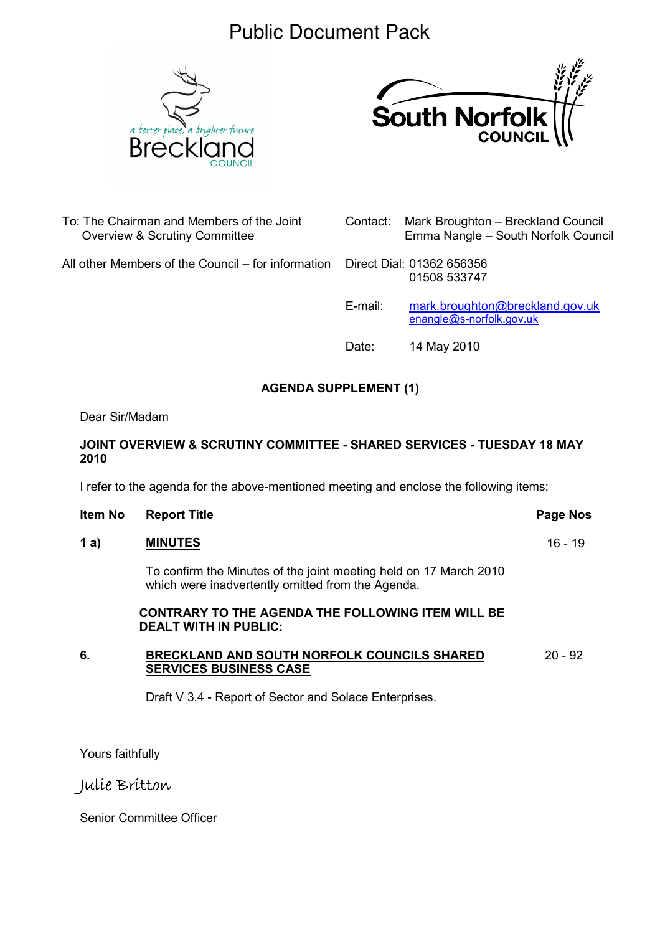# Public Document Pack





To: The Chairman and Members of the Joint Overview & Scrutiny Committee

Contact: Mark Broughton – Breckland Council Emma Nangle – South Norfolk Council

All other Members of the Council – for information

Direct Dial: 01362 656356 01508 533747

E-mail: mark.broughton@breckland.gov.uk enangle@s-norfolk.gov.uk

Date: 14 May 2010

## AGENDA SUPPLEMENT (1)

Dear Sir/Madam

## JOINT OVERVIEW & SCRUTINY COMMITTEE - SHARED SERVICES - TUESDAY 18 MAY 2010

I refer to the agenda for the above-mentioned meeting and enclose the following items:

| Item No | <b>Report Title</b>                                                                                                    | Page Nos  |
|---------|------------------------------------------------------------------------------------------------------------------------|-----------|
| 1a)     | <b>MINUTES</b>                                                                                                         | 16 - 19   |
|         | To confirm the Minutes of the joint meeting held on 17 March 2010<br>which were inadvertently omitted from the Agenda. |           |
|         | <b>CONTRARY TO THE AGENDA THE FOLLOWING ITEM WILL BE</b><br><b>DEALT WITH IN PUBLIC:</b>                               |           |
| 6.      | <b>BRECKLAND AND SOUTH NORFOLK COUNCILS SHARED</b><br><b>SERVICES BUSINESS CASE</b>                                    | $20 - 92$ |

Draft V 3.4 - Report of Sector and Solace Enterprises.

Yours faithfully

## Julie Britton

Senior Committee Officer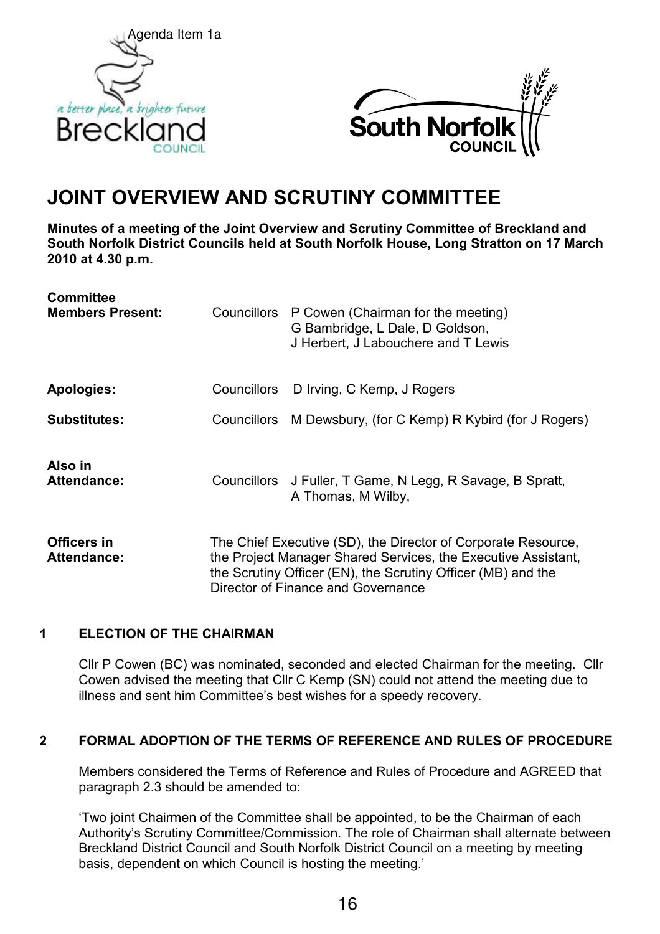



# JOINT OVERVIEW AND SCRUTINY COMMITTEE

Minutes of a meeting of the Joint Overview and Scrutiny Committee of Breckland and South Norfolk District Councils held at South Norfolk House, Long Stratton on 17 March 2010 at 4.30 p.m.

| <b>Committee</b><br><b>Members Present:</b> |             | Councillors P Cowen (Chairman for the meeting)<br>G Bambridge, L Dale, D Goldson,<br>J Herbert, J Labouchere and T Lewis                                                                                                             |  |  |
|---------------------------------------------|-------------|--------------------------------------------------------------------------------------------------------------------------------------------------------------------------------------------------------------------------------------|--|--|
| <b>Apologies:</b>                           | Councillors | D Irving, C Kemp, J Rogers                                                                                                                                                                                                           |  |  |
| <b>Substitutes:</b>                         |             | Councillors M Dewsbury, (for C Kemp) R Kybird (for J Rogers)                                                                                                                                                                         |  |  |
| Also in<br><b>Attendance:</b>               |             | Councillors J Fuller, T Game, N Legg, R Savage, B Spratt,<br>A Thomas, M Wilby,                                                                                                                                                      |  |  |
| Officers in<br><b>Attendance:</b>           |             | The Chief Executive (SD), the Director of Corporate Resource,<br>the Project Manager Shared Services, the Executive Assistant,<br>the Scrutiny Officer (EN), the Scrutiny Officer (MB) and the<br>Director of Finance and Governance |  |  |

## 1 ELECTION OF THE CHAIRMAN

Cllr P Cowen (BC) was nominated, seconded and elected Chairman for the meeting. Cllr Cowen advised the meeting that Cllr C Kemp (SN) could not attend the meeting due to illness and sent him Committee's best wishes for a speedy recovery.

## 2 FORMAL ADOPTION OF THE TERMS OF REFERENCE AND RULES OF PROCEDURE

Members considered the Terms of Reference and Rules of Procedure and AGREED that paragraph 2.3 should be amended to:

'Two joint Chairmen of the Committee shall be appointed, to be the Chairman of each Authority's Scrutiny Committee/Commission. The role of Chairman shall alternate between Breckland District Council and South Norfolk District Council on a meeting by meeting basis, dependent on which Council is hosting the meeting.'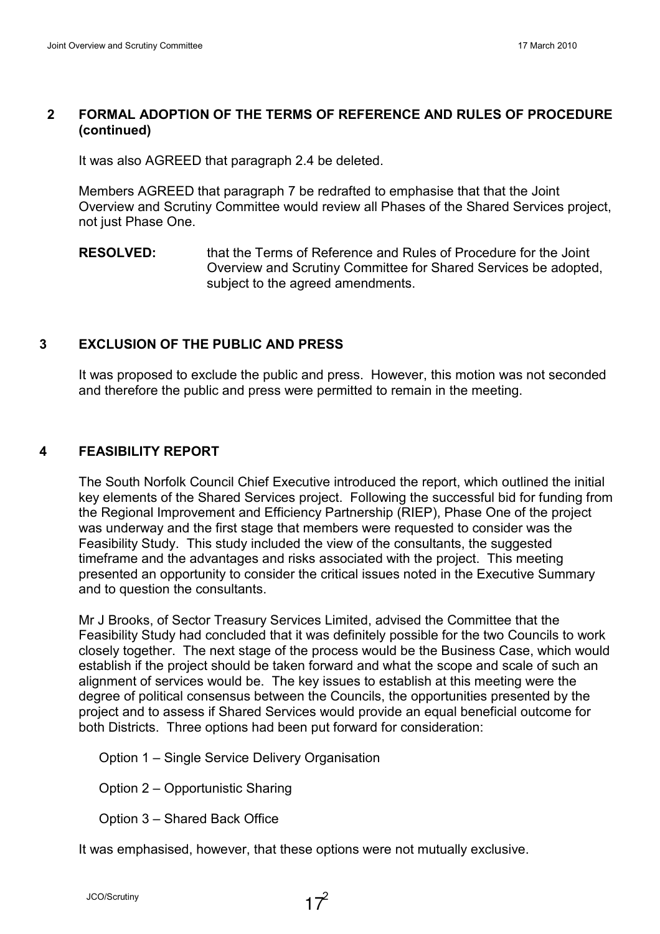## 2 FORMAL ADOPTION OF THE TERMS OF REFERENCE AND RULES OF PROCEDURE (continued)

It was also AGREED that paragraph 2.4 be deleted.

 Members AGREED that paragraph 7 be redrafted to emphasise that that the Joint Overview and Scrutiny Committee would review all Phases of the Shared Services project, not just Phase One.

RESOLVED: that the Terms of Reference and Rules of Procedure for the Joint Overview and Scrutiny Committee for Shared Services be adopted, subject to the agreed amendments.

## 3 EXCLUSION OF THE PUBLIC AND PRESS

It was proposed to exclude the public and press. However, this motion was not seconded and therefore the public and press were permitted to remain in the meeting.

## 4 FEASIBILITY REPORT

 The South Norfolk Council Chief Executive introduced the report, which outlined the initial key elements of the Shared Services project. Following the successful bid for funding from the Regional Improvement and Efficiency Partnership (RIEP), Phase One of the project was underway and the first stage that members were requested to consider was the Feasibility Study. This study included the view of the consultants, the suggested timeframe and the advantages and risks associated with the project. This meeting presented an opportunity to consider the critical issues noted in the Executive Summary and to question the consultants.

 Mr J Brooks, of Sector Treasury Services Limited, advised the Committee that the Feasibility Study had concluded that it was definitely possible for the two Councils to work closely together. The next stage of the process would be the Business Case, which would establish if the project should be taken forward and what the scope and scale of such an alignment of services would be. The key issues to establish at this meeting were the degree of political consensus between the Councils, the opportunities presented by the project and to assess if Shared Services would provide an equal beneficial outcome for both Districts. Three options had been put forward for consideration:

Option 1 – Single Service Delivery Organisation

Option 2 – Opportunistic Sharing

Option 3 – Shared Back Office

It was emphasised, however, that these options were not mutually exclusive.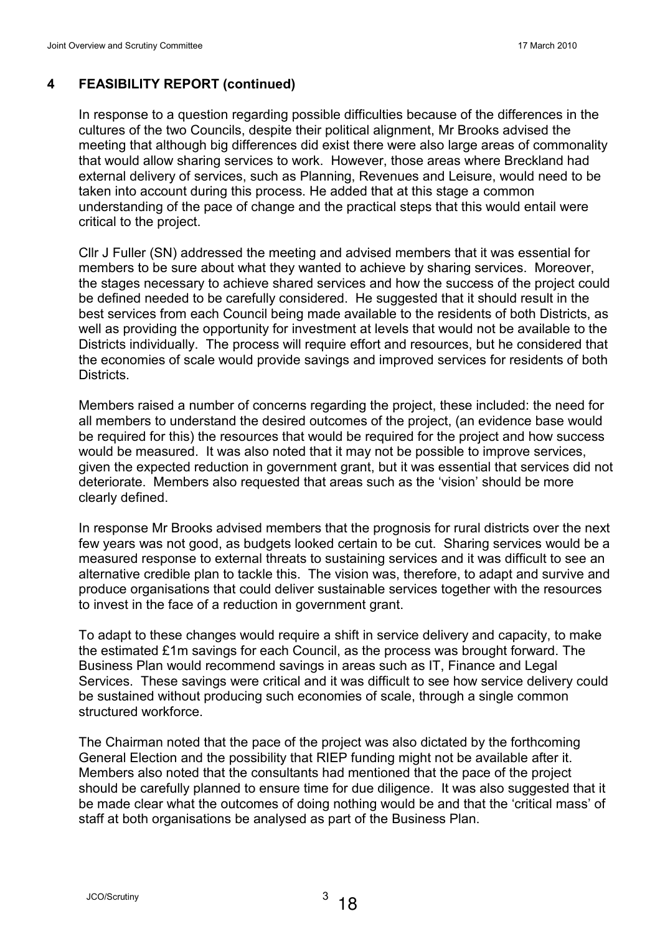## 4 FEASIBILITY REPORT (continued)

In response to a question regarding possible difficulties because of the differences in the cultures of the two Councils, despite their political alignment, Mr Brooks advised the meeting that although big differences did exist there were also large areas of commonality that would allow sharing services to work. However, those areas where Breckland had external delivery of services, such as Planning, Revenues and Leisure, would need to be taken into account during this process. He added that at this stage a common understanding of the pace of change and the practical steps that this would entail were critical to the project.

 Cllr J Fuller (SN) addressed the meeting and advised members that it was essential for members to be sure about what they wanted to achieve by sharing services. Moreover, the stages necessary to achieve shared services and how the success of the project could be defined needed to be carefully considered. He suggested that it should result in the best services from each Council being made available to the residents of both Districts, as well as providing the opportunity for investment at levels that would not be available to the Districts individually. The process will require effort and resources, but he considered that the economies of scale would provide savings and improved services for residents of both **Districts** 

 Members raised a number of concerns regarding the project, these included: the need for all members to understand the desired outcomes of the project, (an evidence base would be required for this) the resources that would be required for the project and how success would be measured. It was also noted that it may not be possible to improve services, given the expected reduction in government grant, but it was essential that services did not deteriorate. Members also requested that areas such as the 'vision' should be more clearly defined.

 In response Mr Brooks advised members that the prognosis for rural districts over the next few years was not good, as budgets looked certain to be cut. Sharing services would be a measured response to external threats to sustaining services and it was difficult to see an alternative credible plan to tackle this. The vision was, therefore, to adapt and survive and produce organisations that could deliver sustainable services together with the resources to invest in the face of a reduction in government grant.

 To adapt to these changes would require a shift in service delivery and capacity, to make the estimated £1m savings for each Council, as the process was brought forward. The Business Plan would recommend savings in areas such as IT, Finance and Legal Services. These savings were critical and it was difficult to see how service delivery could be sustained without producing such economies of scale, through a single common structured workforce.

 The Chairman noted that the pace of the project was also dictated by the forthcoming General Election and the possibility that RIEP funding might not be available after it. Members also noted that the consultants had mentioned that the pace of the project should be carefully planned to ensure time for due diligence. It was also suggested that it be made clear what the outcomes of doing nothing would be and that the 'critical mass' of staff at both organisations be analysed as part of the Business Plan.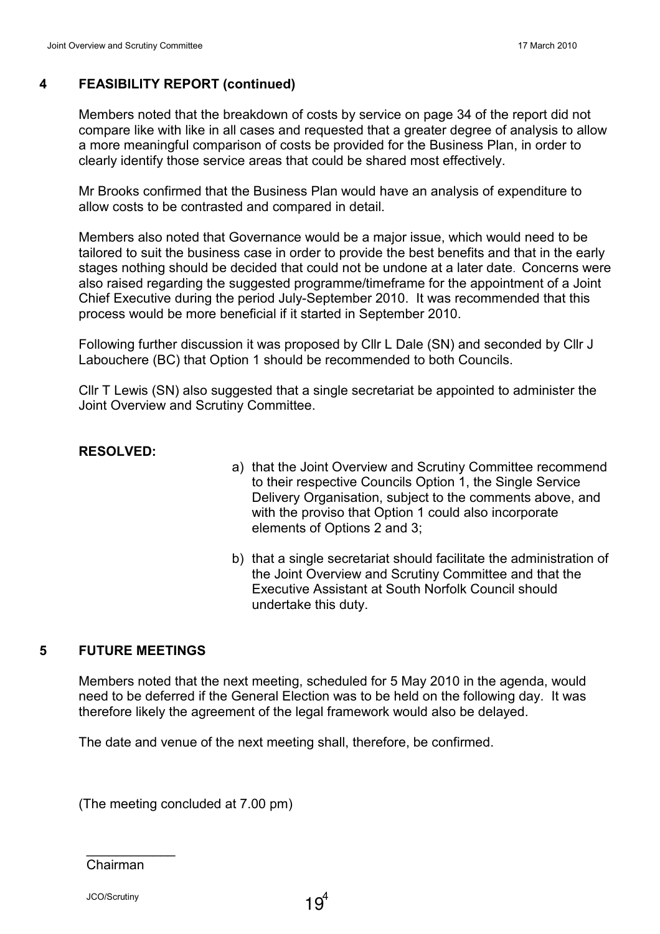## 4 FEASIBILITY REPORT (continued)

 Members noted that the breakdown of costs by service on page 34 of the report did not compare like with like in all cases and requested that a greater degree of analysis to allow a more meaningful comparison of costs be provided for the Business Plan, in order to clearly identify those service areas that could be shared most effectively.

 Mr Brooks confirmed that the Business Plan would have an analysis of expenditure to allow costs to be contrasted and compared in detail.

 Members also noted that Governance would be a major issue, which would need to be tailored to suit the business case in order to provide the best benefits and that in the early stages nothing should be decided that could not be undone at a later date. Concerns were also raised regarding the suggested programme/timeframe for the appointment of a Joint Chief Executive during the period July-September 2010. It was recommended that this process would be more beneficial if it started in September 2010.

 Following further discussion it was proposed by Cllr L Dale (SN) and seconded by Cllr J Labouchere (BC) that Option 1 should be recommended to both Councils.

 Cllr T Lewis (SN) also suggested that a single secretariat be appointed to administer the Joint Overview and Scrutiny Committee.

## RESOLVED:

- a) that the Joint Overview and Scrutiny Committee recommend to their respective Councils Option 1, the Single Service Delivery Organisation, subject to the comments above, and with the proviso that Option 1 could also incorporate elements of Options 2 and 3;
- b) that a single secretariat should facilitate the administration of the Joint Overview and Scrutiny Committee and that the Executive Assistant at South Norfolk Council should undertake this duty.

## 5 FUTURE MEETINGS

Members noted that the next meeting, scheduled for 5 May 2010 in the agenda, would need to be deferred if the General Election was to be held on the following day. It was therefore likely the agreement of the legal framework would also be delayed.

The date and venue of the next meeting shall, therefore, be confirmed.

(The meeting concluded at 7.00 pm)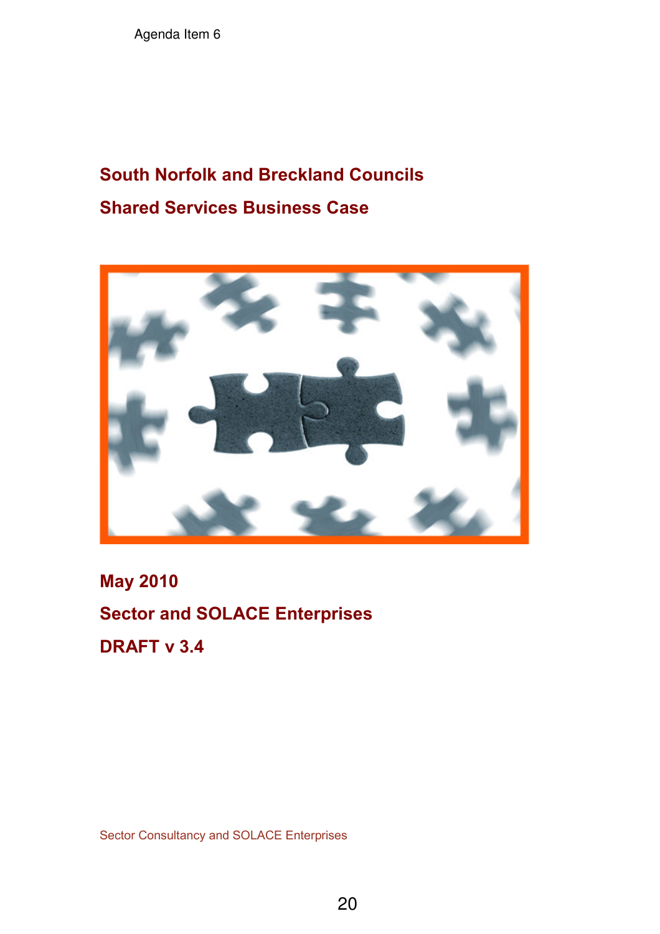Agenda Item 6

# South Norfolk and Breckland Councils Shared Services Business Case



May 2010 Sector and SOLACE Enterprises DRAFT v 3.4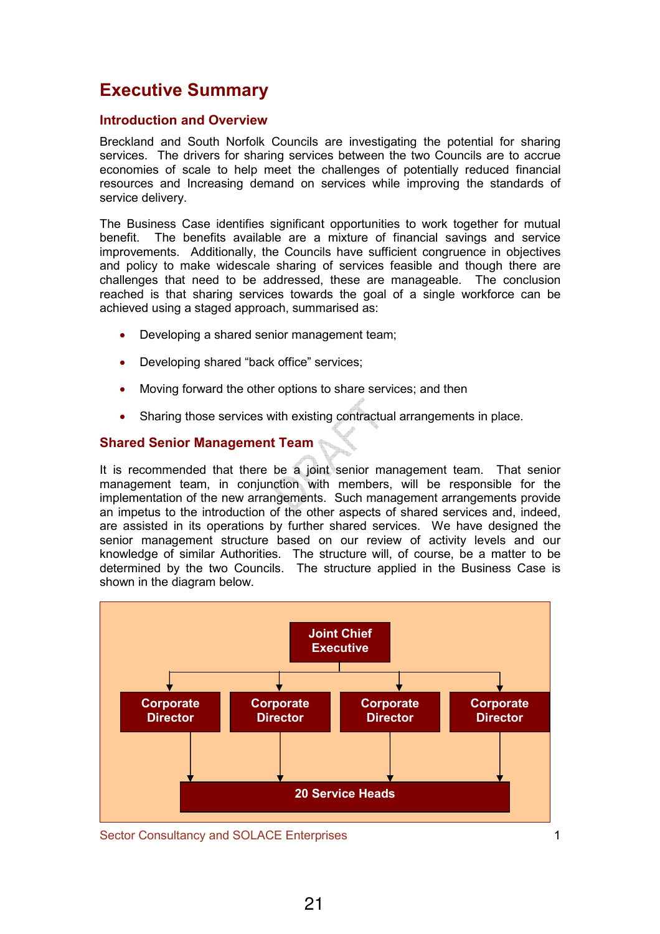# Executive Summary

## Introduction and Overview

Breckland and South Norfolk Councils are investigating the potential for sharing services. The drivers for sharing services between the two Councils are to accrue economies of scale to help meet the challenges of potentially reduced financial resources and Increasing demand on services while improving the standards of service delivery.

The Business Case identifies significant opportunities to work together for mutual benefit. The benefits available are a mixture of financial savings and service improvements. Additionally, the Councils have sufficient congruence in objectives and policy to make widescale sharing of services feasible and though there are challenges that need to be addressed, these are manageable. The conclusion reached is that sharing services towards the goal of a single workforce can be achieved using a staged approach, summarised as:

- Developing a shared senior management team;
- Developing shared "back office" services;
- Moving forward the other options to share services; and then
- Sharing those services with existing contractual arrangements in place.

## Shared Senior Management Team

It is recommended that there be a joint senior management team. That senior management team, in conjunction with members, will be responsible for the implementation of the new arrangements. Such management arrangements provide an impetus to the introduction of the other aspects of shared services and, indeed, are assisted in its operations by further shared services. We have designed the senior management structure based on our review of activity levels and our knowledge of similar Authorities. The structure will, of course, be a matter to be determined by the two Councils. The structure applied in the Business Case is shown in the diagram below.



Sector Consultancy and SOLACE Enterprises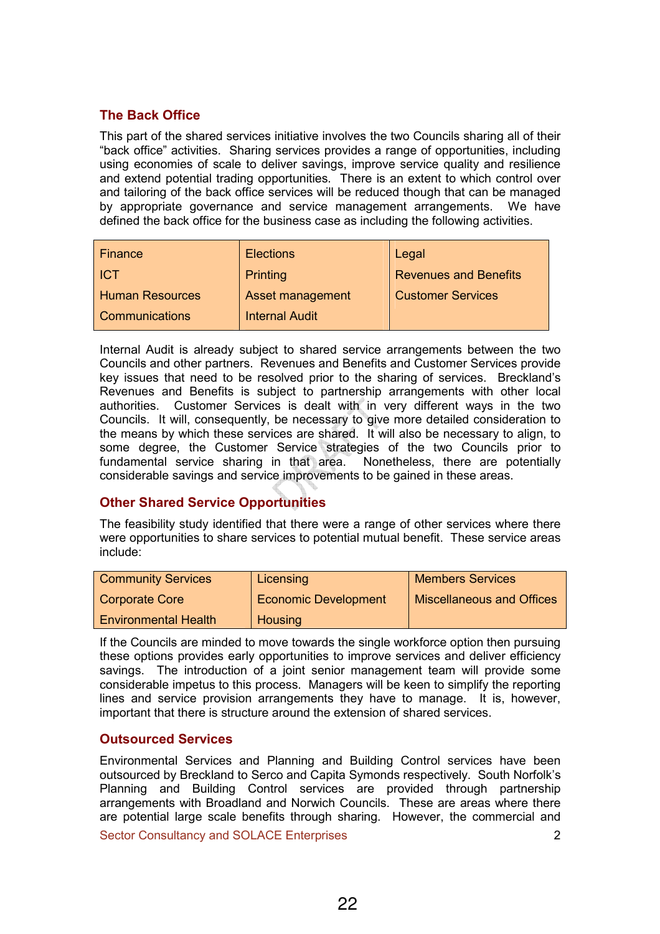## The Back Office

This part of the shared services initiative involves the two Councils sharing all of their "back office" activities. Sharing services provides a range of opportunities, including using economies of scale to deliver savings, improve service quality and resilience and extend potential trading opportunities. There is an extent to which control over and tailoring of the back office services will be reduced though that can be managed by appropriate governance and service management arrangements. We have defined the back office for the business case as including the following activities.

| Finance                | <b>Elections</b>      | Legal                        |
|------------------------|-----------------------|------------------------------|
| <b>ICT</b>             | Printing              | <b>Revenues and Benefits</b> |
| <b>Human Resources</b> | Asset management      | <b>Customer Services</b>     |
| <b>Communications</b>  | <b>Internal Audit</b> |                              |

Internal Audit is already subject to shared service arrangements between the two Councils and other partners. Revenues and Benefits and Customer Services provide key issues that need to be resolved prior to the sharing of services. Breckland's Revenues and Benefits is subject to partnership arrangements with other local authorities. Customer Services is dealt with in very different ways in the two Councils. It will, consequently, be necessary to give more detailed consideration to the means by which these services are shared. It will also be necessary to align, to some degree, the Customer Service strategies of the two Councils prior to fundamental service sharing in that area. Nonetheless, there are potentially considerable savings and service improvements to be gained in these areas.

## Other Shared Service Opportunities

The feasibility study identified that there were a range of other services where there were opportunities to share services to potential mutual benefit. These service areas include:

| <b>Community Services</b>   | Licensing                   | <b>Members Services</b>          |
|-----------------------------|-----------------------------|----------------------------------|
| <b>Corporate Core</b>       | <b>Economic Development</b> | <b>Miscellaneous and Offices</b> |
| <b>Environmental Health</b> | Housing                     |                                  |

If the Councils are minded to move towards the single workforce option then pursuing these options provides early opportunities to improve services and deliver efficiency savings. The introduction of a joint senior management team will provide some considerable impetus to this process. Managers will be keen to simplify the reporting lines and service provision arrangements they have to manage. It is, however, important that there is structure around the extension of shared services.

## Outsourced Services

Environmental Services and Planning and Building Control services have been outsourced by Breckland to Serco and Capita Symonds respectively. South Norfolk's Planning and Building Control services are provided through partnership arrangements with Broadland and Norwich Councils. These are areas where there are potential large scale benefits through sharing. However, the commercial and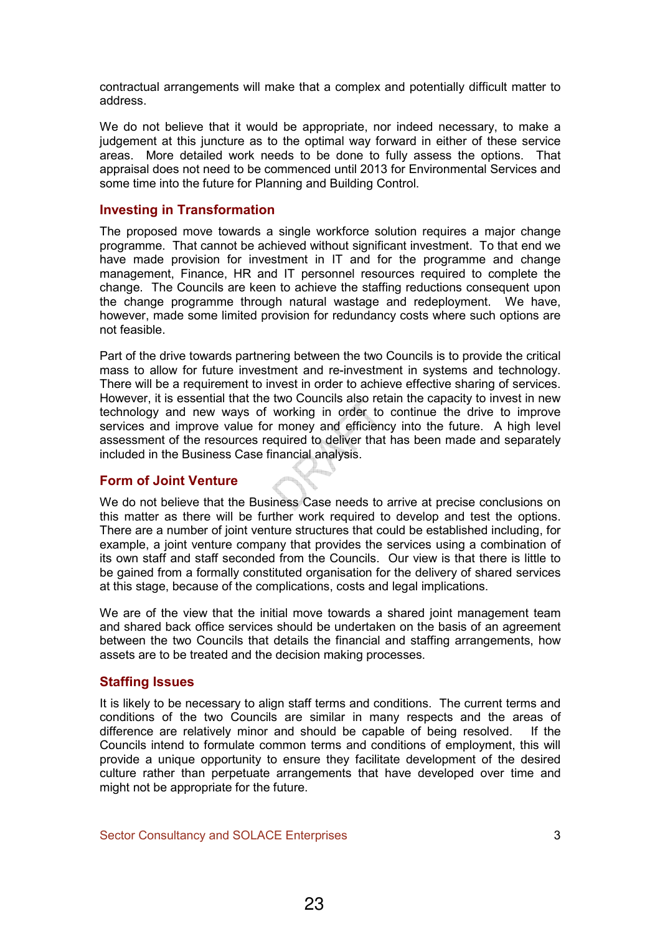contractual arrangements will make that a complex and potentially difficult matter to address.

We do not believe that it would be appropriate, nor indeed necessary, to make a judgement at this juncture as to the optimal way forward in either of these service areas. More detailed work needs to be done to fully assess the options. That appraisal does not need to be commenced until 2013 for Environmental Services and some time into the future for Planning and Building Control.

#### Investing in Transformation

The proposed move towards a single workforce solution requires a major change programme. That cannot be achieved without significant investment. To that end we have made provision for investment in IT and for the programme and change management, Finance, HR and IT personnel resources required to complete the change. The Councils are keen to achieve the staffing reductions consequent upon the change programme through natural wastage and redeployment. We have, however, made some limited provision for redundancy costs where such options are not feasible.

Part of the drive towards partnering between the two Councils is to provide the critical mass to allow for future investment and re-investment in systems and technology. There will be a requirement to invest in order to achieve effective sharing of services. However, it is essential that the two Councils also retain the capacity to invest in new technology and new ways of working in order to continue the drive to improve services and improve value for money and efficiency into the future. A high level assessment of the resources required to deliver that has been made and separately included in the Business Case financial analysis.

## Form of Joint Venture

We do not believe that the Business Case needs to arrive at precise conclusions on this matter as there will be further work required to develop and test the options. There are a number of joint venture structures that could be established including, for example, a joint venture company that provides the services using a combination of its own staff and staff seconded from the Councils. Our view is that there is little to be gained from a formally constituted organisation for the delivery of shared services at this stage, because of the complications, costs and legal implications.

We are of the view that the initial move towards a shared joint management team and shared back office services should be undertaken on the basis of an agreement between the two Councils that details the financial and staffing arrangements, how assets are to be treated and the decision making processes.

## Staffing Issues

It is likely to be necessary to align staff terms and conditions. The current terms and conditions of the two Councils are similar in many respects and the areas of difference are relatively minor and should be capable of being resolved. If the Councils intend to formulate common terms and conditions of employment, this will provide a unique opportunity to ensure they facilitate development of the desired culture rather than perpetuate arrangements that have developed over time and might not be appropriate for the future.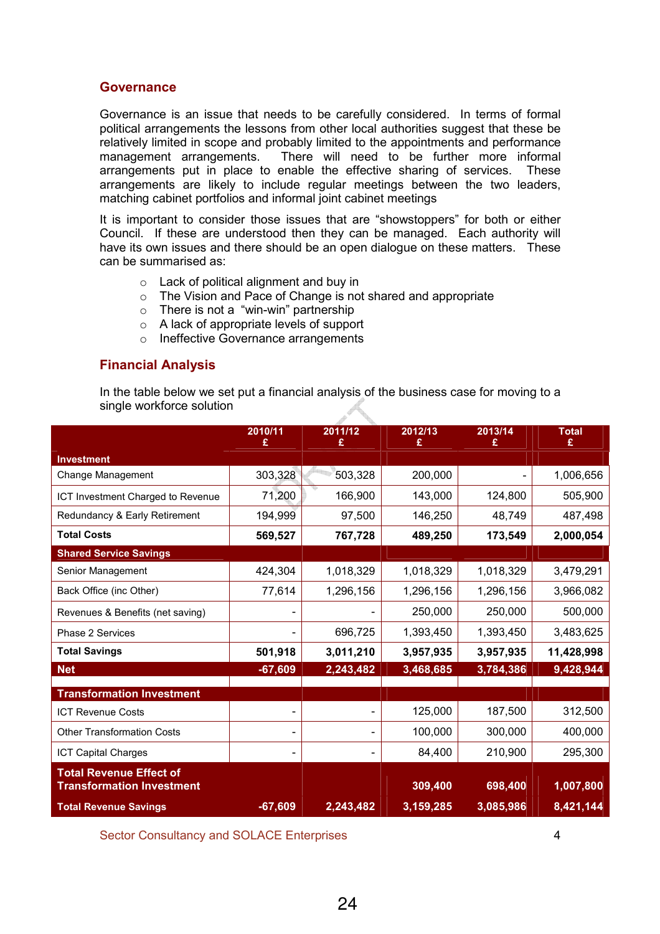## **Governance**

Governance is an issue that needs to be carefully considered. In terms of formal political arrangements the lessons from other local authorities suggest that these be relatively limited in scope and probably limited to the appointments and performance management arrangements. There will need to be further more informal arrangements put in place to enable the effective sharing of services. These arrangements are likely to include regular meetings between the two leaders, matching cabinet portfolios and informal joint cabinet meetings

It is important to consider those issues that are "showstoppers" for both or either Council. If these are understood then they can be managed. Each authority will have its own issues and there should be an open dialogue on these matters. These can be summarised as:

- o Lack of political alignment and buy in
- o The Vision and Pace of Change is not shared and appropriate
- o There is not a "win-win" partnership
- o A lack of appropriate levels of support
- o Ineffective Governance arrangements

## Financial Analysis

In the table below we set put a financial analysis of the business case for moving to a single workforce solution

|                                   | 2010/11<br>£             | 2011/12<br>£ | 2012/13<br>£ | 2013/14<br>£ | <b>Total</b><br>£ |
|-----------------------------------|--------------------------|--------------|--------------|--------------|-------------------|
| <b>Investment</b>                 |                          |              |              |              |                   |
| Change Management                 | 303,328                  | 503,328      | 200,000      |              | 1,006,656         |
| ICT Investment Charged to Revenue | 71,200                   | 166,900      | 143,000      | 124,800      | 505,900           |
| Redundancy & Early Retirement     | 194,999                  | 97,500       | 146,250      | 48,749       | 487,498           |
| <b>Total Costs</b>                | 569,527                  | 767,728      | 489,250      | 173,549      | 2,000,054         |
| <b>Shared Service Savings</b>     |                          |              |              |              |                   |
| Senior Management                 | 424,304                  | 1,018,329    | 1,018,329    | 1,018,329    | 3,479,291         |
| Back Office (inc Other)           | 77,614                   | 1,296,156    | 1,296,156    | 1,296,156    | 3,966,082         |
| Revenues & Benefits (net saving)  |                          |              | 250,000      | 250,000      | 500,000           |
| Phase 2 Services                  |                          | 696,725      | 1,393,450    | 1,393,450    | 3,483,625         |
| <b>Total Savings</b>              | 501,918                  | 3,011,210    | 3,957,935    | 3,957,935    | 11,428,998        |
| <b>Net</b>                        | $-67,609$                | 2,243,482    | 3,468,685    | 3,784,386    | 9,428,944         |
| <b>Transformation Investment</b>  |                          |              |              |              |                   |
| <b>ICT Revenue Costs</b>          |                          |              | 125,000      | 187,500      | 312,500           |
| <b>Other Transformation Costs</b> | $\overline{\phantom{a}}$ |              | 100,000      | 300,000      | 400,000           |
| <b>ICT Capital Charges</b>        |                          |              | 84,400       | 210,900      | 295,300           |
| <b>Total Revenue Effect of</b>    |                          |              |              |              |                   |
| <b>Transformation Investment</b>  |                          |              | 309,400      | 698,400      | 1,007,800         |
| <b>Total Revenue Savings</b>      | $-67,609$                | 2,243,482    | 3,159,285    | 3,085,986    | 8,421,144         |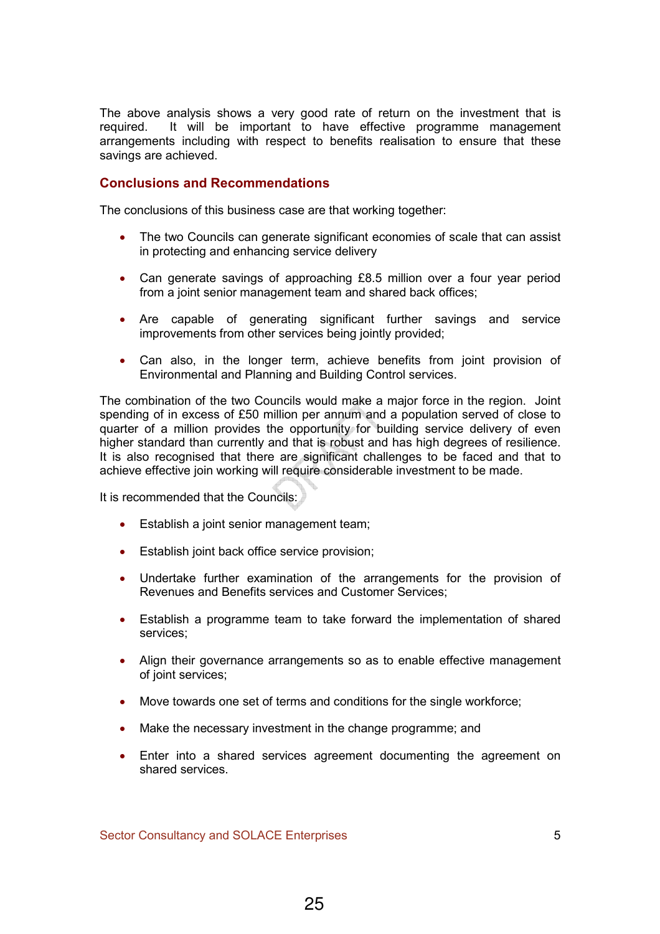The above analysis shows a very good rate of return on the investment that is required. It will be important to have effective programme management arrangements including with respect to benefits realisation to ensure that these savings are achieved.

## Conclusions and Recommendations

The conclusions of this business case are that working together:

- The two Councils can generate significant economies of scale that can assist in protecting and enhancing service delivery
- Can generate savings of approaching £8.5 million over a four year period from a joint senior management team and shared back offices;
- Are capable of generating significant further savings and service improvements from other services being jointly provided;
- Can also, in the longer term, achieve benefits from joint provision of Environmental and Planning and Building Control services.

The combination of the two Councils would make a major force in the region. Joint spending of in excess of £50 million per annum and a population served of close to quarter of a million provides the opportunity for building service delivery of even higher standard than currently and that is robust and has high degrees of resilience. It is also recognised that there are significant challenges to be faced and that to achieve effective join working will require considerable investment to be made.

It is recommended that the Councils:

- Establish a joint senior management team;
- Establish joint back office service provision;
- Undertake further examination of the arrangements for the provision of Revenues and Benefits services and Customer Services;
- Establish a programme team to take forward the implementation of shared services;
- Align their governance arrangements so as to enable effective management of joint services;
- Move towards one set of terms and conditions for the single workforce;
- Make the necessary investment in the change programme; and
- Enter into a shared services agreement documenting the agreement on shared services.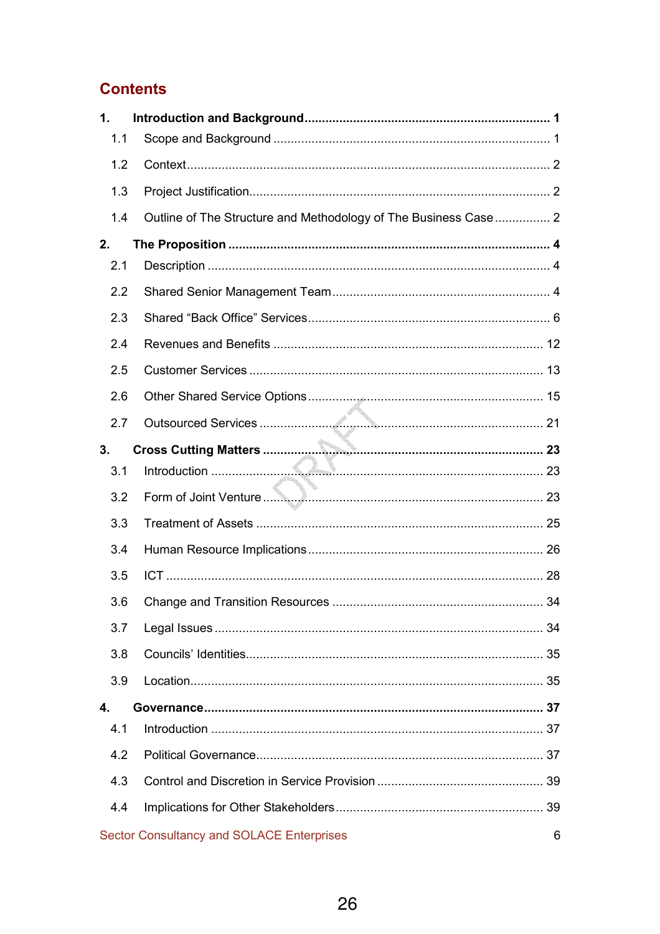# **Contents**

| 1.                        |                                                                 |
|---------------------------|-----------------------------------------------------------------|
| 1.1                       |                                                                 |
| 1.2                       |                                                                 |
| 1.3                       |                                                                 |
| 1.4                       | Outline of The Structure and Methodology of The Business Case 2 |
| 2.                        |                                                                 |
| 2.1                       |                                                                 |
| 2.2                       |                                                                 |
| 2.3                       |                                                                 |
| 2.4                       |                                                                 |
| 2.5                       |                                                                 |
| 2.6                       |                                                                 |
| 2.7                       |                                                                 |
| 3.                        |                                                                 |
| 3.1                       |                                                                 |
| 3.2                       |                                                                 |
| 3.3                       |                                                                 |
| 3.4                       |                                                                 |
| 3.5                       |                                                                 |
| 3.6                       |                                                                 |
| 3.7                       |                                                                 |
| 3.8                       |                                                                 |
| 3.9                       |                                                                 |
| $\overline{\mathbf{4}}$ . |                                                                 |
| 4.1                       |                                                                 |
| 4.2                       |                                                                 |
| 4.3                       |                                                                 |
| 4.4                       |                                                                 |
|                           | <b>Sector Consultancy and SOLACE Enterprises</b><br>6           |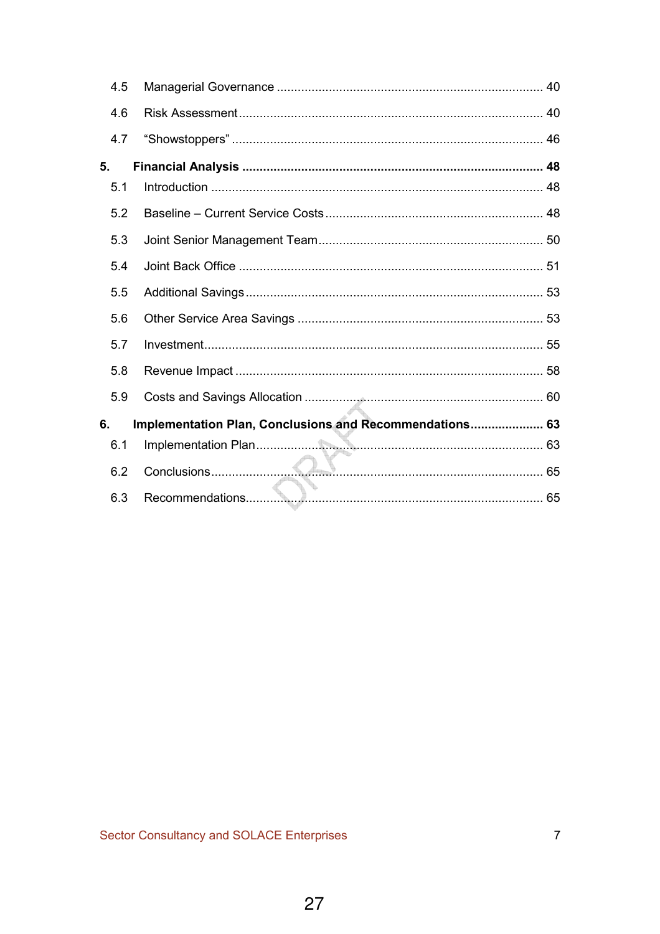| 4.6 |                                                         |
|-----|---------------------------------------------------------|
| 4.7 |                                                         |
|     |                                                         |
|     |                                                         |
| 5.2 |                                                         |
| 5.3 |                                                         |
| 5.4 |                                                         |
| 5.5 |                                                         |
| 5.6 |                                                         |
| 5.7 |                                                         |
| 5.8 |                                                         |
| 5.9 |                                                         |
|     |                                                         |
|     |                                                         |
| 6.2 |                                                         |
| 6.3 |                                                         |
|     | Implementation Plan, Conclusions and Recommendations 63 |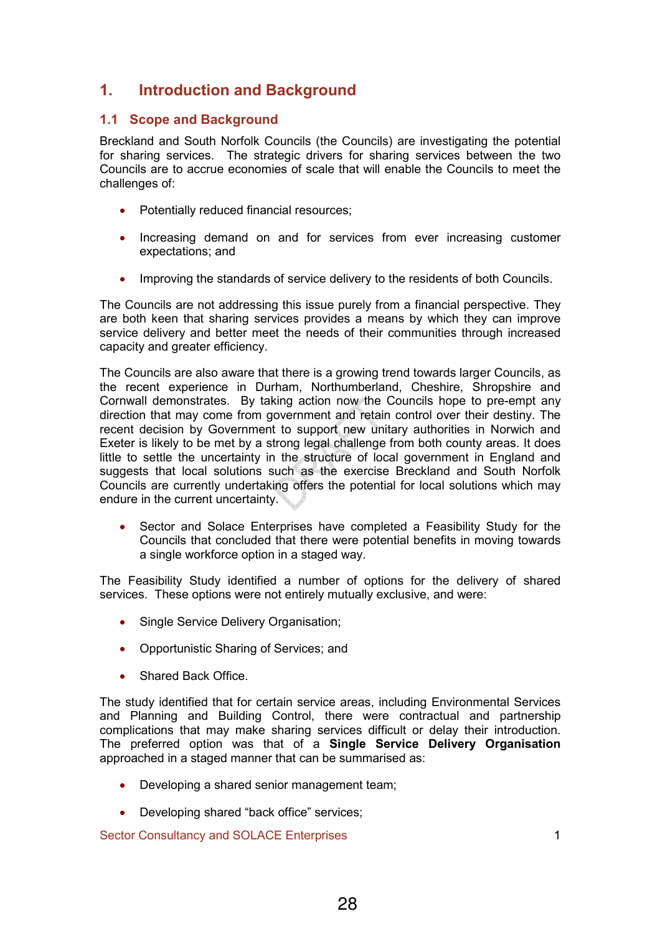## 1. Introduction and Background

## 1.1 Scope and Background

Breckland and South Norfolk Councils (the Councils) are investigating the potential for sharing services. The strategic drivers for sharing services between the two Councils are to accrue economies of scale that will enable the Councils to meet the challenges of:

- Potentially reduced financial resources;
- Increasing demand on and for services from ever increasing customer expectations; and
- Improving the standards of service delivery to the residents of both Councils.

The Councils are not addressing this issue purely from a financial perspective. They are both keen that sharing services provides a means by which they can improve service delivery and better meet the needs of their communities through increased capacity and greater efficiency.

The Councils are also aware that there is a growing trend towards larger Councils, as the recent experience in Durham, Northumberland, Cheshire, Shropshire and Cornwall demonstrates. By taking action now the Councils hope to pre-empt any direction that may come from government and retain control over their destiny. The recent decision by Government to support new unitary authorities in Norwich and Exeter is likely to be met by a strong legal challenge from both county areas. It does little to settle the uncertainty in the structure of local government in England and suggests that local solutions such as the exercise Breckland and South Norfolk Councils are currently undertaking offers the potential for local solutions which may endure in the current uncertainty.

• Sector and Solace Enterprises have completed a Feasibility Study for the Councils that concluded that there were potential benefits in moving towards a single workforce option in a staged way.

The Feasibility Study identified a number of options for the delivery of shared services. These options were not entirely mutually exclusive, and were:

- Single Service Delivery Organisation;
- Opportunistic Sharing of Services; and
- Shared Back Office.

The study identified that for certain service areas, including Environmental Services and Planning and Building Control, there were contractual and partnership complications that may make sharing services difficult or delay their introduction. The preferred option was that of a Single Service Delivery Organisation approached in a staged manner that can be summarised as:

- Developing a shared senior management team;
- Developing shared "back office" services;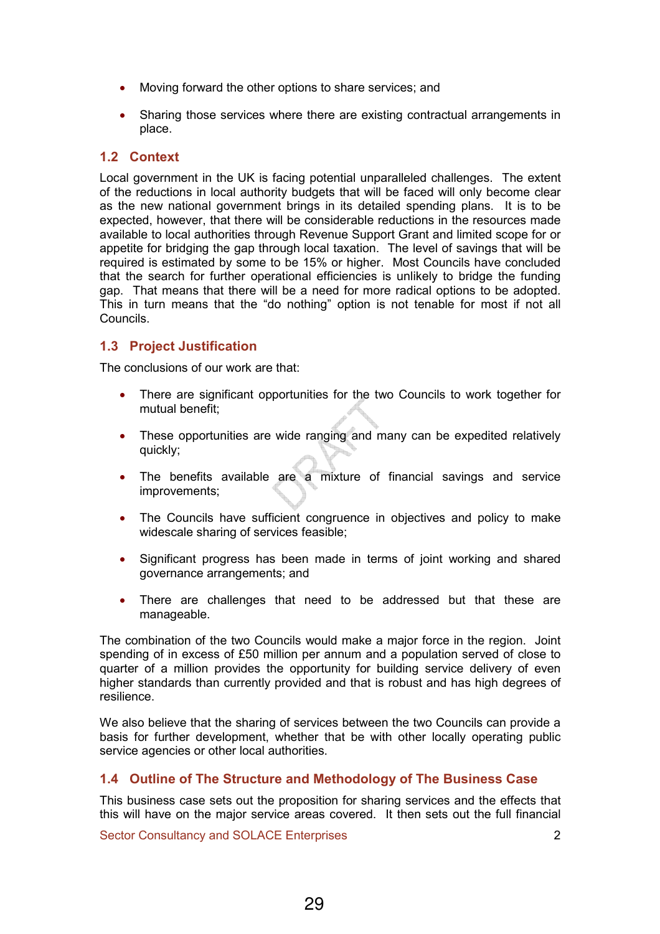- Moving forward the other options to share services; and
- Sharing those services where there are existing contractual arrangements in place.

## 1.2 Context

Local government in the UK is facing potential unparalleled challenges. The extent of the reductions in local authority budgets that will be faced will only become clear as the new national government brings in its detailed spending plans. It is to be expected, however, that there will be considerable reductions in the resources made available to local authorities through Revenue Support Grant and limited scope for or appetite for bridging the gap through local taxation. The level of savings that will be required is estimated by some to be 15% or higher. Most Councils have concluded that the search for further operational efficiencies is unlikely to bridge the funding gap. That means that there will be a need for more radical options to be adopted. This in turn means that the "do nothing" option is not tenable for most if not all **Councils** 

## 1.3 Project Justification

The conclusions of our work are that:

- There are significant opportunities for the two Councils to work together for mutual benefit;
- These opportunities are wide ranging and many can be expedited relatively quickly;
- The benefits available are a mixture of financial savings and service improvements;
- The Councils have sufficient congruence in objectives and policy to make widescale sharing of services feasible;
- Significant progress has been made in terms of joint working and shared governance arrangements; and
- There are challenges that need to be addressed but that these are manageable.

The combination of the two Councils would make a major force in the region. Joint spending of in excess of £50 million per annum and a population served of close to quarter of a million provides the opportunity for building service delivery of even higher standards than currently provided and that is robust and has high degrees of resilience.

We also believe that the sharing of services between the two Councils can provide a basis for further development, whether that be with other locally operating public service agencies or other local authorities.

## 1.4 Outline of The Structure and Methodology of The Business Case

This business case sets out the proposition for sharing services and the effects that this will have on the major service areas covered. It then sets out the full financial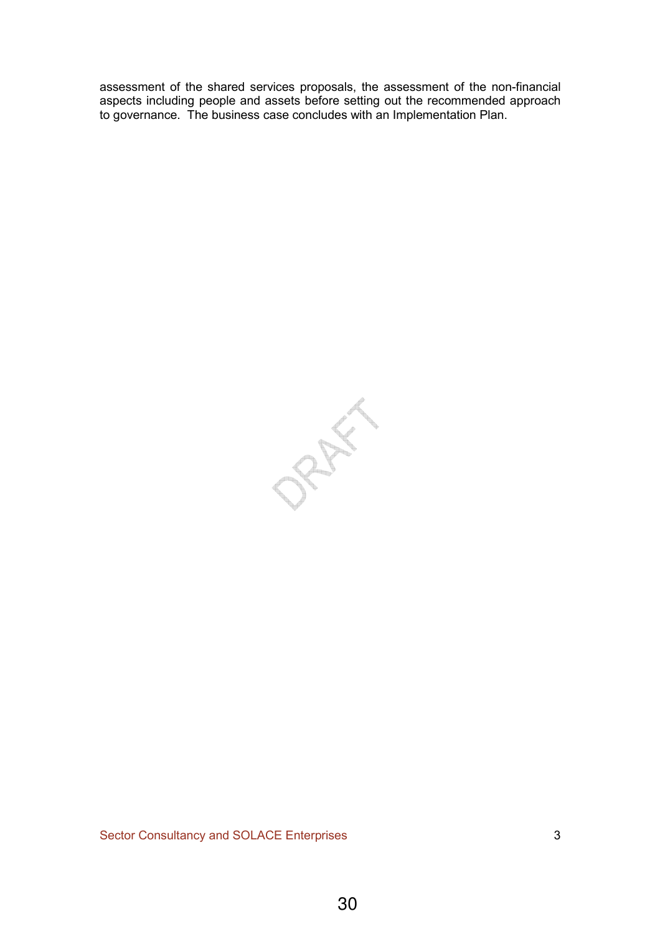assessment of the shared services proposals, the assessment of the non-financial aspects including people and assets before setting out the recommended approach to governance. The business case concludes with an Implementation Plan.

PREFE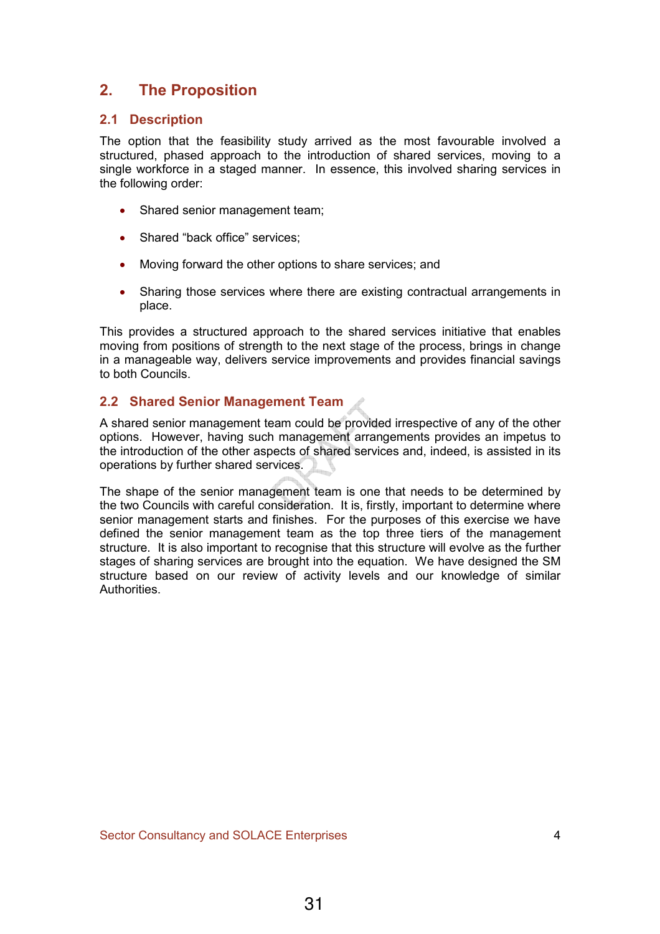# 2. The Proposition

## 2.1 Description

The option that the feasibility study arrived as the most favourable involved a structured, phased approach to the introduction of shared services, moving to a single workforce in a staged manner. In essence, this involved sharing services in the following order:

- Shared senior management team;
- Shared "back office" services:
- Moving forward the other options to share services; and
- Sharing those services where there are existing contractual arrangements in place.

This provides a structured approach to the shared services initiative that enables moving from positions of strength to the next stage of the process, brings in change in a manageable way, delivers service improvements and provides financial savings to both Councils.

## 2.2 Shared Senior Management Team

A shared senior management team could be provided irrespective of any of the other options. However, having such management arrangements provides an impetus to the introduction of the other aspects of shared services and, indeed, is assisted in its operations by further shared services.

The shape of the senior management team is one that needs to be determined by the two Councils with careful consideration. It is, firstly, important to determine where senior management starts and finishes. For the purposes of this exercise we have defined the senior management team as the top three tiers of the management structure. It is also important to recognise that this structure will evolve as the further stages of sharing services are brought into the equation. We have designed the SM structure based on our review of activity levels and our knowledge of similar Authorities.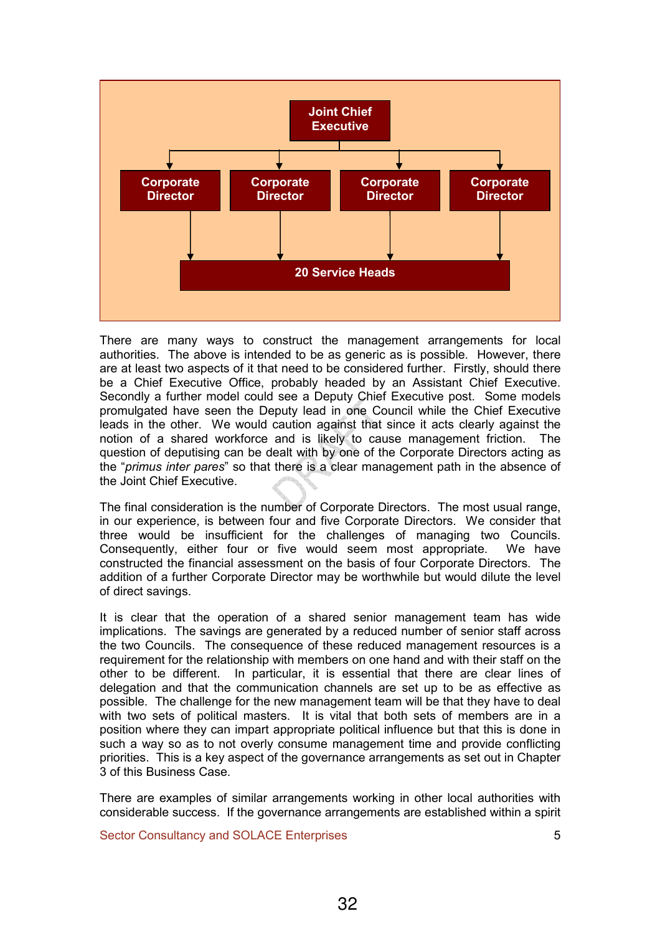

There are many ways to construct the management arrangements for local authorities. The above is intended to be as generic as is possible. However, there are at least two aspects of it that need to be considered further. Firstly, should there be a Chief Executive Office, probably headed by an Assistant Chief Executive. Secondly a further model could see a Deputy Chief Executive post. Some models promulgated have seen the Deputy lead in one Council while the Chief Executive leads in the other. We would caution against that since it acts clearly against the notion of a shared workforce and is likely to cause management friction. The question of deputising can be dealt with by one of the Corporate Directors acting as the "primus inter pares" so that there is a clear management path in the absence of the Joint Chief Executive.

The final consideration is the number of Corporate Directors. The most usual range, in our experience, is between four and five Corporate Directors. We consider that three would be insufficient for the challenges of managing two Councils. Consequently, either four or five would seem most appropriate. We have constructed the financial assessment on the basis of four Corporate Directors. The addition of a further Corporate Director may be worthwhile but would dilute the level of direct savings.

It is clear that the operation of a shared senior management team has wide implications. The savings are generated by a reduced number of senior staff across the two Councils. The consequence of these reduced management resources is a requirement for the relationship with members on one hand and with their staff on the other to be different. In particular, it is essential that there are clear lines of delegation and that the communication channels are set up to be as effective as possible. The challenge for the new management team will be that they have to deal with two sets of political masters. It is vital that both sets of members are in a position where they can impart appropriate political influence but that this is done in such a way so as to not overly consume management time and provide conflicting priorities. This is a key aspect of the governance arrangements as set out in Chapter 3 of this Business Case.

There are examples of similar arrangements working in other local authorities with considerable success. If the governance arrangements are established within a spirit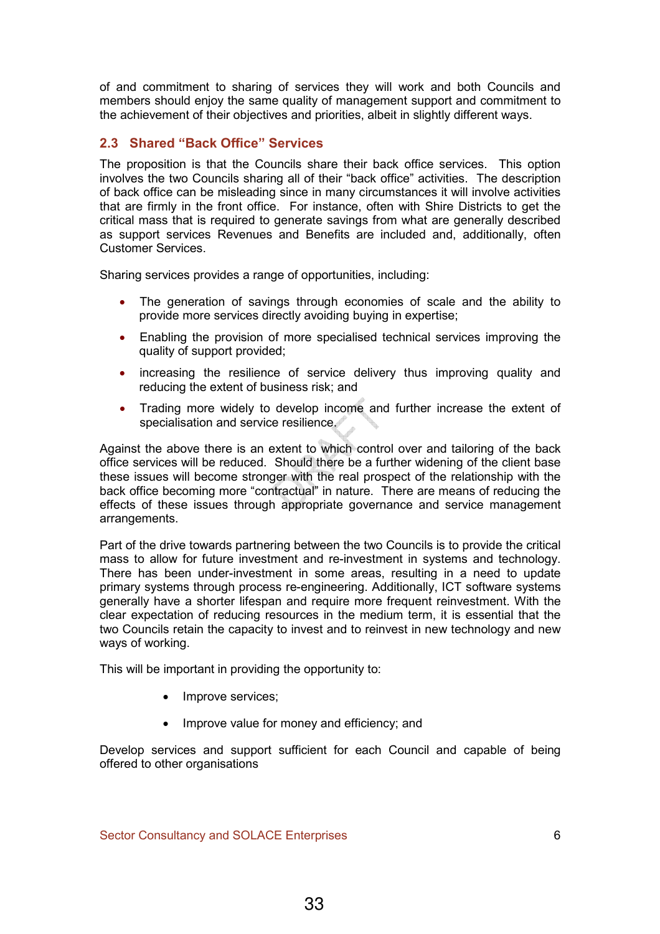of and commitment to sharing of services they will work and both Councils and members should enjoy the same quality of management support and commitment to the achievement of their objectives and priorities, albeit in slightly different ways.

## 2.3 Shared "Back Office" Services

The proposition is that the Councils share their back office services. This option involves the two Councils sharing all of their "back office" activities. The description of back office can be misleading since in many circumstances it will involve activities that are firmly in the front office. For instance, often with Shire Districts to get the critical mass that is required to generate savings from what are generally described as support services Revenues and Benefits are included and, additionally, often Customer Services.

Sharing services provides a range of opportunities, including:

- The generation of savings through economies of scale and the ability to provide more services directly avoiding buying in expertise;
- Enabling the provision of more specialised technical services improving the quality of support provided;
- increasing the resilience of service delivery thus improving quality and reducing the extent of business risk; and
- Trading more widely to develop income and further increase the extent of specialisation and service resilience.

Against the above there is an extent to which control over and tailoring of the back office services will be reduced. Should there be a further widening of the client base these issues will become stronger with the real prospect of the relationship with the back office becoming more "contractual" in nature. There are means of reducing the effects of these issues through appropriate governance and service management arrangements.

Part of the drive towards partnering between the two Councils is to provide the critical mass to allow for future investment and re-investment in systems and technology. There has been under-investment in some areas, resulting in a need to update primary systems through process re-engineering. Additionally, ICT software systems generally have a shorter lifespan and require more frequent reinvestment. With the clear expectation of reducing resources in the medium term, it is essential that the two Councils retain the capacity to invest and to reinvest in new technology and new ways of working.

This will be important in providing the opportunity to:

- Improve services;
- Improve value for money and efficiency; and

Develop services and support sufficient for each Council and capable of being offered to other organisations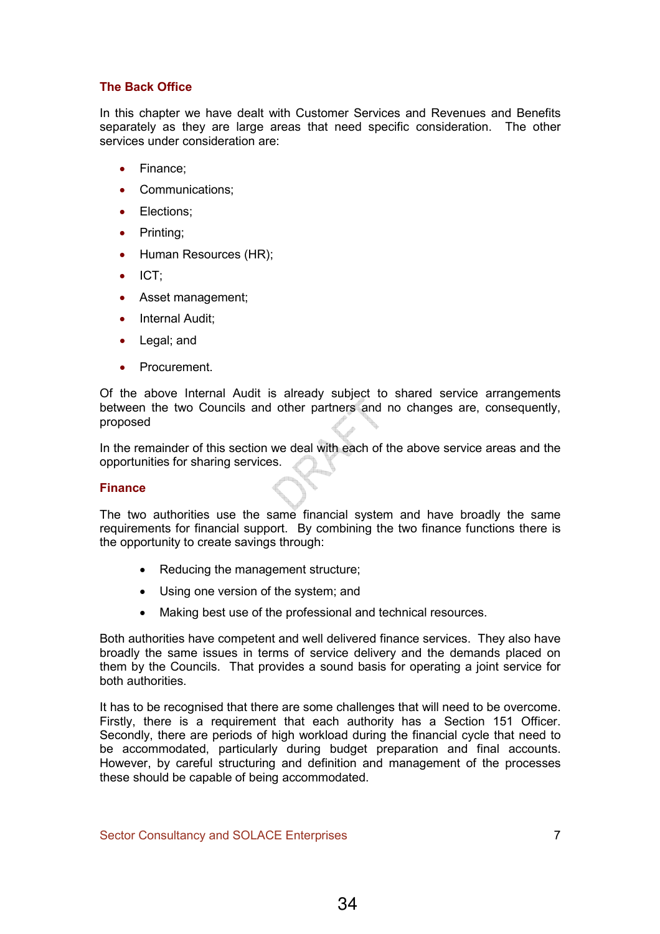## The Back Office

In this chapter we have dealt with Customer Services and Revenues and Benefits separately as they are large areas that need specific consideration. The other services under consideration are:

- Finance;
- Communications;
- Elections;
- Printing;
- Human Resources (HR);
- ICT;
- Asset management;
- Internal Audit:
- Legal; and
- Procurement.

Of the above Internal Audit is already subject to shared service arrangements between the two Councils and other partners and no changes are, consequently, proposed

In the remainder of this section we deal with each of the above service areas and the opportunities for sharing services.

## **Finance**

The two authorities use the same financial system and have broadly the same requirements for financial support. By combining the two finance functions there is the opportunity to create savings through:

- Reducing the management structure;
- Using one version of the system; and
- Making best use of the professional and technical resources.

Both authorities have competent and well delivered finance services. They also have broadly the same issues in terms of service delivery and the demands placed on them by the Councils. That provides a sound basis for operating a joint service for both authorities.

It has to be recognised that there are some challenges that will need to be overcome. Firstly, there is a requirement that each authority has a Section 151 Officer. Secondly, there are periods of high workload during the financial cycle that need to be accommodated, particularly during budget preparation and final accounts. However, by careful structuring and definition and management of the processes these should be capable of being accommodated.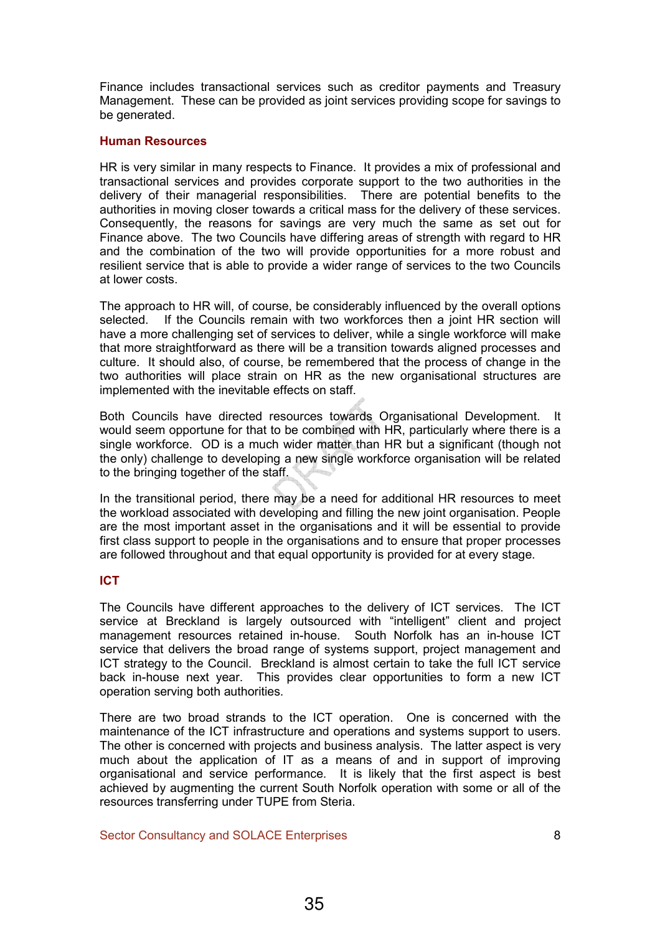Finance includes transactional services such as creditor payments and Treasury Management. These can be provided as joint services providing scope for savings to be generated.

#### Human Resources

HR is very similar in many respects to Finance. It provides a mix of professional and transactional services and provides corporate support to the two authorities in the delivery of their managerial responsibilities. There are potential benefits to the authorities in moving closer towards a critical mass for the delivery of these services. Consequently, the reasons for savings are very much the same as set out for Finance above. The two Councils have differing areas of strength with regard to HR and the combination of the two will provide opportunities for a more robust and resilient service that is able to provide a wider range of services to the two Councils at lower costs.

The approach to HR will, of course, be considerably influenced by the overall options selected. If the Councils remain with two workforces then a joint HR section will have a more challenging set of services to deliver, while a single workforce will make that more straightforward as there will be a transition towards aligned processes and culture. It should also, of course, be remembered that the process of change in the two authorities will place strain on HR as the new organisational structures are implemented with the inevitable effects on staff.

Both Councils have directed resources towards Organisational Development. It would seem opportune for that to be combined with HR, particularly where there is a single workforce. OD is a much wider matter than HR but a significant (though not the only) challenge to developing a new single workforce organisation will be related to the bringing together of the staff.

In the transitional period, there may be a need for additional HR resources to meet the workload associated with developing and filling the new joint organisation. People are the most important asset in the organisations and it will be essential to provide first class support to people in the organisations and to ensure that proper processes are followed throughout and that equal opportunity is provided for at every stage.

## ICT

The Councils have different approaches to the delivery of ICT services. The ICT service at Breckland is largely outsourced with "intelligent" client and project management resources retained in-house. South Norfolk has an in-house ICT service that delivers the broad range of systems support, project management and ICT strategy to the Council. Breckland is almost certain to take the full ICT service back in-house next year. This provides clear opportunities to form a new ICT operation serving both authorities.

There are two broad strands to the ICT operation. One is concerned with the maintenance of the ICT infrastructure and operations and systems support to users. The other is concerned with projects and business analysis. The latter aspect is very much about the application of IT as a means of and in support of improving organisational and service performance. It is likely that the first aspect is best achieved by augmenting the current South Norfolk operation with some or all of the resources transferring under TUPE from Steria.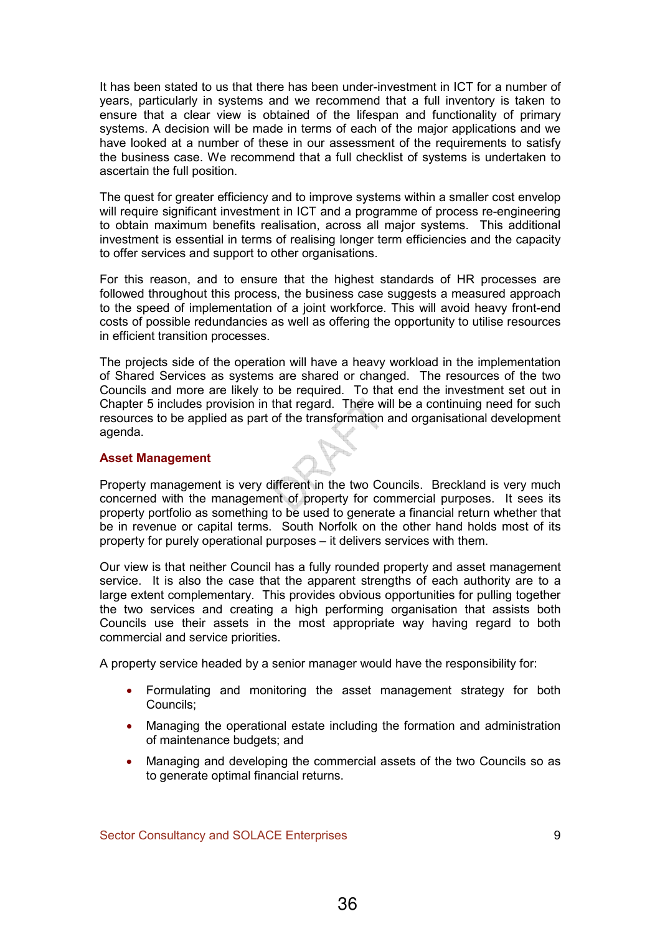It has been stated to us that there has been under-investment in ICT for a number of years, particularly in systems and we recommend that a full inventory is taken to ensure that a clear view is obtained of the lifespan and functionality of primary systems. A decision will be made in terms of each of the major applications and we have looked at a number of these in our assessment of the requirements to satisfy the business case. We recommend that a full checklist of systems is undertaken to ascertain the full position.

The quest for greater efficiency and to improve systems within a smaller cost envelop will require significant investment in ICT and a programme of process re-engineering to obtain maximum benefits realisation, across all major systems. This additional investment is essential in terms of realising longer term efficiencies and the capacity to offer services and support to other organisations.

For this reason, and to ensure that the highest standards of HR processes are followed throughout this process, the business case suggests a measured approach to the speed of implementation of a joint workforce. This will avoid heavy front-end costs of possible redundancies as well as offering the opportunity to utilise resources in efficient transition processes.

The projects side of the operation will have a heavy workload in the implementation of Shared Services as systems are shared or changed. The resources of the two Councils and more are likely to be required. To that end the investment set out in Chapter 5 includes provision in that regard. There will be a continuing need for such resources to be applied as part of the transformation and organisational development agenda.

#### Asset Management

Property management is very different in the two Councils. Breckland is very much concerned with the management of property for commercial purposes. It sees its property portfolio as something to be used to generate a financial return whether that be in revenue or capital terms. South Norfolk on the other hand holds most of its property for purely operational purposes – it delivers services with them.

Our view is that neither Council has a fully rounded property and asset management service. It is also the case that the apparent strengths of each authority are to a large extent complementary. This provides obvious opportunities for pulling together the two services and creating a high performing organisation that assists both Councils use their assets in the most appropriate way having regard to both commercial and service priorities.

A property service headed by a senior manager would have the responsibility for:

- Formulating and monitoring the asset management strategy for both Councils;
- Managing the operational estate including the formation and administration of maintenance budgets; and
- Managing and developing the commercial assets of the two Councils so as to generate optimal financial returns.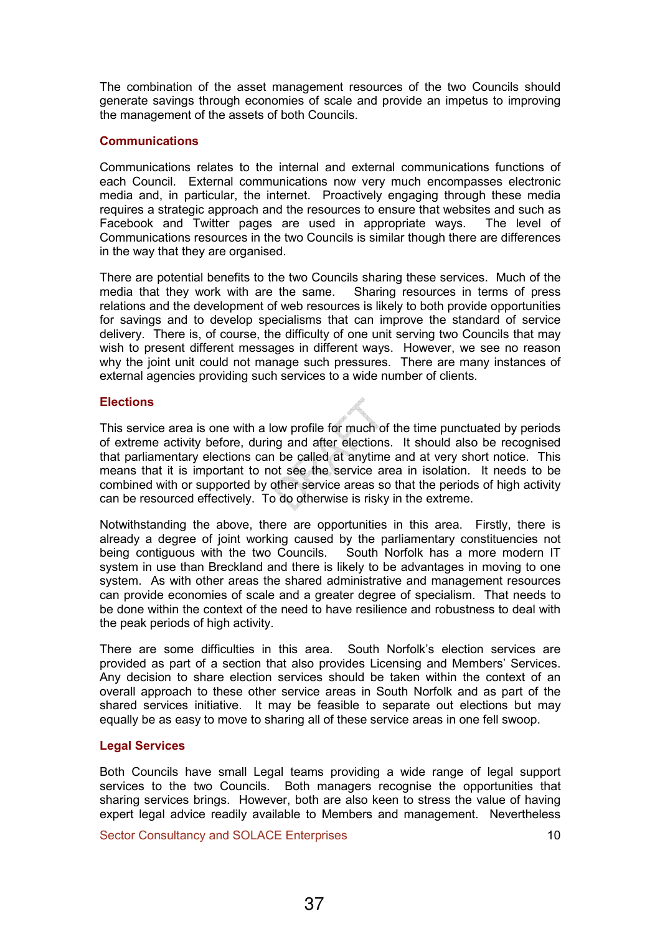The combination of the asset management resources of the two Councils should generate savings through economies of scale and provide an impetus to improving the management of the assets of both Councils.

#### **Communications**

Communications relates to the internal and external communications functions of each Council. External communications now very much encompasses electronic media and, in particular, the internet. Proactively engaging through these media requires a strategic approach and the resources to ensure that websites and such as Facebook and Twitter pages are used in appropriate ways. The level of Communications resources in the two Councils is similar though there are differences in the way that they are organised.

There are potential benefits to the two Councils sharing these services. Much of the media that they work with are the same. Sharing resources in terms of press relations and the development of web resources is likely to both provide opportunities for savings and to develop specialisms that can improve the standard of service delivery. There is, of course, the difficulty of one unit serving two Councils that may wish to present different messages in different ways. However, we see no reason why the joint unit could not manage such pressures. There are many instances of external agencies providing such services to a wide number of clients.

#### **Elections**

This service area is one with a low profile for much of the time punctuated by periods of extreme activity before, during and after elections. It should also be recognised that parliamentary elections can be called at anytime and at very short notice. This means that it is important to not see the service area in isolation. It needs to be combined with or supported by other service areas so that the periods of high activity can be resourced effectively. To do otherwise is risky in the extreme.

Notwithstanding the above, there are opportunities in this area. Firstly, there is already a degree of joint working caused by the parliamentary constituencies not being contiguous with the two Councils. South Norfolk has a more modern IT system in use than Breckland and there is likely to be advantages in moving to one system. As with other areas the shared administrative and management resources can provide economies of scale and a greater degree of specialism. That needs to be done within the context of the need to have resilience and robustness to deal with the peak periods of high activity.

There are some difficulties in this area. South Norfolk's election services are provided as part of a section that also provides Licensing and Members' Services. Any decision to share election services should be taken within the context of an overall approach to these other service areas in South Norfolk and as part of the shared services initiative. It may be feasible to separate out elections but may equally be as easy to move to sharing all of these service areas in one fell swoop.

## Legal Services

Both Councils have small Legal teams providing a wide range of legal support services to the two Councils. Both managers recognise the opportunities that sharing services brings. However, both are also keen to stress the value of having expert legal advice readily available to Members and management. Nevertheless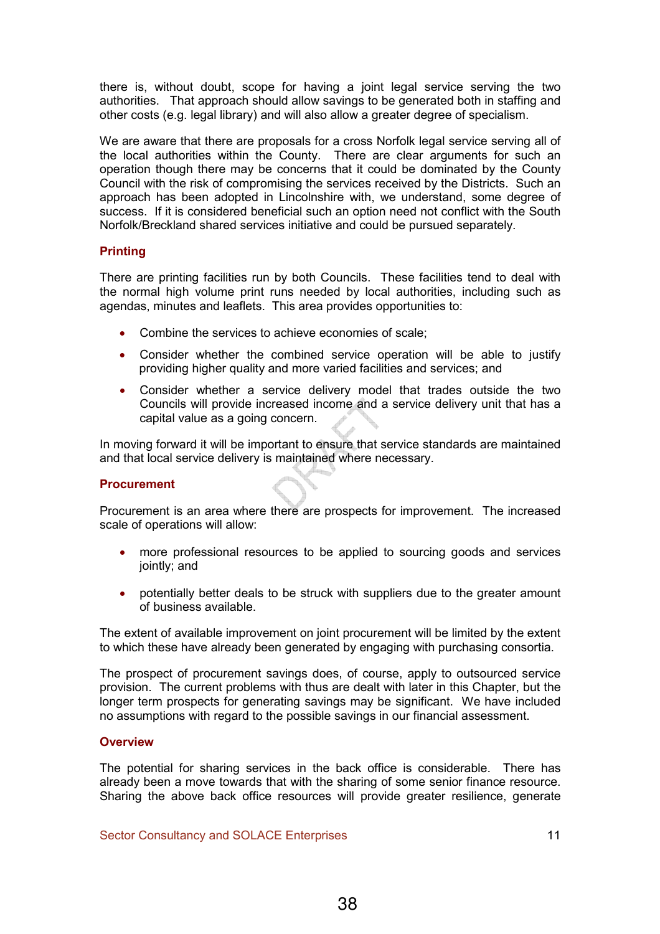there is, without doubt, scope for having a joint legal service serving the two authorities. That approach should allow savings to be generated both in staffing and other costs (e.g. legal library) and will also allow a greater degree of specialism.

We are aware that there are proposals for a cross Norfolk legal service serving all of the local authorities within the County. There are clear arguments for such an operation though there may be concerns that it could be dominated by the County Council with the risk of compromising the services received by the Districts. Such an approach has been adopted in Lincolnshire with, we understand, some degree of success. If it is considered beneficial such an option need not conflict with the South Norfolk/Breckland shared services initiative and could be pursued separately.

## **Printing**

There are printing facilities run by both Councils. These facilities tend to deal with the normal high volume print runs needed by local authorities, including such as agendas, minutes and leaflets. This area provides opportunities to:

- Combine the services to achieve economies of scale;
- Consider whether the combined service operation will be able to justify providing higher quality and more varied facilities and services; and
- Consider whether a service delivery model that trades outside the two Councils will provide increased income and a service delivery unit that has a capital value as a going concern.

In moving forward it will be important to ensure that service standards are maintained and that local service delivery is maintained where necessary.

#### **Procurement**

Procurement is an area where there are prospects for improvement. The increased scale of operations will allow:

- more professional resources to be applied to sourcing goods and services jointly; and
- potentially better deals to be struck with suppliers due to the greater amount of business available.

The extent of available improvement on joint procurement will be limited by the extent to which these have already been generated by engaging with purchasing consortia.

The prospect of procurement savings does, of course, apply to outsourced service provision. The current problems with thus are dealt with later in this Chapter, but the longer term prospects for generating savings may be significant. We have included no assumptions with regard to the possible savings in our financial assessment.

#### **Overview**

The potential for sharing services in the back office is considerable. There has already been a move towards that with the sharing of some senior finance resource. Sharing the above back office resources will provide greater resilience, generate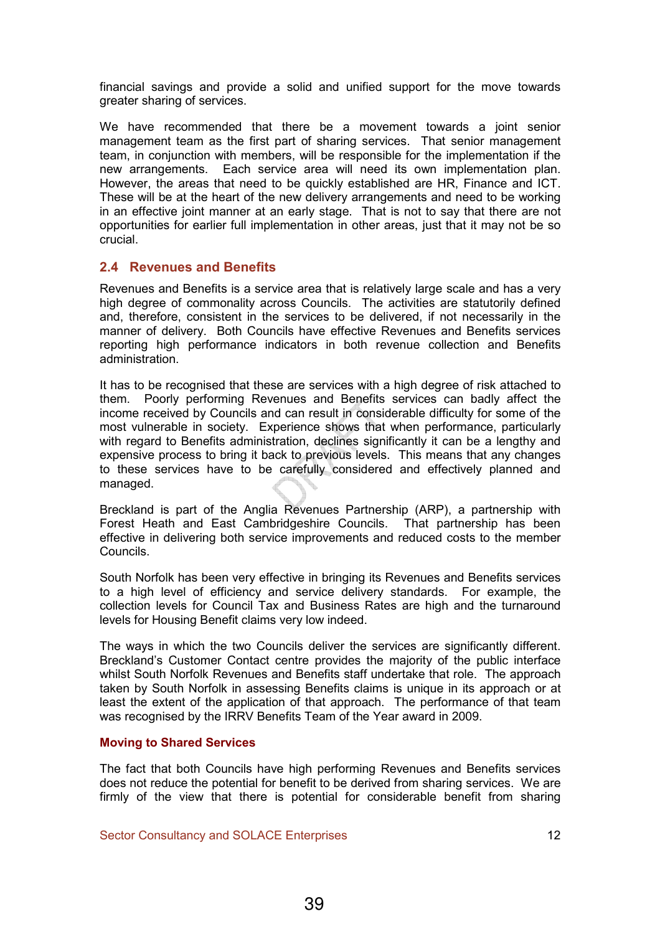financial savings and provide a solid and unified support for the move towards greater sharing of services.

We have recommended that there be a movement towards a joint senior management team as the first part of sharing services. That senior management team, in conjunction with members, will be responsible for the implementation if the new arrangements. Each service area will need its own implementation plan. However, the areas that need to be quickly established are HR, Finance and ICT. These will be at the heart of the new delivery arrangements and need to be working in an effective joint manner at an early stage. That is not to say that there are not opportunities for earlier full implementation in other areas, just that it may not be so crucial.

## 2.4 Revenues and Benefits

Revenues and Benefits is a service area that is relatively large scale and has a very high degree of commonality across Councils. The activities are statutorily defined and, therefore, consistent in the services to be delivered, if not necessarily in the manner of delivery. Both Councils have effective Revenues and Benefits services reporting high performance indicators in both revenue collection and Benefits administration.

It has to be recognised that these are services with a high degree of risk attached to them. Poorly performing Revenues and Benefits services can badly affect the income received by Councils and can result in considerable difficulty for some of the most vulnerable in society. Experience shows that when performance, particularly with regard to Benefits administration, declines significantly it can be a lengthy and expensive process to bring it back to previous levels. This means that any changes to these services have to be carefully considered and effectively planned and managed.

Breckland is part of the Anglia Revenues Partnership (ARP), a partnership with Forest Heath and East Cambridgeshire Councils. That partnership has been effective in delivering both service improvements and reduced costs to the member Councils.

South Norfolk has been very effective in bringing its Revenues and Benefits services to a high level of efficiency and service delivery standards. For example, the collection levels for Council Tax and Business Rates are high and the turnaround levels for Housing Benefit claims very low indeed.

The ways in which the two Councils deliver the services are significantly different. Breckland's Customer Contact centre provides the majority of the public interface whilst South Norfolk Revenues and Benefits staff undertake that role. The approach taken by South Norfolk in assessing Benefits claims is unique in its approach or at least the extent of the application of that approach. The performance of that team was recognised by the IRRV Benefits Team of the Year award in 2009.

## Moving to Shared Services

The fact that both Councils have high performing Revenues and Benefits services does not reduce the potential for benefit to be derived from sharing services. We are firmly of the view that there is potential for considerable benefit from sharing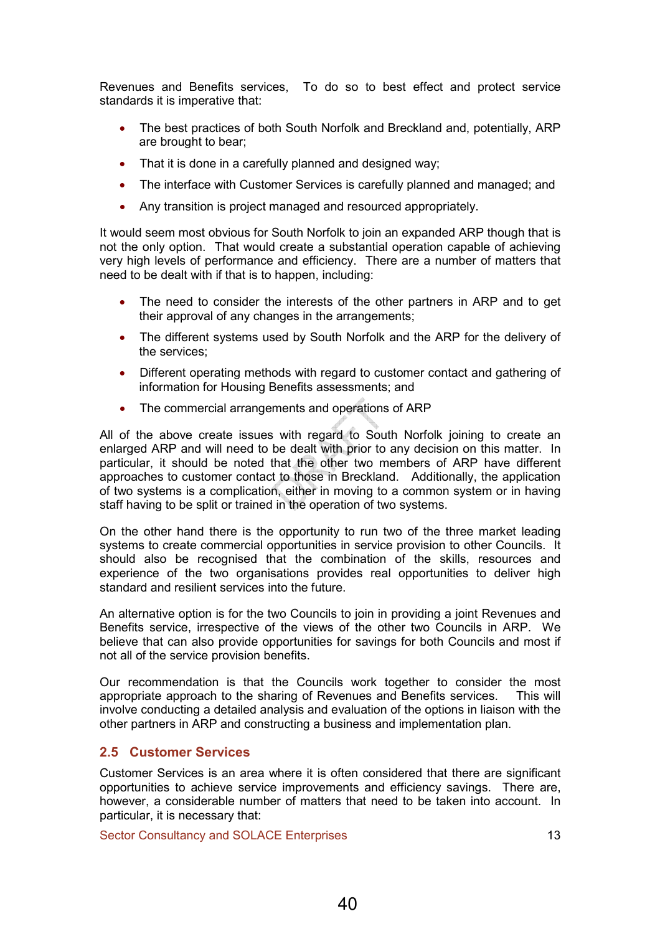Revenues and Benefits services, To do so to best effect and protect service standards it is imperative that:

- The best practices of both South Norfolk and Breckland and, potentially, ARP are brought to bear;
- That it is done in a carefully planned and designed way;
- The interface with Customer Services is carefully planned and managed; and
- Any transition is project managed and resourced appropriately.

It would seem most obvious for South Norfolk to join an expanded ARP though that is not the only option. That would create a substantial operation capable of achieving very high levels of performance and efficiency. There are a number of matters that need to be dealt with if that is to happen, including:

- The need to consider the interests of the other partners in ARP and to get their approval of any changes in the arrangements;
- The different systems used by South Norfolk and the ARP for the delivery of the services;
- Different operating methods with regard to customer contact and gathering of information for Housing Benefits assessments; and
- The commercial arrangements and operations of ARP

All of the above create issues with regard to South Norfolk joining to create an enlarged ARP and will need to be dealt with prior to any decision on this matter. In particular, it should be noted that the other two members of ARP have different approaches to customer contact to those in Breckland. Additionally, the application of two systems is a complication, either in moving to a common system or in having staff having to be split or trained in the operation of two systems.

On the other hand there is the opportunity to run two of the three market leading systems to create commercial opportunities in service provision to other Councils. It should also be recognised that the combination of the skills, resources and experience of the two organisations provides real opportunities to deliver high standard and resilient services into the future.

An alternative option is for the two Councils to join in providing a joint Revenues and Benefits service, irrespective of the views of the other two Councils in ARP. We believe that can also provide opportunities for savings for both Councils and most if not all of the service provision benefits.

Our recommendation is that the Councils work together to consider the most appropriate approach to the sharing of Revenues and Benefits services. This will involve conducting a detailed analysis and evaluation of the options in liaison with the other partners in ARP and constructing a business and implementation plan.

## 2.5 Customer Services

Customer Services is an area where it is often considered that there are significant opportunities to achieve service improvements and efficiency savings. There are, however, a considerable number of matters that need to be taken into account. In particular, it is necessary that: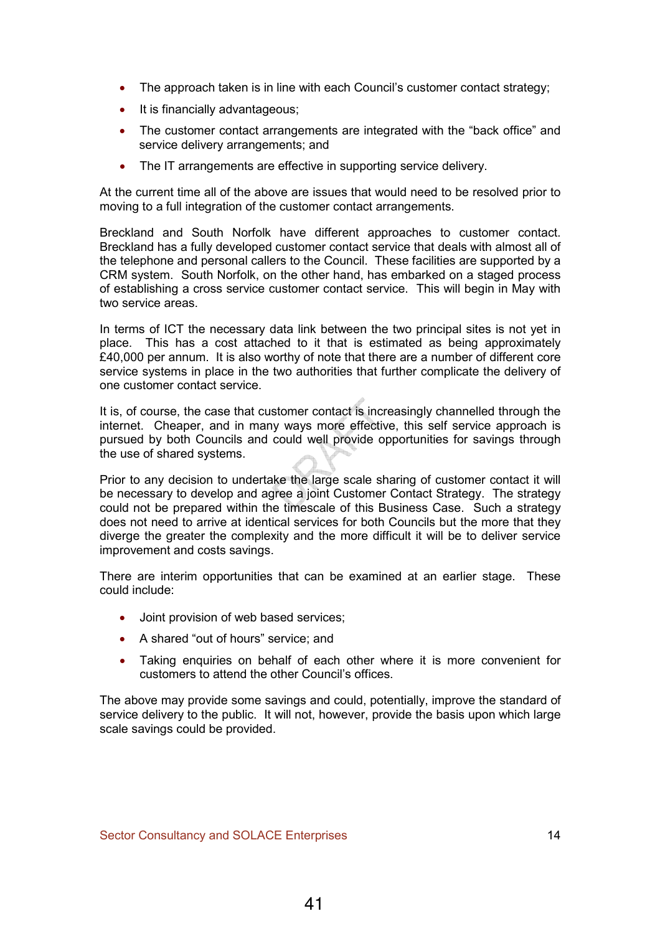- The approach taken is in line with each Council's customer contact strategy;
- It is financially advantageous;
- The customer contact arrangements are integrated with the "back office" and service delivery arrangements; and
- The IT arrangements are effective in supporting service delivery.

At the current time all of the above are issues that would need to be resolved prior to moving to a full integration of the customer contact arrangements.

Breckland and South Norfolk have different approaches to customer contact. Breckland has a fully developed customer contact service that deals with almost all of the telephone and personal callers to the Council. These facilities are supported by a CRM system. South Norfolk, on the other hand, has embarked on a staged process of establishing a cross service customer contact service. This will begin in May with two service areas.

In terms of ICT the necessary data link between the two principal sites is not yet in place. This has a cost attached to it that is estimated as being approximately £40,000 per annum. It is also worthy of note that there are a number of different core service systems in place in the two authorities that further complicate the delivery of one customer contact service.

It is, of course, the case that customer contact is increasingly channelled through the internet. Cheaper, and in many ways more effective, this self service approach is pursued by both Councils and could well provide opportunities for savings through the use of shared systems.

Prior to any decision to undertake the large scale sharing of customer contact it will be necessary to develop and agree a joint Customer Contact Strategy. The strategy could not be prepared within the timescale of this Business Case. Such a strategy does not need to arrive at identical services for both Councils but the more that they diverge the greater the complexity and the more difficult it will be to deliver service improvement and costs savings.

There are interim opportunities that can be examined at an earlier stage. These could include:

- Joint provision of web based services:
- A shared "out of hours" service; and
- Taking enquiries on behalf of each other where it is more convenient for customers to attend the other Council's offices.

The above may provide some savings and could, potentially, improve the standard of service delivery to the public. It will not, however, provide the basis upon which large scale savings could be provided.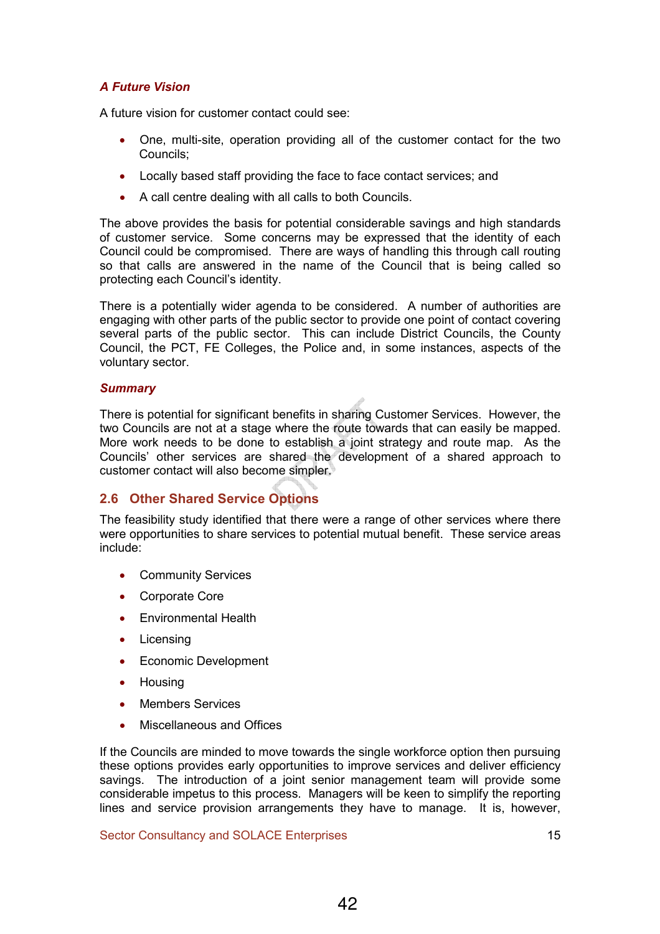## A Future Vision

A future vision for customer contact could see:

- One, multi-site, operation providing all of the customer contact for the two Councils;
- Locally based staff providing the face to face contact services; and
- A call centre dealing with all calls to both Councils.

The above provides the basis for potential considerable savings and high standards of customer service. Some concerns may be expressed that the identity of each Council could be compromised. There are ways of handling this through call routing so that calls are answered in the name of the Council that is being called so protecting each Council's identity.

There is a potentially wider agenda to be considered. A number of authorities are engaging with other parts of the public sector to provide one point of contact covering several parts of the public sector. This can include District Councils, the County Council, the PCT, FE Colleges, the Police and, in some instances, aspects of the voluntary sector.

## **Summary**

There is potential for significant benefits in sharing Customer Services. However, the two Councils are not at a stage where the route towards that can easily be mapped. More work needs to be done to establish a joint strategy and route map. As the Councils' other services are shared the development of a shared approach to customer contact will also become simpler.

## 2.6 Other Shared Service Options

The feasibility study identified that there were a range of other services where there were opportunities to share services to potential mutual benefit. These service areas include:

- Community Services
- Corporate Core
- Environmental Health
- Licensing
- Economic Development
- Housing
- Members Services
- Miscellaneous and Offices

If the Councils are minded to move towards the single workforce option then pursuing these options provides early opportunities to improve services and deliver efficiency savings. The introduction of a joint senior management team will provide some considerable impetus to this process. Managers will be keen to simplify the reporting lines and service provision arrangements they have to manage. It is, however,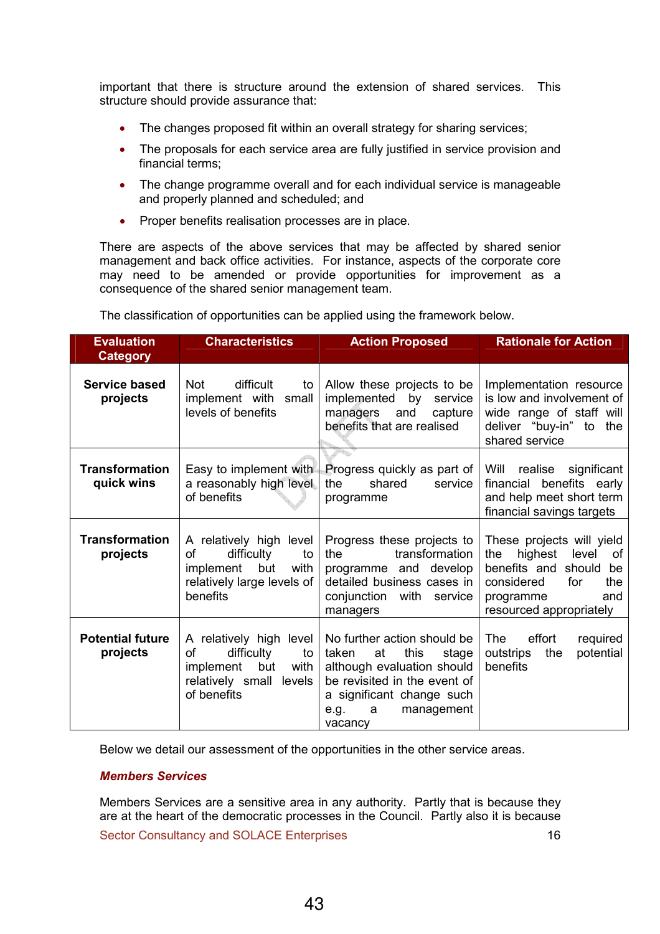important that there is structure around the extension of shared services. This structure should provide assurance that:

- The changes proposed fit within an overall strategy for sharing services;
- The proposals for each service area are fully justified in service provision and financial terms;
- The change programme overall and for each individual service is manageable and properly planned and scheduled; and
- Proper benefits realisation processes are in place.

There are aspects of the above services that may be affected by shared senior management and back office activities. For instance, aspects of the corporate core may need to be amended or provide opportunities for improvement as a consequence of the shared senior management team.

The classification of opportunities can be applied using the framework below.

| <b>Evaluation</b><br><b>Category</b> | <b>Characteristics</b>                                                                                                  | <b>Action Proposed</b>                                                                                                                                                                       | <b>Rationale for Action</b>                                                                                                                                        |
|--------------------------------------|-------------------------------------------------------------------------------------------------------------------------|----------------------------------------------------------------------------------------------------------------------------------------------------------------------------------------------|--------------------------------------------------------------------------------------------------------------------------------------------------------------------|
| <b>Service based</b><br>projects     | difficult<br>Not<br>to<br>implement with<br>small<br>levels of benefits                                                 | Allow these projects to be<br>implemented<br>by<br>service<br>managers<br>and<br>capture<br>benefits that are realised                                                                       | Implementation resource<br>is low and involvement of<br>wide range of staff will<br>deliver "buy-in" to the<br>shared service                                      |
| <b>Transformation</b><br>quick wins  | Easy to implement with<br>a reasonably high level<br>of benefits                                                        | Progress quickly as part of<br>shared<br>the<br>service<br>programme                                                                                                                         | realise significant<br>Will<br>financial benefits early<br>and help meet short term<br>financial savings targets                                                   |
| <b>Transformation</b><br>projects    | A relatively high level<br>difficulty<br>οf<br>to<br>implement<br>but<br>with<br>relatively large levels of<br>benefits | Progress these projects to<br>transformation<br>the<br>programme and develop<br>detailed business cases in<br>conjunction with<br>service<br>managers                                        | These projects will yield<br>highest<br>level<br>the<br>of<br>benefits and should<br>be<br>considered<br>for<br>the<br>and<br>programme<br>resourced appropriately |
| <b>Potential future</b><br>projects  | A relatively high level<br>difficulty<br>οf<br>to<br>implement<br>but<br>with<br>relatively small levels<br>of benefits | No further action should be<br>this<br>taken<br>at<br>stage<br>although evaluation should<br>be revisited in the event of<br>a significant change such<br>management<br>e.g.<br>a<br>vacancy | effort<br><b>The</b><br>required<br>potential<br>outstrips<br>the<br>benefits                                                                                      |

Below we detail our assessment of the opportunities in the other service areas.

#### Members Services

Sector Consultancy and SOLACE Enterprises 16 Members Services are a sensitive area in any authority. Partly that is because they are at the heart of the democratic processes in the Council. Partly also it is because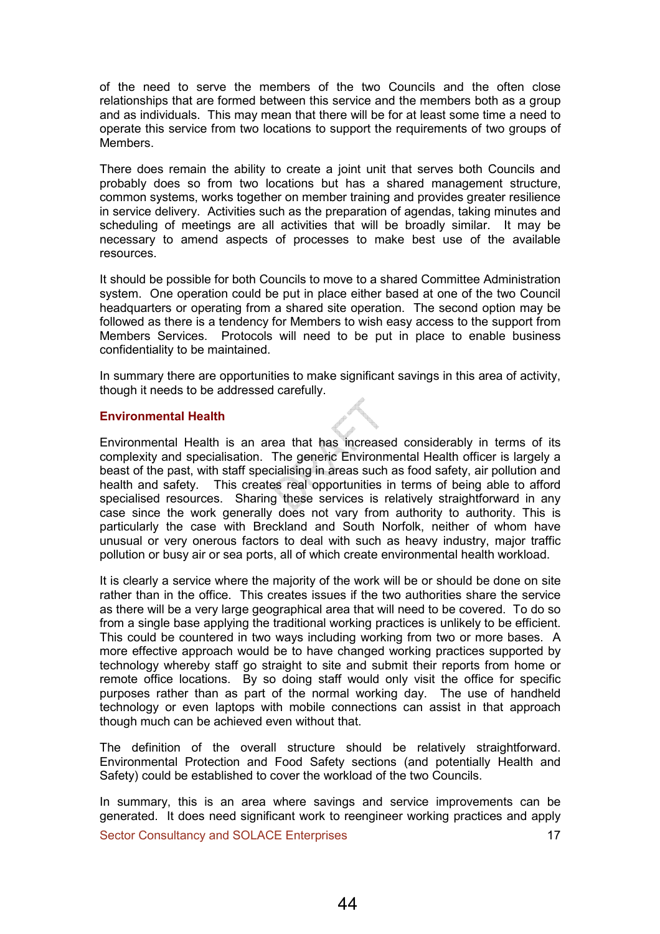of the need to serve the members of the two Councils and the often close relationships that are formed between this service and the members both as a group and as individuals. This may mean that there will be for at least some time a need to operate this service from two locations to support the requirements of two groups of **Members** 

There does remain the ability to create a joint unit that serves both Councils and probably does so from two locations but has a shared management structure, common systems, works together on member training and provides greater resilience in service delivery. Activities such as the preparation of agendas, taking minutes and scheduling of meetings are all activities that will be broadly similar. It may be necessary to amend aspects of processes to make best use of the available resources.

It should be possible for both Councils to move to a shared Committee Administration system. One operation could be put in place either based at one of the two Council headquarters or operating from a shared site operation. The second option may be followed as there is a tendency for Members to wish easy access to the support from Members Services. Protocols will need to be put in place to enable business confidentiality to be maintained.

In summary there are opportunities to make significant savings in this area of activity. though it needs to be addressed carefully.

#### Environmental Health

Environmental Health is an area that has increased considerably in terms of its complexity and specialisation. The generic Environmental Health officer is largely a beast of the past, with staff specialising in areas such as food safety, air pollution and health and safety. This creates real opportunities in terms of being able to afford specialised resources. Sharing these services is relatively straightforward in any case since the work generally does not vary from authority to authority. This is particularly the case with Breckland and South Norfolk, neither of whom have unusual or very onerous factors to deal with such as heavy industry, major traffic pollution or busy air or sea ports, all of which create environmental health workload.

It is clearly a service where the majority of the work will be or should be done on site rather than in the office. This creates issues if the two authorities share the service as there will be a very large geographical area that will need to be covered. To do so from a single base applying the traditional working practices is unlikely to be efficient. This could be countered in two ways including working from two or more bases. A more effective approach would be to have changed working practices supported by technology whereby staff go straight to site and submit their reports from home or remote office locations. By so doing staff would only visit the office for specific purposes rather than as part of the normal working day. The use of handheld technology or even laptops with mobile connections can assist in that approach though much can be achieved even without that.

The definition of the overall structure should be relatively straightforward. Environmental Protection and Food Safety sections (and potentially Health and Safety) could be established to cover the workload of the two Councils.

In summary, this is an area where savings and service improvements can be generated. It does need significant work to reengineer working practices and apply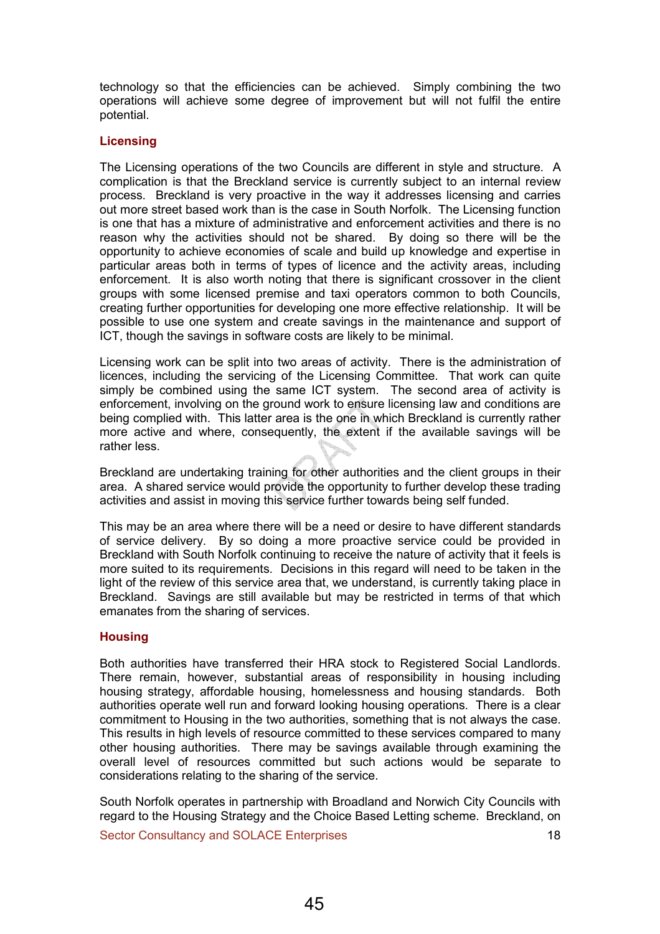technology so that the efficiencies can be achieved. Simply combining the two operations will achieve some degree of improvement but will not fulfil the entire potential.

#### **Licensing**

The Licensing operations of the two Councils are different in style and structure. A complication is that the Breckland service is currently subject to an internal review process. Breckland is very proactive in the way it addresses licensing and carries out more street based work than is the case in South Norfolk. The Licensing function is one that has a mixture of administrative and enforcement activities and there is no reason why the activities should not be shared. By doing so there will be the opportunity to achieve economies of scale and build up knowledge and expertise in particular areas both in terms of types of licence and the activity areas, including enforcement. It is also worth noting that there is significant crossover in the client groups with some licensed premise and taxi operators common to both Councils, creating further opportunities for developing one more effective relationship. It will be possible to use one system and create savings in the maintenance and support of ICT, though the savings in software costs are likely to be minimal.

Licensing work can be split into two areas of activity. There is the administration of licences, including the servicing of the Licensing Committee. That work can quite simply be combined using the same ICT system. The second area of activity is enforcement, involving on the ground work to ensure licensing law and conditions are being complied with. This latter area is the one in which Breckland is currently rather more active and where, consequently, the extent if the available savings will be rather less.

Breckland are undertaking training for other authorities and the client groups in their area. A shared service would provide the opportunity to further develop these trading activities and assist in moving this service further towards being self funded.

This may be an area where there will be a need or desire to have different standards of service delivery. By so doing a more proactive service could be provided in Breckland with South Norfolk continuing to receive the nature of activity that it feels is more suited to its requirements. Decisions in this regard will need to be taken in the light of the review of this service area that, we understand, is currently taking place in Breckland. Savings are still available but may be restricted in terms of that which emanates from the sharing of services.

#### **Housing**

Both authorities have transferred their HRA stock to Registered Social Landlords. There remain, however, substantial areas of responsibility in housing including housing strategy, affordable housing, homelessness and housing standards. Both authorities operate well run and forward looking housing operations. There is a clear commitment to Housing in the two authorities, something that is not always the case. This results in high levels of resource committed to these services compared to many other housing authorities. There may be savings available through examining the overall level of resources committed but such actions would be separate to considerations relating to the sharing of the service.

South Norfolk operates in partnership with Broadland and Norwich City Councils with regard to the Housing Strategy and the Choice Based Letting scheme. Breckland, on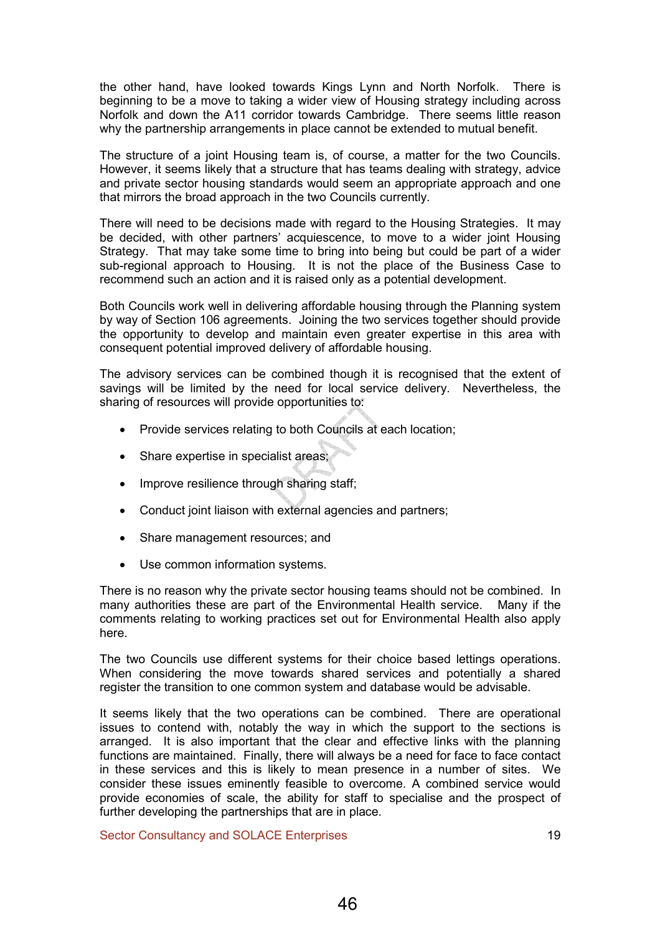the other hand, have looked towards Kings Lynn and North Norfolk. There is beginning to be a move to taking a wider view of Housing strategy including across Norfolk and down the A11 corridor towards Cambridge. There seems little reason why the partnership arrangements in place cannot be extended to mutual benefit.

The structure of a joint Housing team is, of course, a matter for the two Councils. However, it seems likely that a structure that has teams dealing with strategy, advice and private sector housing standards would seem an appropriate approach and one that mirrors the broad approach in the two Councils currently.

There will need to be decisions made with regard to the Housing Strategies. It may be decided, with other partners' acquiescence, to move to a wider joint Housing Strategy. That may take some time to bring into being but could be part of a wider sub-regional approach to Housing. It is not the place of the Business Case to recommend such an action and it is raised only as a potential development.

Both Councils work well in delivering affordable housing through the Planning system by way of Section 106 agreements. Joining the two services together should provide the opportunity to develop and maintain even greater expertise in this area with consequent potential improved delivery of affordable housing.

The advisory services can be combined though it is recognised that the extent of savings will be limited by the need for local service delivery. Nevertheless, the sharing of resources will provide opportunities to:

- Provide services relating to both Councils at each location;
- Share expertise in specialist areas;
- Improve resilience through sharing staff:
- Conduct joint liaison with external agencies and partners;
- Share management resources; and
- Use common information systems.

There is no reason why the private sector housing teams should not be combined. In many authorities these are part of the Environmental Health service. Many if the comments relating to working practices set out for Environmental Health also apply here.

The two Councils use different systems for their choice based lettings operations. When considering the move towards shared services and potentially a shared register the transition to one common system and database would be advisable.

It seems likely that the two operations can be combined. There are operational issues to contend with, notably the way in which the support to the sections is arranged. It is also important that the clear and effective links with the planning functions are maintained. Finally, there will always be a need for face to face contact in these services and this is likely to mean presence in a number of sites. We consider these issues eminently feasible to overcome. A combined service would provide economies of scale, the ability for staff to specialise and the prospect of further developing the partnerships that are in place.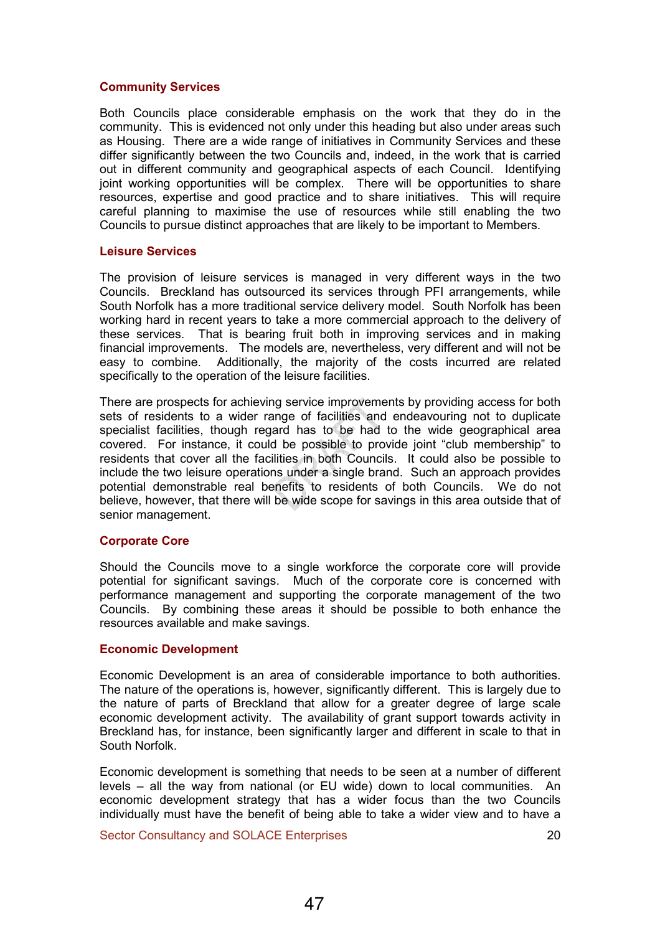#### Community Services

Both Councils place considerable emphasis on the work that they do in the community. This is evidenced not only under this heading but also under areas such as Housing. There are a wide range of initiatives in Community Services and these differ significantly between the two Councils and, indeed, in the work that is carried out in different community and geographical aspects of each Council. Identifying joint working opportunities will be complex. There will be opportunities to share resources, expertise and good practice and to share initiatives. This will require careful planning to maximise the use of resources while still enabling the two Councils to pursue distinct approaches that are likely to be important to Members.

#### Leisure Services

The provision of leisure services is managed in very different ways in the two Councils. Breckland has outsourced its services through PFI arrangements, while South Norfolk has a more traditional service delivery model. South Norfolk has been working hard in recent years to take a more commercial approach to the delivery of these services. That is bearing fruit both in improving services and in making financial improvements. The models are, nevertheless, very different and will not be easy to combine. Additionally, the majority of the costs incurred are related specifically to the operation of the leisure facilities.

There are prospects for achieving service improvements by providing access for both sets of residents to a wider range of facilities and endeavouring not to duplicate specialist facilities, though regard has to be had to the wide geographical area covered. For instance, it could be possible to provide joint "club membership" to residents that cover all the facilities in both Councils. It could also be possible to include the two leisure operations under a single brand. Such an approach provides potential demonstrable real benefits to residents of both Councils. We do not believe, however, that there will be wide scope for savings in this area outside that of senior management.

#### Corporate Core

Should the Councils move to a single workforce the corporate core will provide potential for significant savings. Much of the corporate core is concerned with performance management and supporting the corporate management of the two Councils. By combining these areas it should be possible to both enhance the resources available and make savings.

#### Economic Development

Economic Development is an area of considerable importance to both authorities. The nature of the operations is, however, significantly different. This is largely due to the nature of parts of Breckland that allow for a greater degree of large scale economic development activity. The availability of grant support towards activity in Breckland has, for instance, been significantly larger and different in scale to that in South Norfolk.

Economic development is something that needs to be seen at a number of different levels – all the way from national (or EU wide) down to local communities. An economic development strategy that has a wider focus than the two Councils individually must have the benefit of being able to take a wider view and to have a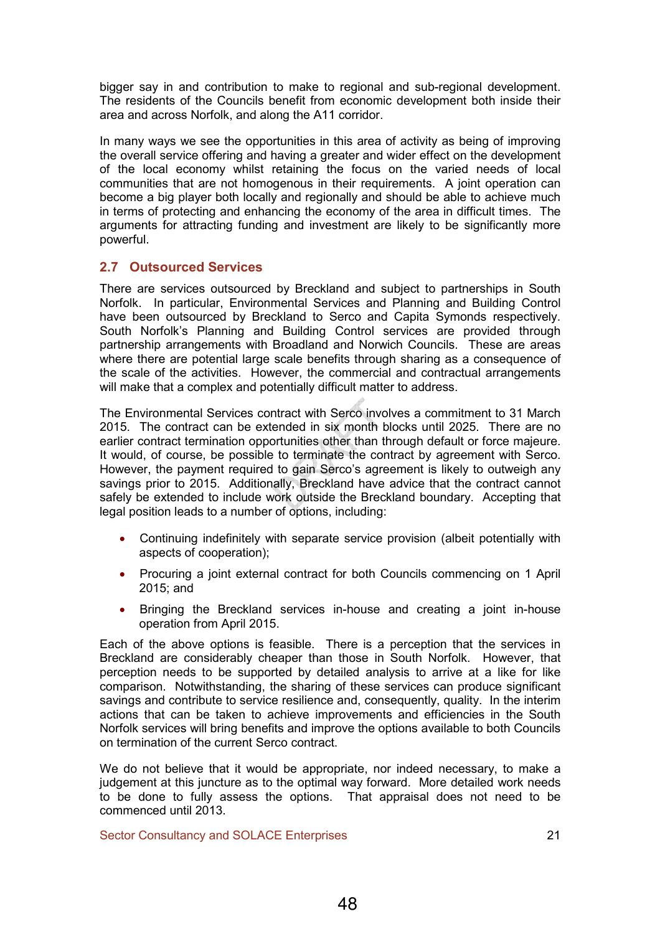bigger say in and contribution to make to regional and sub-regional development. The residents of the Councils benefit from economic development both inside their area and across Norfolk, and along the A11 corridor.

In many ways we see the opportunities in this area of activity as being of improving the overall service offering and having a greater and wider effect on the development of the local economy whilst retaining the focus on the varied needs of local communities that are not homogenous in their requirements. A joint operation can become a big player both locally and regionally and should be able to achieve much in terms of protecting and enhancing the economy of the area in difficult times. The arguments for attracting funding and investment are likely to be significantly more powerful.

## 2.7 Outsourced Services

There are services outsourced by Breckland and subject to partnerships in South Norfolk. In particular, Environmental Services and Planning and Building Control have been outsourced by Breckland to Serco and Capita Symonds respectively. South Norfolk's Planning and Building Control services are provided through partnership arrangements with Broadland and Norwich Councils. These are areas where there are potential large scale benefits through sharing as a consequence of the scale of the activities. However, the commercial and contractual arrangements will make that a complex and potentially difficult matter to address.

The Environmental Services contract with Serco involves a commitment to 31 March 2015. The contract can be extended in six month blocks until 2025. There are no earlier contract termination opportunities other than through default or force majeure. It would, of course, be possible to terminate the contract by agreement with Serco. However, the payment required to gain Serco's agreement is likely to outweigh any savings prior to 2015. Additionally, Breckland have advice that the contract cannot safely be extended to include work outside the Breckland boundary. Accepting that legal position leads to a number of options, including:

- Continuing indefinitely with separate service provision (albeit potentially with aspects of cooperation);
- Procuring a joint external contract for both Councils commencing on 1 April 2015; and
- Bringing the Breckland services in-house and creating a joint in-house operation from April 2015.

Each of the above options is feasible. There is a perception that the services in Breckland are considerably cheaper than those in South Norfolk. However, that perception needs to be supported by detailed analysis to arrive at a like for like comparison. Notwithstanding, the sharing of these services can produce significant savings and contribute to service resilience and, consequently, quality. In the interim actions that can be taken to achieve improvements and efficiencies in the South Norfolk services will bring benefits and improve the options available to both Councils on termination of the current Serco contract.

We do not believe that it would be appropriate, nor indeed necessary, to make a judgement at this juncture as to the optimal way forward. More detailed work needs to be done to fully assess the options. That appraisal does not need to be commenced until 2013.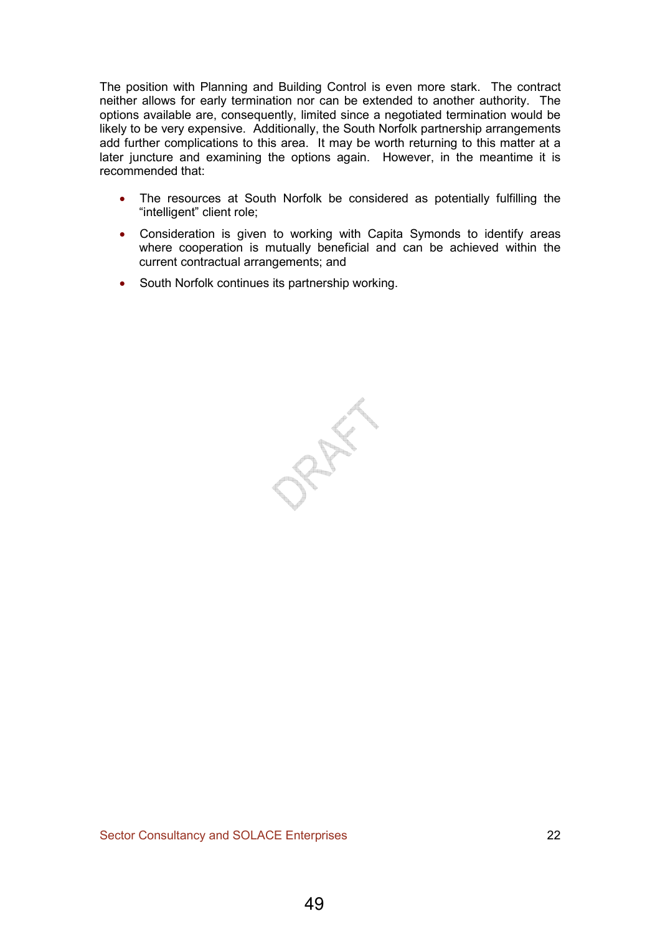The position with Planning and Building Control is even more stark. The contract neither allows for early termination nor can be extended to another authority. The options available are, consequently, limited since a negotiated termination would be likely to be very expensive. Additionally, the South Norfolk partnership arrangements add further complications to this area. It may be worth returning to this matter at a later juncture and examining the options again. However, in the meantime it is recommended that:

- The resources at South Norfolk be considered as potentially fulfilling the "intelligent" client role;
- Consideration is given to working with Capita Symonds to identify areas where cooperation is mutually beneficial and can be achieved within the current contractual arrangements; and
- South Norfolk continues its partnership working.

PREFE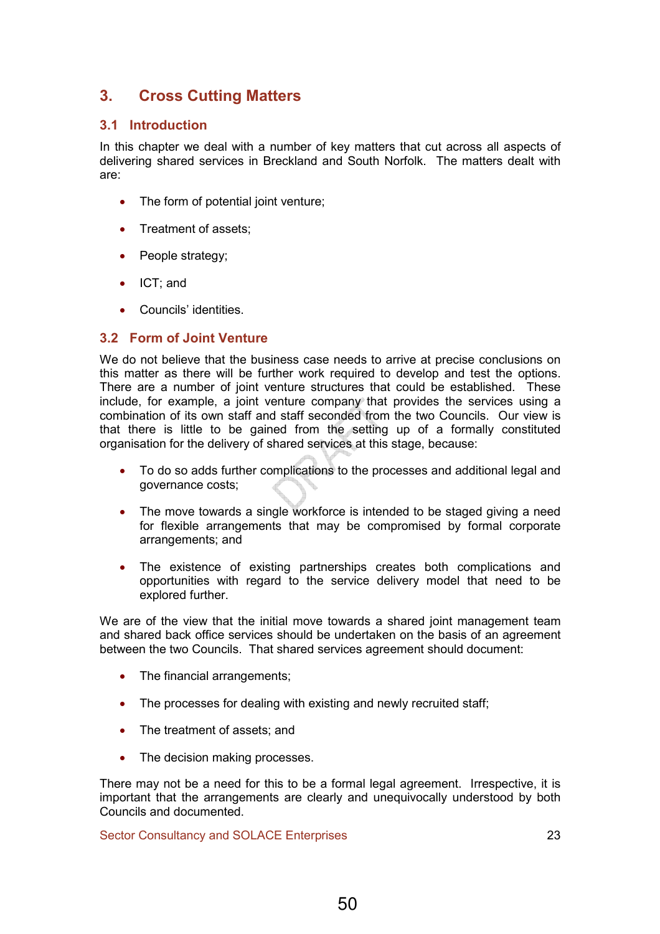# 3. Cross Cutting Matters

## 3.1 Introduction

In this chapter we deal with a number of key matters that cut across all aspects of delivering shared services in Breckland and South Norfolk. The matters dealt with are:

- The form of potential joint venture;
- Treatment of assets:
- People strategy;
- ICT; and
- Councils' identities.

## 3.2 Form of Joint Venture

We do not believe that the business case needs to arrive at precise conclusions on this matter as there will be further work required to develop and test the options. There are a number of joint venture structures that could be established. These include, for example, a joint venture company that provides the services using a combination of its own staff and staff seconded from the two Councils. Our view is that there is little to be gained from the setting up of a formally constituted organisation for the delivery of shared services at this stage, because:

- To do so adds further complications to the processes and additional legal and governance costs;
- The move towards a single workforce is intended to be staged giving a need for flexible arrangements that may be compromised by formal corporate arrangements; and
- The existence of existing partnerships creates both complications and opportunities with regard to the service delivery model that need to be explored further.

We are of the view that the initial move towards a shared joint management team and shared back office services should be undertaken on the basis of an agreement between the two Councils. That shared services agreement should document:

- The financial arrangements;
- The processes for dealing with existing and newly recruited staff;
- The treatment of assets; and
- The decision making processes.

There may not be a need for this to be a formal legal agreement. Irrespective, it is important that the arrangements are clearly and unequivocally understood by both Councils and documented.

Sector Consultancy and SOLACE Enterprises

50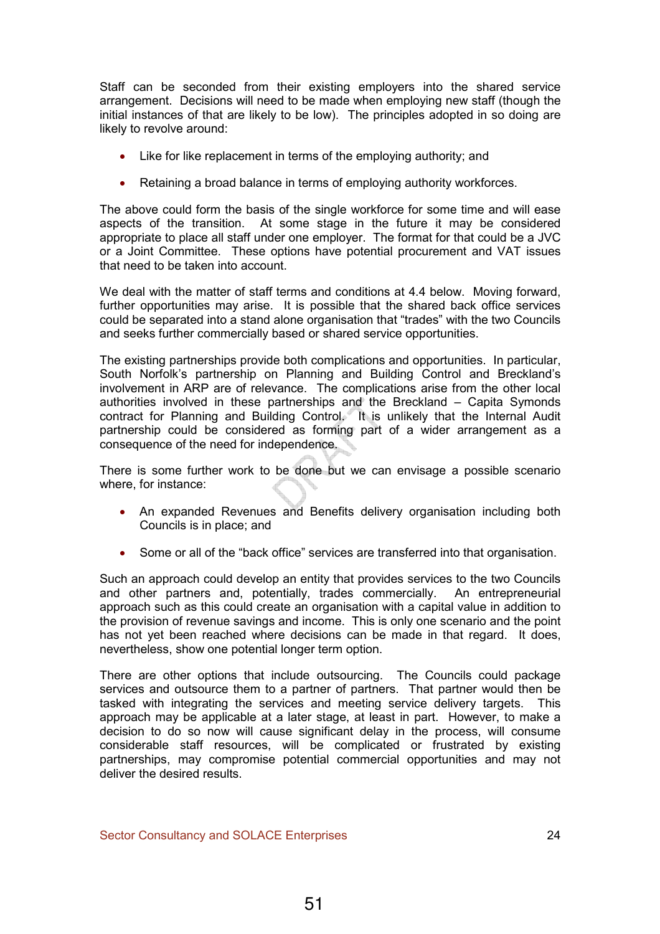Staff can be seconded from their existing employers into the shared service arrangement. Decisions will need to be made when employing new staff (though the initial instances of that are likely to be low). The principles adopted in so doing are likely to revolve around:

- Like for like replacement in terms of the employing authority; and
- Retaining a broad balance in terms of employing authority workforces.

The above could form the basis of the single workforce for some time and will ease aspects of the transition. At some stage in the future it may be considered appropriate to place all staff under one employer. The format for that could be a JVC or a Joint Committee. These options have potential procurement and VAT issues that need to be taken into account.

We deal with the matter of staff terms and conditions at 4.4 below. Moving forward, further opportunities may arise. It is possible that the shared back office services could be separated into a stand alone organisation that "trades" with the two Councils and seeks further commercially based or shared service opportunities.

The existing partnerships provide both complications and opportunities. In particular, South Norfolk's partnership on Planning and Building Control and Breckland's involvement in ARP are of relevance. The complications arise from the other local authorities involved in these partnerships and the Breckland – Capita Symonds contract for Planning and Building Control. It is unlikely that the Internal Audit partnership could be considered as forming part of a wider arrangement as a consequence of the need for independence.

There is some further work to be done but we can envisage a possible scenario where, for instance:

- An expanded Revenues and Benefits delivery organisation including both Councils is in place; and
- Some or all of the "back office" services are transferred into that organisation.

Such an approach could develop an entity that provides services to the two Councils and other partners and, potentially, trades commercially. An entrepreneurial approach such as this could create an organisation with a capital value in addition to the provision of revenue savings and income. This is only one scenario and the point has not yet been reached where decisions can be made in that regard. It does, nevertheless, show one potential longer term option.

There are other options that include outsourcing. The Councils could package services and outsource them to a partner of partners. That partner would then be tasked with integrating the services and meeting service delivery targets. This approach may be applicable at a later stage, at least in part. However, to make a decision to do so now will cause significant delay in the process, will consume considerable staff resources, will be complicated or frustrated by existing partnerships, may compromise potential commercial opportunities and may not deliver the desired results.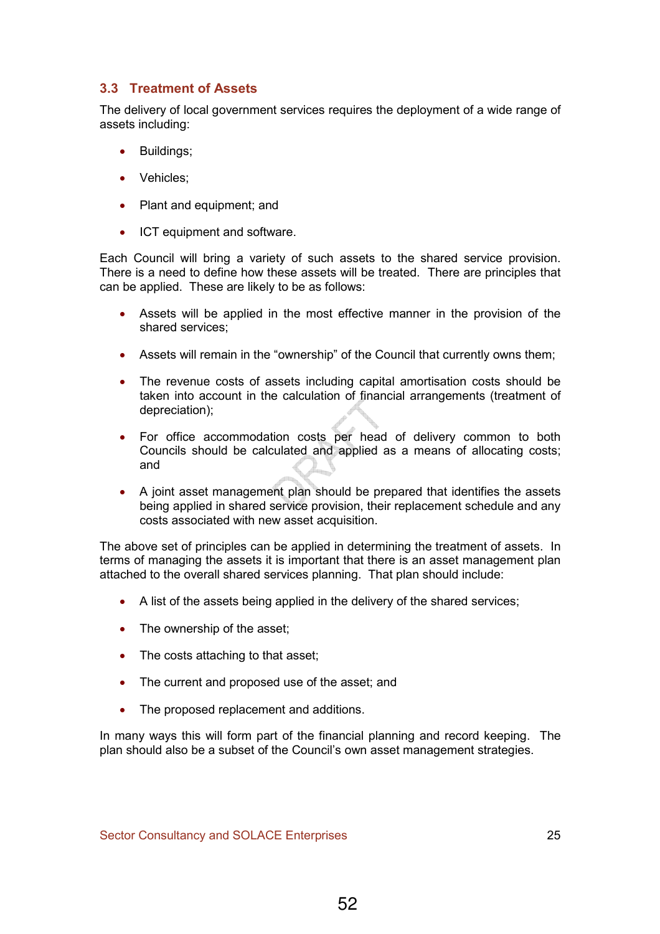# 3.3 Treatment of Assets

The delivery of local government services requires the deployment of a wide range of assets including:

- Buildings;
- Vehicles;
- Plant and equipment; and
- ICT equipment and software.

Each Council will bring a variety of such assets to the shared service provision. There is a need to define how these assets will be treated. There are principles that can be applied. These are likely to be as follows:

- Assets will be applied in the most effective manner in the provision of the shared services;
- Assets will remain in the "ownership" of the Council that currently owns them:
- The revenue costs of assets including capital amortisation costs should be taken into account in the calculation of financial arrangements (treatment of depreciation);
- For office accommodation costs per head of delivery common to both Councils should be calculated and applied as a means of allocating costs; and
- A joint asset management plan should be prepared that identifies the assets being applied in shared service provision, their replacement schedule and any costs associated with new asset acquisition.

The above set of principles can be applied in determining the treatment of assets. In terms of managing the assets it is important that there is an asset management plan attached to the overall shared services planning. That plan should include:

- A list of the assets being applied in the delivery of the shared services;
- The ownership of the asset;
- The costs attaching to that asset;
- The current and proposed use of the asset; and
- The proposed replacement and additions.

In many ways this will form part of the financial planning and record keeping. The plan should also be a subset of the Council's own asset management strategies.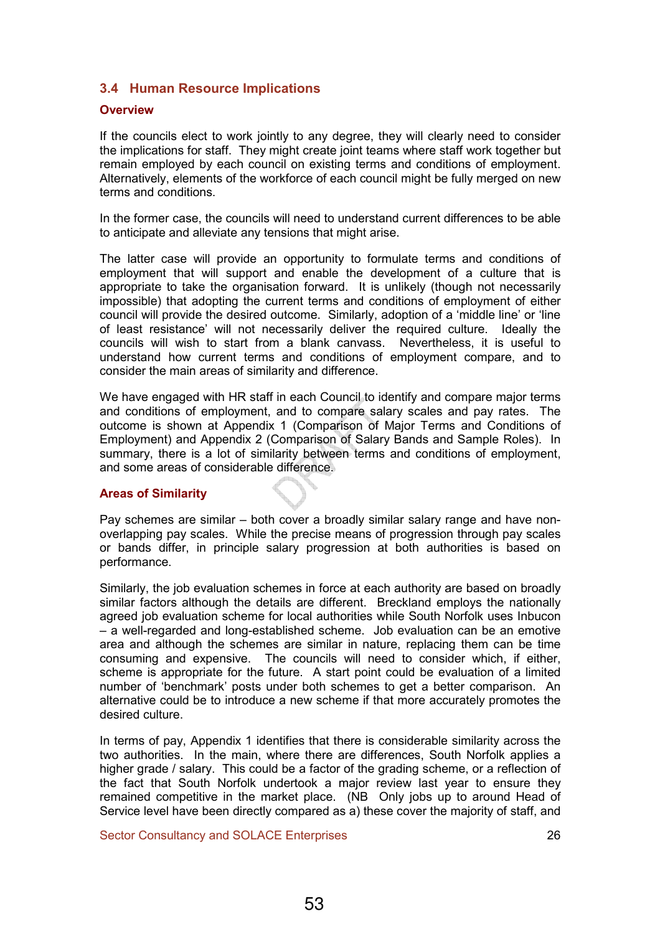# 3.4 Human Resource Implications

## **Overview**

If the councils elect to work jointly to any degree, they will clearly need to consider the implications for staff. They might create joint teams where staff work together but remain employed by each council on existing terms and conditions of employment. Alternatively, elements of the workforce of each council might be fully merged on new terms and conditions.

In the former case, the councils will need to understand current differences to be able to anticipate and alleviate any tensions that might arise.

The latter case will provide an opportunity to formulate terms and conditions of employment that will support and enable the development of a culture that is appropriate to take the organisation forward. It is unlikely (though not necessarily impossible) that adopting the current terms and conditions of employment of either council will provide the desired outcome. Similarly, adoption of a 'middle line' or 'line of least resistance' will not necessarily deliver the required culture. Ideally the councils will wish to start from a blank canvass. Nevertheless, it is useful to understand how current terms and conditions of employment compare, and to consider the main areas of similarity and difference.

We have engaged with HR staff in each Council to identify and compare major terms and conditions of employment, and to compare salary scales and pay rates. The outcome is shown at Appendix 1 (Comparison of Major Terms and Conditions of Employment) and Appendix 2 (Comparison of Salary Bands and Sample Roles). In summary, there is a lot of similarity between terms and conditions of employment, and some areas of considerable difference.

## Areas of Similarity

Pay schemes are similar – both cover a broadly similar salary range and have nonoverlapping pay scales. While the precise means of progression through pay scales or bands differ, in principle salary progression at both authorities is based on performance.

Similarly, the job evaluation schemes in force at each authority are based on broadly similar factors although the details are different. Breckland employs the nationally agreed job evaluation scheme for local authorities while South Norfolk uses Inbucon – a well-regarded and long-established scheme. Job evaluation can be an emotive area and although the schemes are similar in nature, replacing them can be time consuming and expensive. The councils will need to consider which, if either, scheme is appropriate for the future. A start point could be evaluation of a limited number of 'benchmark' posts under both schemes to get a better comparison. An alternative could be to introduce a new scheme if that more accurately promotes the desired culture.

In terms of pay, Appendix 1 identifies that there is considerable similarity across the two authorities. In the main, where there are differences, South Norfolk applies a higher grade / salary. This could be a factor of the grading scheme, or a reflection of the fact that South Norfolk undertook a major review last year to ensure they remained competitive in the market place. (NB Only jobs up to around Head of Service level have been directly compared as a) these cover the majority of staff, and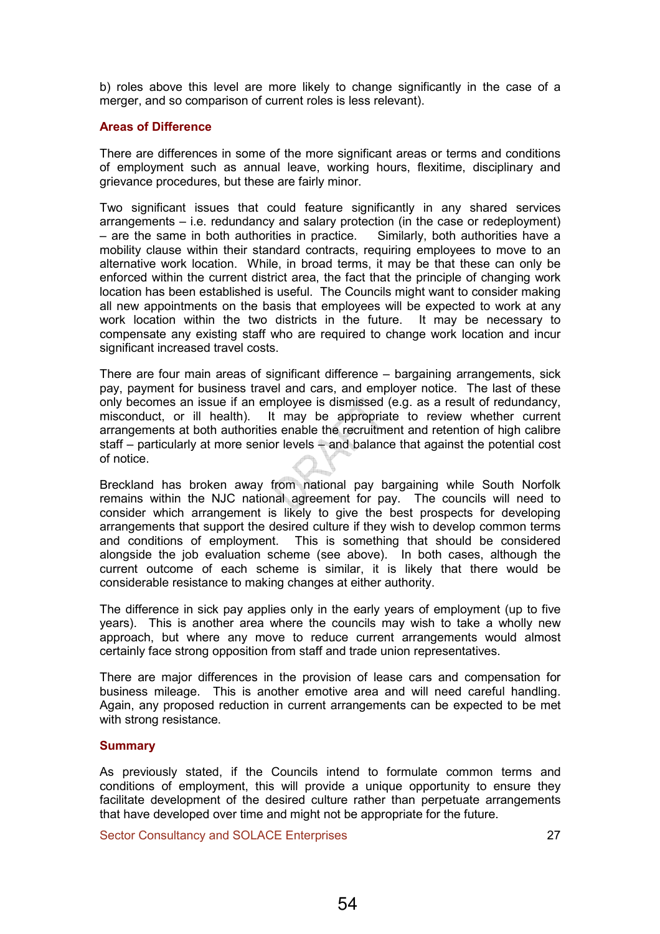b) roles above this level are more likely to change significantly in the case of a merger, and so comparison of current roles is less relevant).

### Areas of Difference

There are differences in some of the more significant areas or terms and conditions of employment such as annual leave, working hours, flexitime, disciplinary and grievance procedures, but these are fairly minor.

Two significant issues that could feature significantly in any shared services arrangements – i.e. redundancy and salary protection (in the case or redeployment) – are the same in both authorities in practice. Similarly, both authorities have a mobility clause within their standard contracts, requiring employees to move to an alternative work location. While, in broad terms, it may be that these can only be enforced within the current district area, the fact that the principle of changing work location has been established is useful. The Councils might want to consider making all new appointments on the basis that employees will be expected to work at any work location within the two districts in the future. It may be necessary to compensate any existing staff who are required to change work location and incur significant increased travel costs.

There are four main areas of significant difference – bargaining arrangements, sick pay, payment for business travel and cars, and employer notice. The last of these only becomes an issue if an employee is dismissed (e.g. as a result of redundancy, misconduct, or ill health). It may be appropriate to review whether current arrangements at both authorities enable the recruitment and retention of high calibre staff – particularly at more senior levels – and balance that against the potential cost of notice.

Breckland has broken away from national pay bargaining while South Norfolk remains within the NJC national agreement for pay. The councils will need to consider which arrangement is likely to give the best prospects for developing arrangements that support the desired culture if they wish to develop common terms and conditions of employment. This is something that should be considered alongside the job evaluation scheme (see above). In both cases, although the current outcome of each scheme is similar, it is likely that there would be considerable resistance to making changes at either authority.

The difference in sick pay applies only in the early years of employment (up to five years). This is another area where the councils may wish to take a wholly new approach, but where any move to reduce current arrangements would almost certainly face strong opposition from staff and trade union representatives.

There are major differences in the provision of lease cars and compensation for business mileage. This is another emotive area and will need careful handling. Again, any proposed reduction in current arrangements can be expected to be met with strong resistance.

### **Summary**

As previously stated, if the Councils intend to formulate common terms and conditions of employment, this will provide a unique opportunity to ensure they facilitate development of the desired culture rather than perpetuate arrangements that have developed over time and might not be appropriate for the future.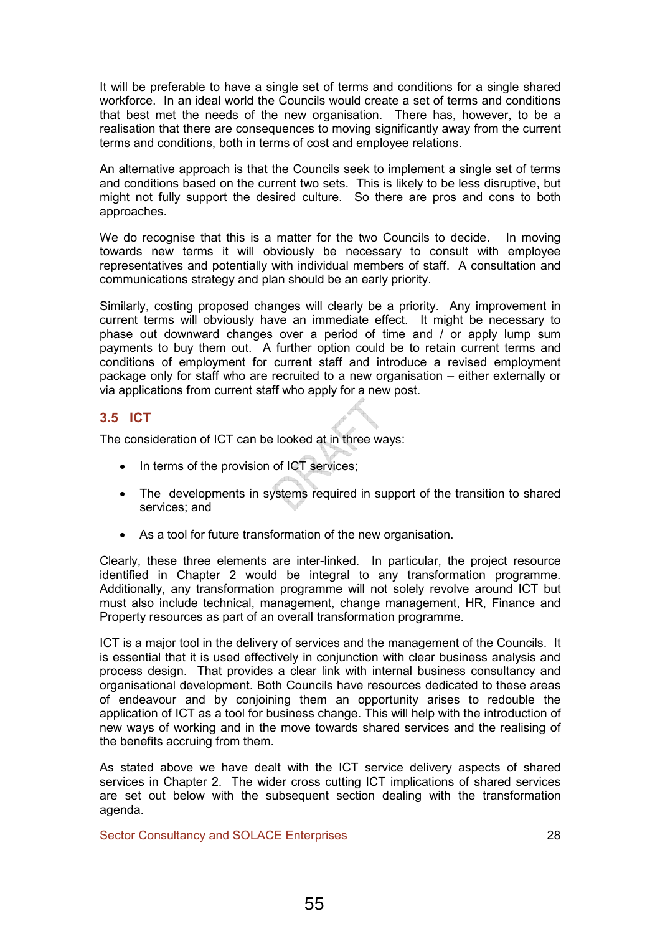It will be preferable to have a single set of terms and conditions for a single shared workforce. In an ideal world the Councils would create a set of terms and conditions that best met the needs of the new organisation. There has, however, to be a realisation that there are consequences to moving significantly away from the current terms and conditions, both in terms of cost and employee relations.

An alternative approach is that the Councils seek to implement a single set of terms and conditions based on the current two sets. This is likely to be less disruptive, but might not fully support the desired culture. So there are pros and cons to both approaches.

We do recognise that this is a matter for the two Councils to decide. In moving towards new terms it will obviously be necessary to consult with employee representatives and potentially with individual members of staff. A consultation and communications strategy and plan should be an early priority.

Similarly, costing proposed changes will clearly be a priority. Any improvement in current terms will obviously have an immediate effect. It might be necessary to phase out downward changes over a period of time and / or apply lump sum payments to buy them out. A further option could be to retain current terms and conditions of employment for current staff and introduce a revised employment package only for staff who are recruited to a new organisation – either externally or via applications from current staff who apply for a new post.

# 3.5 ICT

The consideration of ICT can be looked at in three ways:

- In terms of the provision of ICT services;
- The developments in systems required in support of the transition to shared services; and
- As a tool for future transformation of the new organisation.

Clearly, these three elements are inter-linked. In particular, the project resource identified in Chapter 2 would be integral to any transformation programme. Additionally, any transformation programme will not solely revolve around ICT but must also include technical, management, change management, HR, Finance and Property resources as part of an overall transformation programme.

ICT is a major tool in the delivery of services and the management of the Councils. It is essential that it is used effectively in conjunction with clear business analysis and process design. That provides a clear link with internal business consultancy and organisational development. Both Councils have resources dedicated to these areas of endeavour and by conjoining them an opportunity arises to redouble the application of ICT as a tool for business change. This will help with the introduction of new ways of working and in the move towards shared services and the realising of the benefits accruing from them.

As stated above we have dealt with the ICT service delivery aspects of shared services in Chapter 2. The wider cross cutting ICT implications of shared services are set out below with the subsequent section dealing with the transformation agenda.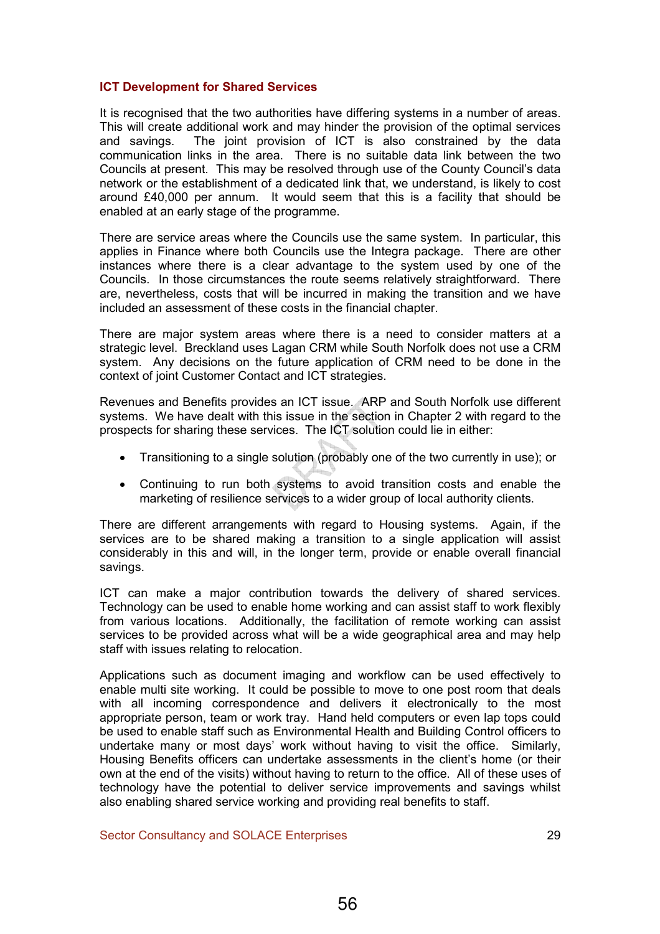### ICT Development for Shared Services

It is recognised that the two authorities have differing systems in a number of areas. This will create additional work and may hinder the provision of the optimal services and savings. The joint provision of ICT is also constrained by the data communication links in the area. There is no suitable data link between the two Councils at present. This may be resolved through use of the County Council's data network or the establishment of a dedicated link that, we understand, is likely to cost around £40,000 per annum. It would seem that this is a facility that should be enabled at an early stage of the programme.

There are service areas where the Councils use the same system. In particular, this applies in Finance where both Councils use the Integra package. There are other instances where there is a clear advantage to the system used by one of the Councils. In those circumstances the route seems relatively straightforward. There are, nevertheless, costs that will be incurred in making the transition and we have included an assessment of these costs in the financial chapter.

There are major system areas where there is a need to consider matters at a strategic level. Breckland uses Lagan CRM while South Norfolk does not use a CRM system. Any decisions on the future application of CRM need to be done in the context of joint Customer Contact and ICT strategies.

Revenues and Benefits provides an ICT issue. ARP and South Norfolk use different systems. We have dealt with this issue in the section in Chapter 2 with regard to the prospects for sharing these services. The ICT solution could lie in either:

- Transitioning to a single solution (probably one of the two currently in use); or
- Continuing to run both systems to avoid transition costs and enable the marketing of resilience services to a wider group of local authority clients.

There are different arrangements with regard to Housing systems. Again, if the services are to be shared making a transition to a single application will assist considerably in this and will, in the longer term, provide or enable overall financial savings.

ICT can make a major contribution towards the delivery of shared services. Technology can be used to enable home working and can assist staff to work flexibly from various locations. Additionally, the facilitation of remote working can assist services to be provided across what will be a wide geographical area and may help staff with issues relating to relocation.

Applications such as document imaging and workflow can be used effectively to enable multi site working. It could be possible to move to one post room that deals with all incoming correspondence and delivers it electronically to the most appropriate person, team or work tray. Hand held computers or even lap tops could be used to enable staff such as Environmental Health and Building Control officers to undertake many or most days' work without having to visit the office. Similarly, Housing Benefits officers can undertake assessments in the client's home (or their own at the end of the visits) without having to return to the office. All of these uses of technology have the potential to deliver service improvements and savings whilst also enabling shared service working and providing real benefits to staff.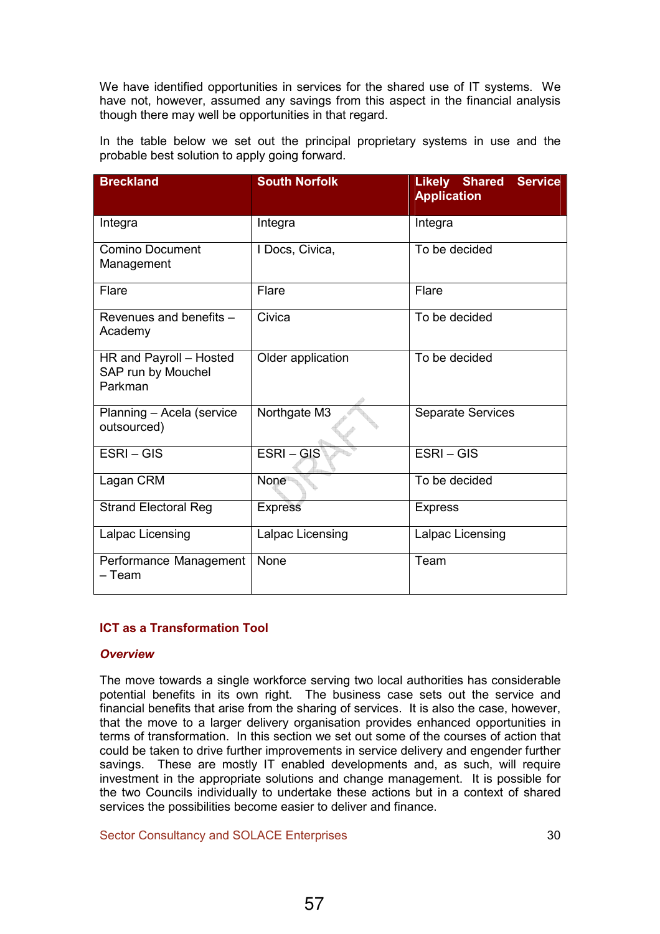We have identified opportunities in services for the shared use of IT systems. We have not, however, assumed any savings from this aspect in the financial analysis though there may well be opportunities in that regard.

In the table below we set out the principal proprietary systems in use and the probable best solution to apply going forward.

| <b>Breckland</b>                                         | <b>South Norfolk</b> | <b>Service</b><br>Likely Shared<br><b>Application</b> |
|----------------------------------------------------------|----------------------|-------------------------------------------------------|
| Integra                                                  | Integra              | Integra                                               |
| Comino Document<br>Management                            | I Docs, Civica,      | To be decided                                         |
| Flare                                                    | Flare                | Flare                                                 |
| Revenues and benefits -<br>Academy                       | Civica               | To be decided                                         |
| HR and Payroll - Hosted<br>SAP run by Mouchel<br>Parkman | Older application    | To be decided                                         |
| Planning - Acela (service<br>outsourced)                 | Northgate M3         | <b>Separate Services</b>                              |
| ESRI-GIS                                                 | $ESRI - GIS$         | $ESRI - GIS$                                          |
| Lagan CRM                                                | None                 | To be decided                                         |
| <b>Strand Electoral Reg</b>                              | <b>Express</b>       | <b>Express</b>                                        |
| Lalpac Licensing                                         | Lalpac Licensing     | Lalpac Licensing                                      |
| Performance Management<br>– Team                         | None                 | Team                                                  |

## ICT as a Transformation Tool

### **Overview**

The move towards a single workforce serving two local authorities has considerable potential benefits in its own right. The business case sets out the service and financial benefits that arise from the sharing of services. It is also the case, however, that the move to a larger delivery organisation provides enhanced opportunities in terms of transformation. In this section we set out some of the courses of action that could be taken to drive further improvements in service delivery and engender further savings. These are mostly IT enabled developments and, as such, will require investment in the appropriate solutions and change management. It is possible for the two Councils individually to undertake these actions but in a context of shared services the possibilities become easier to deliver and finance.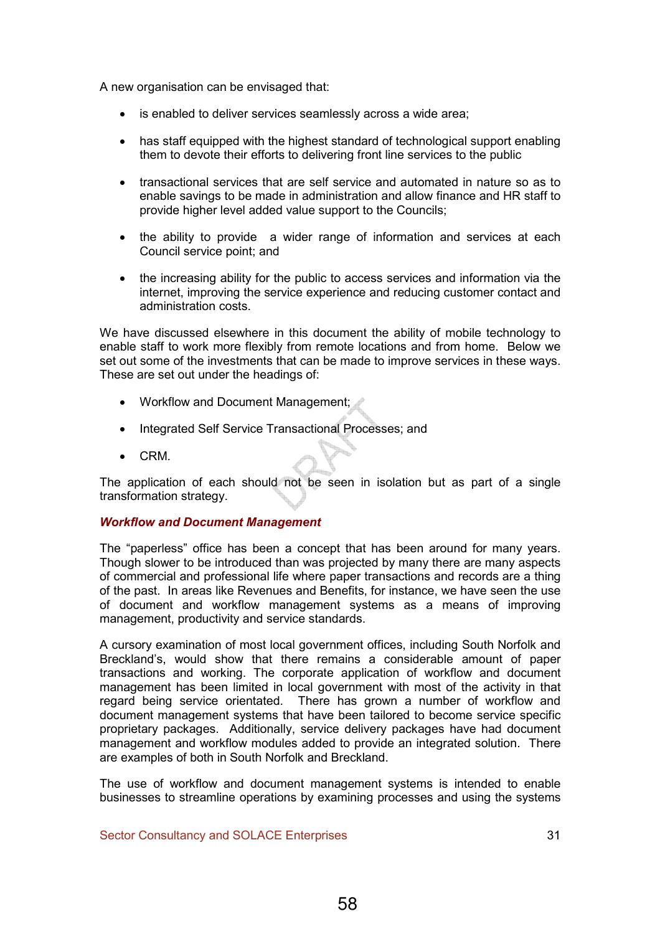A new organisation can be envisaged that:

- is enabled to deliver services seamlessly across a wide area;
- has staff equipped with the highest standard of technological support enabling them to devote their efforts to delivering front line services to the public
- transactional services that are self service and automated in nature so as to enable savings to be made in administration and allow finance and HR staff to provide higher level added value support to the Councils;
- the ability to provide a wider range of information and services at each Council service point; and
- the increasing ability for the public to access services and information via the internet, improving the service experience and reducing customer contact and administration costs.

We have discussed elsewhere in this document the ability of mobile technology to enable staff to work more flexibly from remote locations and from home. Below we set out some of the investments that can be made to improve services in these ways. These are set out under the headings of:

- Workflow and Document Management;
- Integrated Self Service Transactional Processes; and
- CRM.

The application of each should not be seen in isolation but as part of a single transformation strategy.

## Workflow and Document Management

The "paperless" office has been a concept that has been around for many years. Though slower to be introduced than was projected by many there are many aspects of commercial and professional life where paper transactions and records are a thing of the past. In areas like Revenues and Benefits, for instance, we have seen the use of document and workflow management systems as a means of improving management, productivity and service standards.

A cursory examination of most local government offices, including South Norfolk and Breckland's, would show that there remains a considerable amount of paper transactions and working. The corporate application of workflow and document management has been limited in local government with most of the activity in that regard being service orientated. There has grown a number of workflow and document management systems that have been tailored to become service specific proprietary packages. Additionally, service delivery packages have had document management and workflow modules added to provide an integrated solution. There are examples of both in South Norfolk and Breckland.

The use of workflow and document management systems is intended to enable businesses to streamline operations by examining processes and using the systems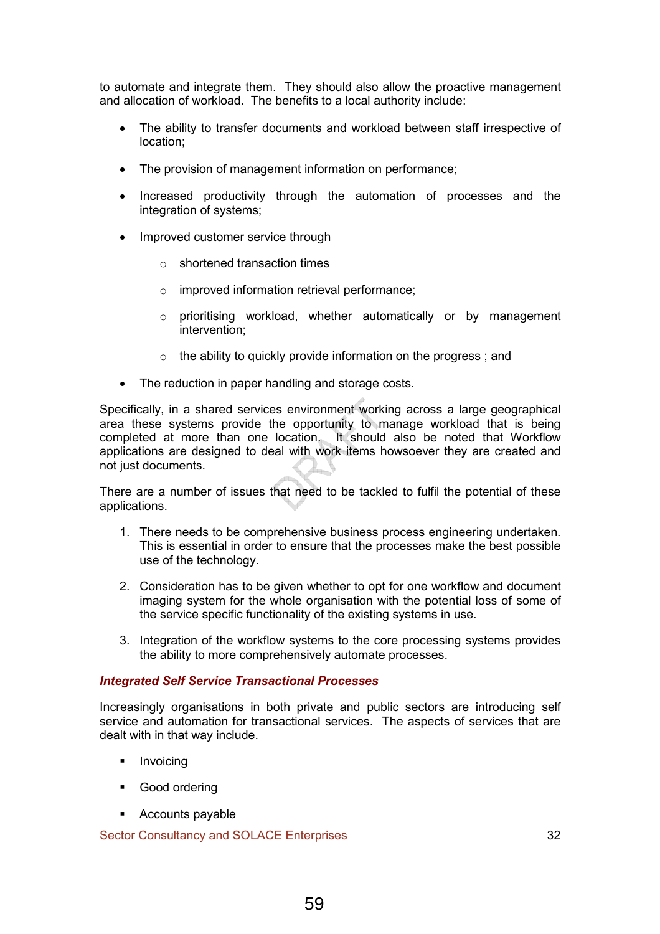to automate and integrate them. They should also allow the proactive management and allocation of workload. The benefits to a local authority include:

- The ability to transfer documents and workload between staff irrespective of location;
- The provision of management information on performance;
- Increased productivity through the automation of processes and the integration of systems;
- Improved customer service through
	- o shortened transaction times
	- o improved information retrieval performance;
	- o prioritising workload, whether automatically or by management intervention;
	- $\circ$  the ability to quickly provide information on the progress; and
- The reduction in paper handling and storage costs.

Specifically, in a shared services environment working across a large geographical area these systems provide the opportunity to manage workload that is being completed at more than one location. It should also be noted that Workflow applications are designed to deal with work items howsoever they are created and not just documents.

There are a number of issues that need to be tackled to fulfil the potential of these applications.

- 1. There needs to be comprehensive business process engineering undertaken. This is essential in order to ensure that the processes make the best possible use of the technology.
- 2. Consideration has to be given whether to opt for one workflow and document imaging system for the whole organisation with the potential loss of some of the service specific functionality of the existing systems in use.
- 3. Integration of the workflow systems to the core processing systems provides the ability to more comprehensively automate processes.

### Integrated Self Service Transactional Processes

Increasingly organisations in both private and public sectors are introducing self service and automation for transactional services. The aspects of services that are dealt with in that way include.

- **•** Invoicing
- § Good ordering
- Accounts payable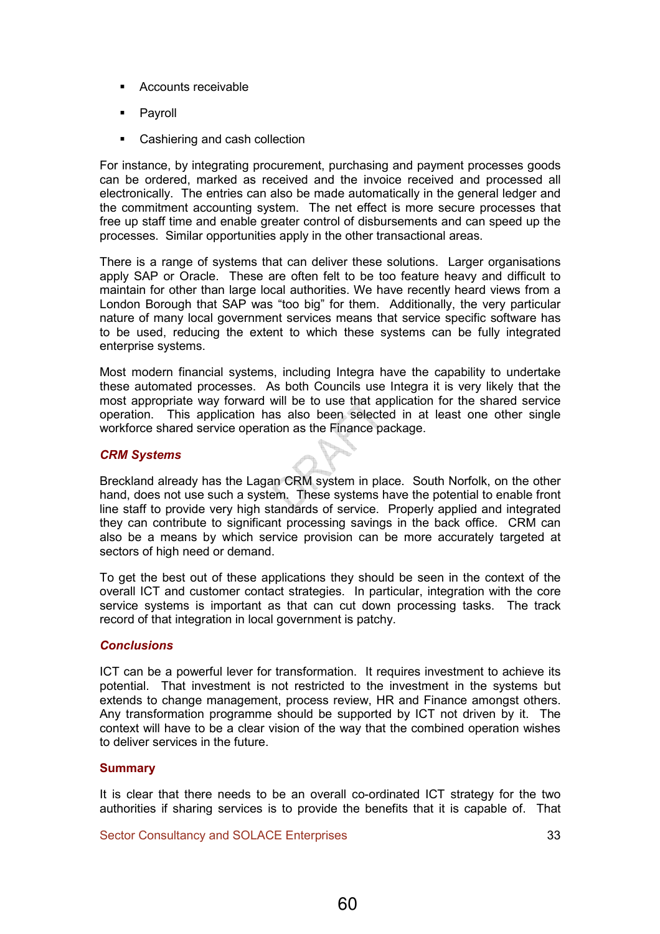- § Accounts receivable
- Payroll
- Cashiering and cash collection

For instance, by integrating procurement, purchasing and payment processes goods can be ordered, marked as received and the invoice received and processed all electronically. The entries can also be made automatically in the general ledger and the commitment accounting system. The net effect is more secure processes that free up staff time and enable greater control of disbursements and can speed up the processes. Similar opportunities apply in the other transactional areas.

There is a range of systems that can deliver these solutions. Larger organisations apply SAP or Oracle. These are often felt to be too feature heavy and difficult to maintain for other than large local authorities. We have recently heard views from a London Borough that SAP was "too big" for them. Additionally, the very particular nature of many local government services means that service specific software has to be used, reducing the extent to which these systems can be fully integrated enterprise systems.

Most modern financial systems, including Integra have the capability to undertake these automated processes. As both Councils use Integra it is very likely that the most appropriate way forward will be to use that application for the shared service operation. This application has also been selected in at least one other single workforce shared service operation as the Finance package.

### CRM Systems

Breckland already has the Lagan CRM system in place. South Norfolk, on the other hand, does not use such a system. These systems have the potential to enable front line staff to provide very high standards of service. Properly applied and integrated they can contribute to significant processing savings in the back office. CRM can also be a means by which service provision can be more accurately targeted at sectors of high need or demand.

To get the best out of these applications they should be seen in the context of the overall ICT and customer contact strategies. In particular, integration with the core service systems is important as that can cut down processing tasks. The track record of that integration in local government is patchy.

### **Conclusions**

ICT can be a powerful lever for transformation. It requires investment to achieve its potential. That investment is not restricted to the investment in the systems but extends to change management, process review, HR and Finance amongst others. Any transformation programme should be supported by ICT not driven by it. The context will have to be a clear vision of the way that the combined operation wishes to deliver services in the future.

### **Summary**

It is clear that there needs to be an overall co-ordinated ICT strategy for the two authorities if sharing services is to provide the benefits that it is capable of. That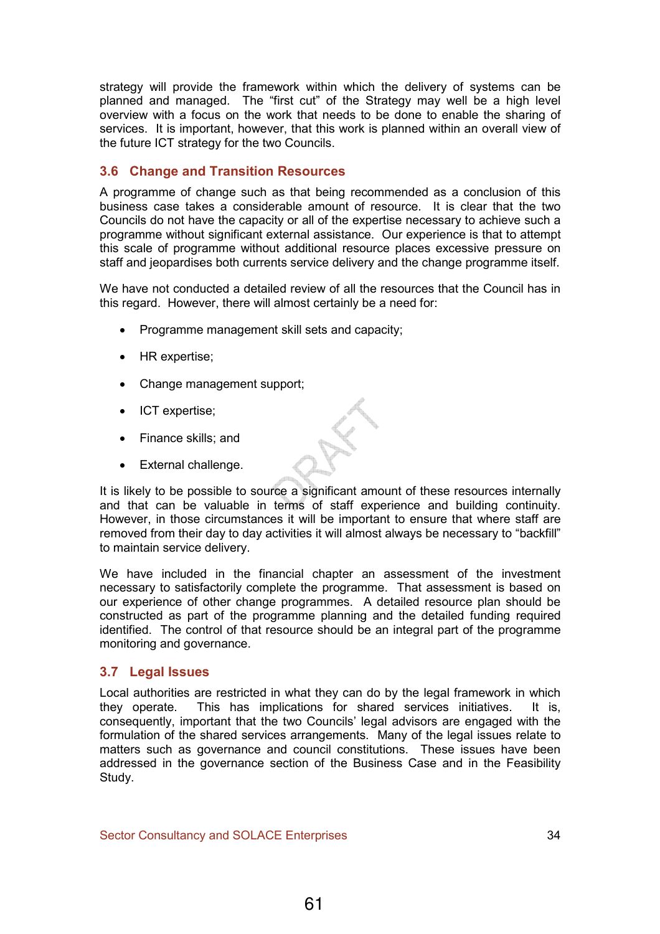strategy will provide the framework within which the delivery of systems can be planned and managed. The "first cut" of the Strategy may well be a high level overview with a focus on the work that needs to be done to enable the sharing of services. It is important, however, that this work is planned within an overall view of the future ICT strategy for the two Councils.

# 3.6 Change and Transition Resources

A programme of change such as that being recommended as a conclusion of this business case takes a considerable amount of resource. It is clear that the two Councils do not have the capacity or all of the expertise necessary to achieve such a programme without significant external assistance. Our experience is that to attempt this scale of programme without additional resource places excessive pressure on staff and jeopardises both currents service delivery and the change programme itself.

We have not conducted a detailed review of all the resources that the Council has in this regard. However, there will almost certainly be a need for:

- Programme management skill sets and capacity;
- HR expertise;
- Change management support;
- ICT expertise;
- Finance skills; and
- External challenge.

It is likely to be possible to source a significant amount of these resources internally and that can be valuable in terms of staff experience and building continuity. However, in those circumstances it will be important to ensure that where staff are removed from their day to day activities it will almost always be necessary to "backfill" to maintain service delivery.

We have included in the financial chapter an assessment of the investment necessary to satisfactorily complete the programme. That assessment is based on our experience of other change programmes. A detailed resource plan should be constructed as part of the programme planning and the detailed funding required identified. The control of that resource should be an integral part of the programme monitoring and governance.

## 3.7 Legal Issues

Local authorities are restricted in what they can do by the legal framework in which they operate. This has implications for shared services initiatives. It is, consequently, important that the two Councils' legal advisors are engaged with the formulation of the shared services arrangements. Many of the legal issues relate to matters such as governance and council constitutions. These issues have been addressed in the governance section of the Business Case and in the Feasibility Study.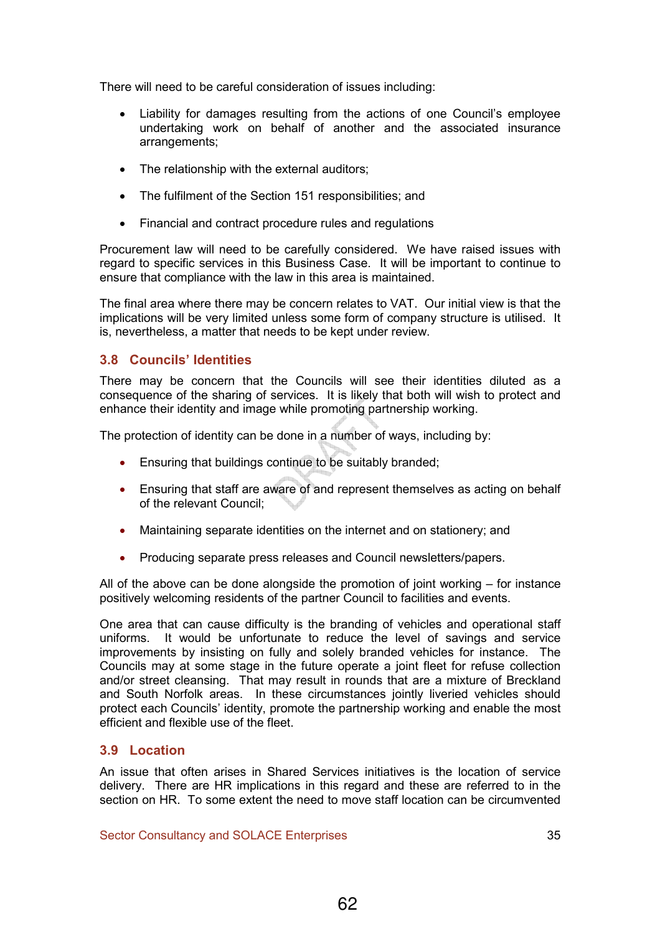There will need to be careful consideration of issues including:

- Liability for damages resulting from the actions of one Council's employee undertaking work on behalf of another and the associated insurance arrangements;
- The relationship with the external auditors:
- The fulfilment of the Section 151 responsibilities; and
- Financial and contract procedure rules and regulations

Procurement law will need to be carefully considered. We have raised issues with regard to specific services in this Business Case. It will be important to continue to ensure that compliance with the law in this area is maintained.

The final area where there may be concern relates to VAT. Our initial view is that the implications will be very limited unless some form of company structure is utilised. It is, nevertheless, a matter that needs to be kept under review.

# 3.8 Councils' Identities

There may be concern that the Councils will see their identities diluted as a consequence of the sharing of services. It is likely that both will wish to protect and enhance their identity and image while promoting partnership working.

The protection of identity can be done in a number of ways, including by:

- Ensuring that buildings continue to be suitably branded;
- Ensuring that staff are aware of and represent themselves as acting on behalf of the relevant Council;
- Maintaining separate identities on the internet and on stationery; and
- Producing separate press releases and Council newsletters/papers.

All of the above can be done alongside the promotion of joint working – for instance positively welcoming residents of the partner Council to facilities and events.

One area that can cause difficulty is the branding of vehicles and operational staff uniforms. It would be unfortunate to reduce the level of savings and service improvements by insisting on fully and solely branded vehicles for instance. The Councils may at some stage in the future operate a joint fleet for refuse collection and/or street cleansing. That may result in rounds that are a mixture of Breckland and South Norfolk areas. In these circumstances jointly liveried vehicles should protect each Councils' identity, promote the partnership working and enable the most efficient and flexible use of the fleet.

# 3.9 Location

An issue that often arises in Shared Services initiatives is the location of service delivery. There are HR implications in this regard and these are referred to in the section on HR. To some extent the need to move staff location can be circumvented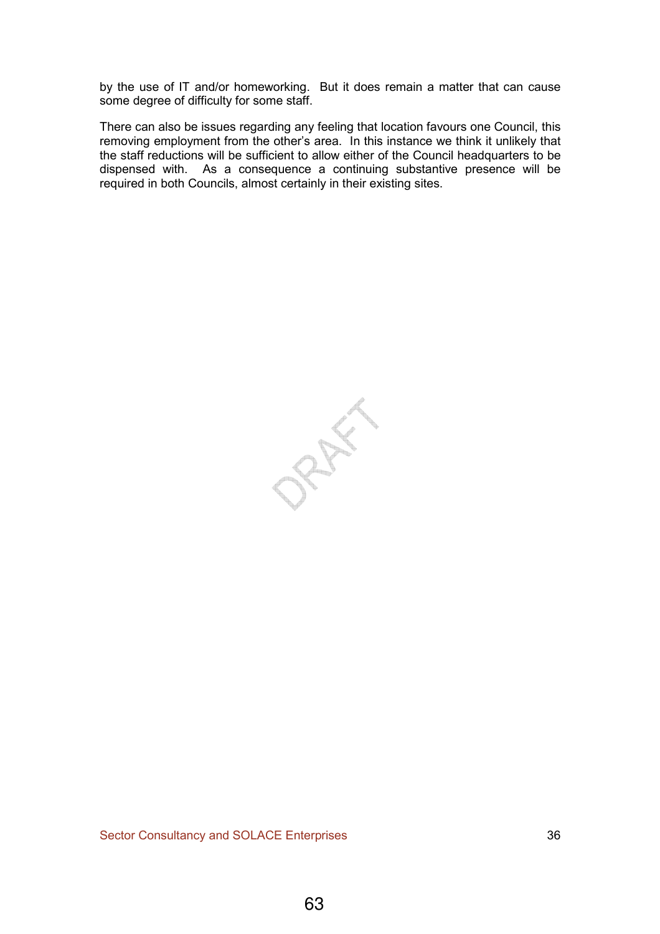by the use of IT and/or homeworking. But it does remain a matter that can cause some degree of difficulty for some staff.

There can also be issues regarding any feeling that location favours one Council, this removing employment from the other's area. In this instance we think it unlikely that the staff reductions will be sufficient to allow either of the Council headquarters to be dispensed with. As a consequence a continuing substantive presence will be required in both Councils, almost certainly in their existing sites.

PREFE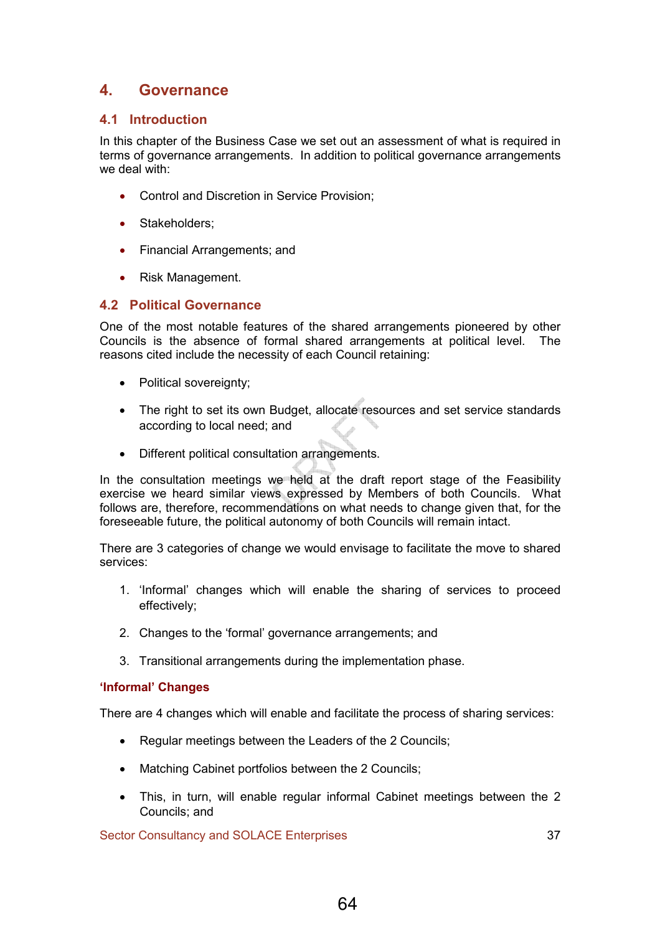# 4. Governance

# 4.1 Introduction

In this chapter of the Business Case we set out an assessment of what is required in terms of governance arrangements. In addition to political governance arrangements we deal with:

- Control and Discretion in Service Provision;
- Stakeholders;
- Financial Arrangements; and
- Risk Management.

# 4.2 Political Governance

One of the most notable features of the shared arrangements pioneered by other Councils is the absence of formal shared arrangements at political level. The reasons cited include the necessity of each Council retaining:

- Political sovereignty;
- The right to set its own Budget, allocate resources and set service standards according to local need; and
- Different political consultation arrangements.

In the consultation meetings we held at the draft report stage of the Feasibility exercise we heard similar views expressed by Members of both Councils. What follows are, therefore, recommendations on what needs to change given that, for the foreseeable future, the political autonomy of both Councils will remain intact.

There are 3 categories of change we would envisage to facilitate the move to shared services:

- 1. 'Informal' changes which will enable the sharing of services to proceed effectively;
- 2. Changes to the 'formal' governance arrangements; and
- 3. Transitional arrangements during the implementation phase.

## 'Informal' Changes

There are 4 changes which will enable and facilitate the process of sharing services:

- Regular meetings between the Leaders of the 2 Councils;
- Matching Cabinet portfolios between the 2 Councils;
- This, in turn, will enable regular informal Cabinet meetings between the 2 Councils; and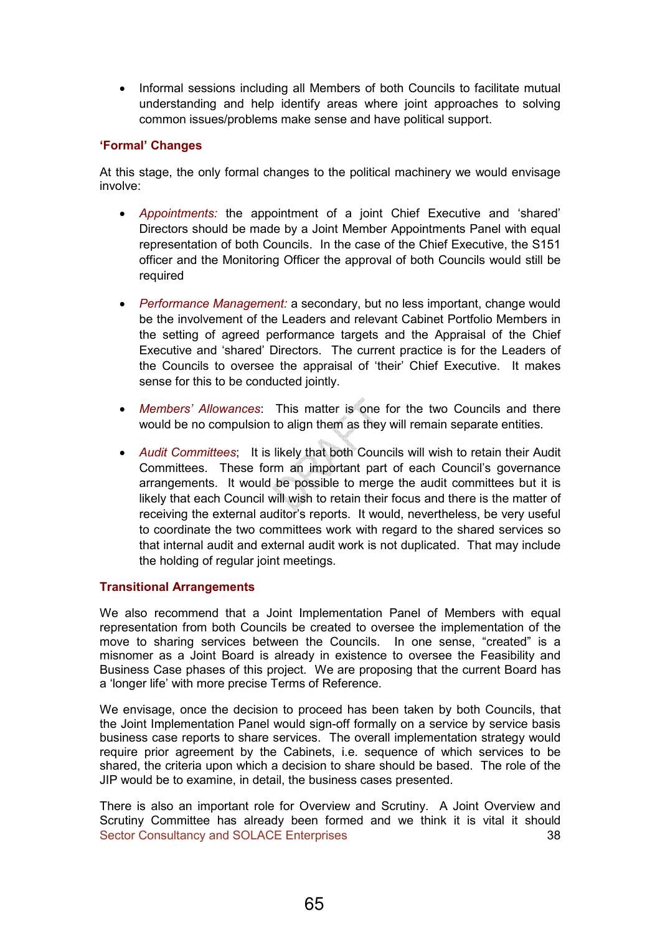• Informal sessions including all Members of both Councils to facilitate mutual understanding and help identify areas where joint approaches to solving common issues/problems make sense and have political support.

## 'Formal' Changes

At this stage, the only formal changes to the political machinery we would envisage involve:

- Appointments: the appointment of a joint Chief Executive and 'shared' Directors should be made by a Joint Member Appointments Panel with equal representation of both Councils. In the case of the Chief Executive, the S151 officer and the Monitoring Officer the approval of both Councils would still be required
- Performance Management: a secondary, but no less important, change would be the involvement of the Leaders and relevant Cabinet Portfolio Members in the setting of agreed performance targets and the Appraisal of the Chief Executive and 'shared' Directors. The current practice is for the Leaders of the Councils to oversee the appraisal of 'their' Chief Executive. It makes sense for this to be conducted jointly.
- Members' Allowances: This matter is one for the two Councils and there would be no compulsion to align them as they will remain separate entities.
- Audit Committees; It is likely that both Councils will wish to retain their Audit Committees. These form an important part of each Council's governance arrangements. It would be possible to merge the audit committees but it is likely that each Council will wish to retain their focus and there is the matter of receiving the external auditor's reports. It would, nevertheless, be very useful to coordinate the two committees work with regard to the shared services so that internal audit and external audit work is not duplicated. That may include the holding of regular joint meetings.

### Transitional Arrangements

We also recommend that a Joint Implementation Panel of Members with equal representation from both Councils be created to oversee the implementation of the move to sharing services between the Councils. In one sense, "created" is a misnomer as a Joint Board is already in existence to oversee the Feasibility and Business Case phases of this project. We are proposing that the current Board has a 'longer life' with more precise Terms of Reference.

We envisage, once the decision to proceed has been taken by both Councils, that the Joint Implementation Panel would sign-off formally on a service by service basis business case reports to share services. The overall implementation strategy would require prior agreement by the Cabinets, i.e. sequence of which services to be shared, the criteria upon which a decision to share should be based. The role of the JIP would be to examine, in detail, the business cases presented.

Sector Consultancy and SOLACE Enterprises 38 There is also an important role for Overview and Scrutiny. A Joint Overview and Scrutiny Committee has already been formed and we think it is vital it should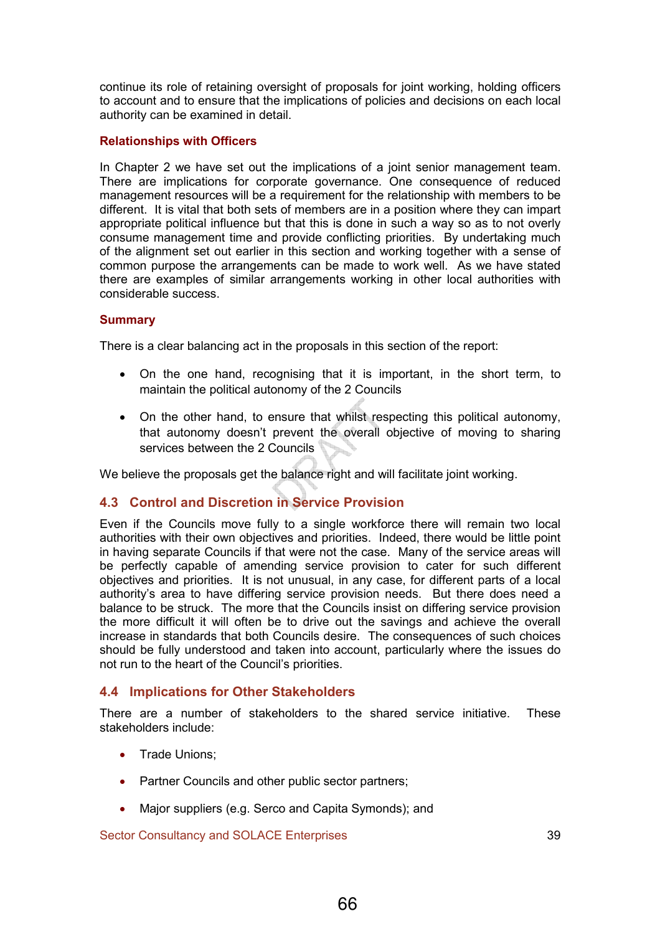continue its role of retaining oversight of proposals for joint working, holding officers to account and to ensure that the implications of policies and decisions on each local authority can be examined in detail.

### Relationships with Officers

In Chapter 2 we have set out the implications of a joint senior management team. There are implications for corporate governance. One consequence of reduced management resources will be a requirement for the relationship with members to be different. It is vital that both sets of members are in a position where they can impart appropriate political influence but that this is done in such a way so as to not overly consume management time and provide conflicting priorities. By undertaking much of the alignment set out earlier in this section and working together with a sense of common purpose the arrangements can be made to work well. As we have stated there are examples of similar arrangements working in other local authorities with considerable success.

### **Summary**

There is a clear balancing act in the proposals in this section of the report:

- On the one hand, recognising that it is important, in the short term, to maintain the political autonomy of the 2 Councils
- On the other hand, to ensure that whilst respecting this political autonomy, that autonomy doesn't prevent the overall objective of moving to sharing services between the 2 Councils

We believe the proposals get the balance right and will facilitate joint working.

## 4.3 Control and Discretion in Service Provision

Even if the Councils move fully to a single workforce there will remain two local authorities with their own objectives and priorities. Indeed, there would be little point in having separate Councils if that were not the case. Many of the service areas will be perfectly capable of amending service provision to cater for such different objectives and priorities. It is not unusual, in any case, for different parts of a local authority's area to have differing service provision needs. But there does need a balance to be struck. The more that the Councils insist on differing service provision the more difficult it will often be to drive out the savings and achieve the overall increase in standards that both Councils desire. The consequences of such choices should be fully understood and taken into account, particularly where the issues do not run to the heart of the Council's priorities.

## 4.4 Implications for Other Stakeholders

There are a number of stakeholders to the shared service initiative. These stakeholders include:

- Trade Unions:
- Partner Councils and other public sector partners;
- Major suppliers (e.g. Serco and Capita Symonds); and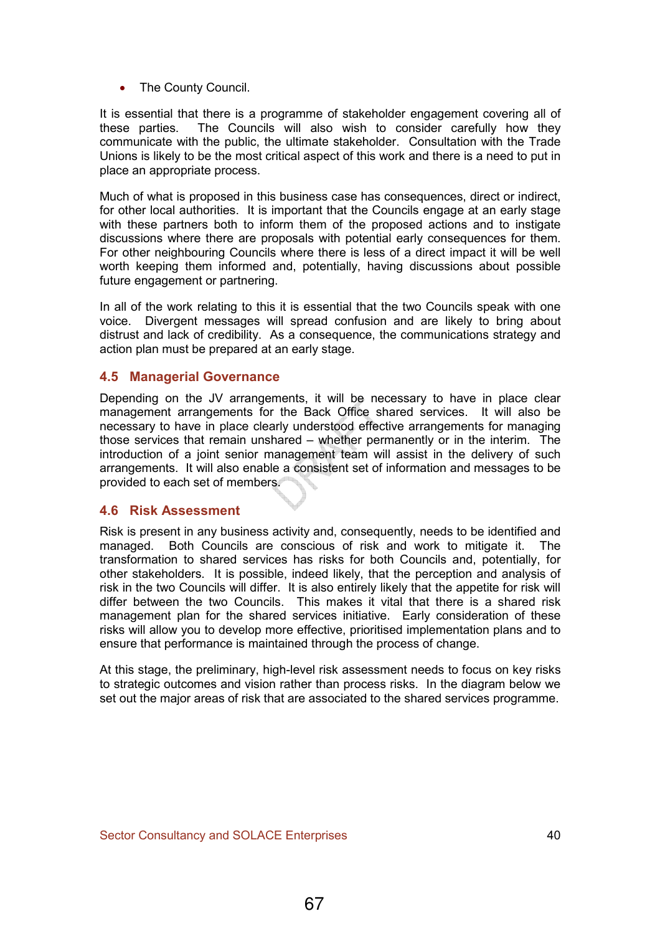• The County Council.

It is essential that there is a programme of stakeholder engagement covering all of these parties. The Councils will also wish to consider carefully how they communicate with the public, the ultimate stakeholder. Consultation with the Trade Unions is likely to be the most critical aspect of this work and there is a need to put in place an appropriate process.

Much of what is proposed in this business case has consequences, direct or indirect, for other local authorities. It is important that the Councils engage at an early stage with these partners both to inform them of the proposed actions and to instigate discussions where there are proposals with potential early consequences for them. For other neighbouring Councils where there is less of a direct impact it will be well worth keeping them informed and, potentially, having discussions about possible future engagement or partnering.

In all of the work relating to this it is essential that the two Councils speak with one voice. Divergent messages will spread confusion and are likely to bring about distrust and lack of credibility. As a consequence, the communications strategy and action plan must be prepared at an early stage.

# 4.5 Managerial Governance

Depending on the JV arrangements, it will be necessary to have in place clear management arrangements for the Back Office shared services. It will also be necessary to have in place clearly understood effective arrangements for managing those services that remain unshared – whether permanently or in the interim. The introduction of a joint senior management team will assist in the delivery of such arrangements. It will also enable a consistent set of information and messages to be provided to each set of members.

## 4.6 Risk Assessment

Risk is present in any business activity and, consequently, needs to be identified and managed. Both Councils are conscious of risk and work to mitigate it. The transformation to shared services has risks for both Councils and, potentially, for other stakeholders. It is possible, indeed likely, that the perception and analysis of risk in the two Councils will differ. It is also entirely likely that the appetite for risk will differ between the two Councils. This makes it vital that there is a shared risk management plan for the shared services initiative. Early consideration of these risks will allow you to develop more effective, prioritised implementation plans and to ensure that performance is maintained through the process of change.

At this stage, the preliminary, high-level risk assessment needs to focus on key risks to strategic outcomes and vision rather than process risks. In the diagram below we set out the major areas of risk that are associated to the shared services programme.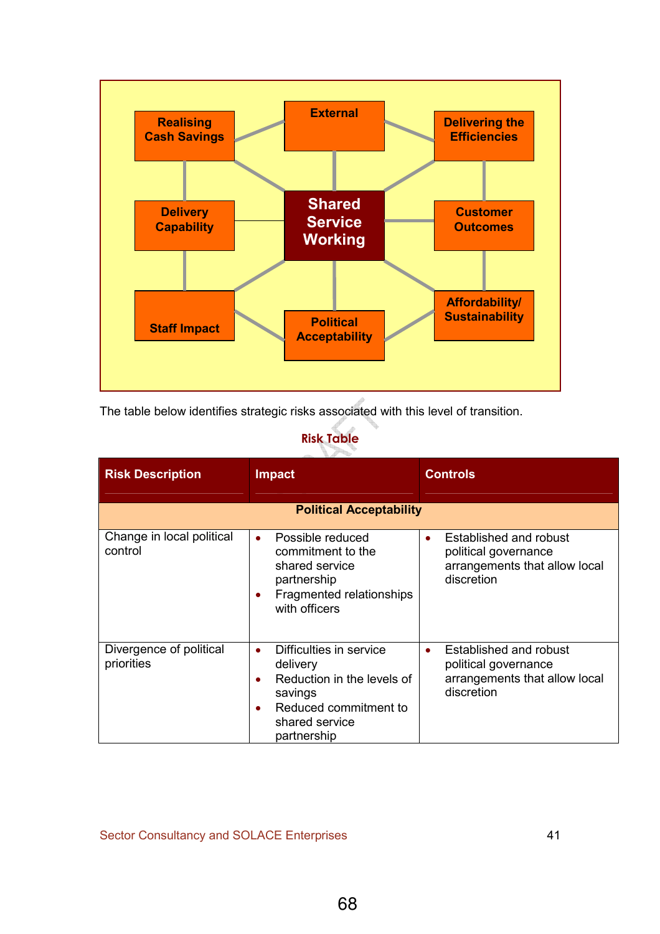

The table below identifies strategic risks associated with this level of transition.

### Risk Table  $\sum_{i=1}^n$

| <b>Risk Description</b>               | <b>Impact</b>                                                                                                                                       | <b>Controls</b>                                                                                            |  |
|---------------------------------------|-----------------------------------------------------------------------------------------------------------------------------------------------------|------------------------------------------------------------------------------------------------------------|--|
|                                       | <b>Political Acceptability</b>                                                                                                                      |                                                                                                            |  |
| Change in local political<br>control  | Possible reduced<br>$\bullet$<br>commitment to the<br>shared service<br>partnership<br>Fragmented relationships<br>with officers                    | Established and robust<br>٠<br>political governance<br>arrangements that allow local<br>discretion         |  |
| Divergence of political<br>priorities | Difficulties in service<br>$\bullet$<br>delivery<br>Reduction in the levels of<br>savings<br>Reduced commitment to<br>shared service<br>partnership | Established and robust<br>$\bullet$<br>political governance<br>arrangements that allow local<br>discretion |  |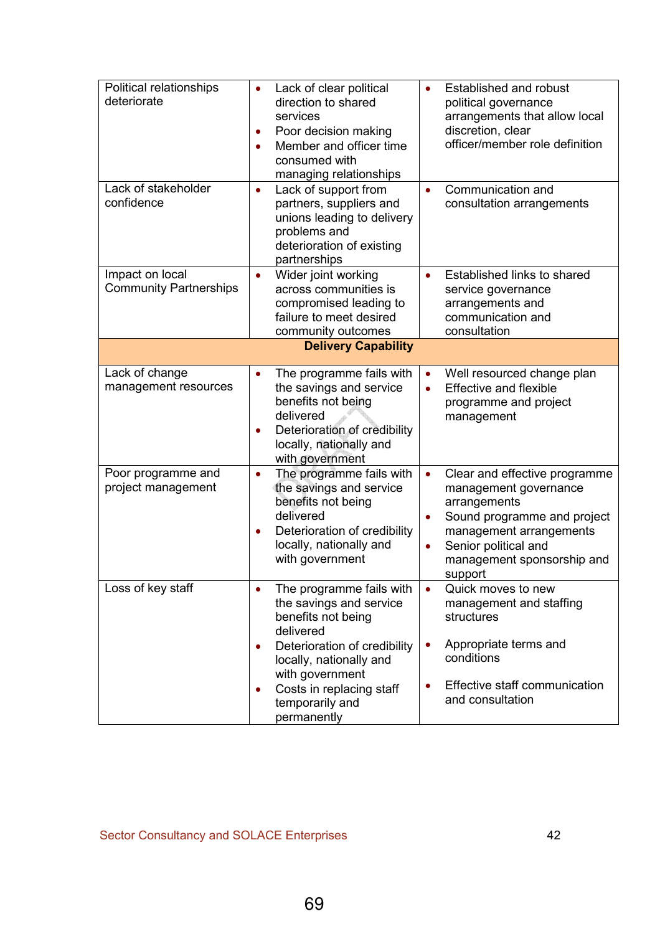| Political relationships<br>deteriorate           | Lack of clear political<br>$\bullet$<br>direction to shared<br>services<br>Poor decision making<br>٠<br>Member and officer time<br>$\bullet$<br>consumed with<br>managing relationships        | Established and robust<br>political governance<br>arrangements that allow local<br>discretion, clear<br>officer/member role definition                                                                                                   |
|--------------------------------------------------|------------------------------------------------------------------------------------------------------------------------------------------------------------------------------------------------|------------------------------------------------------------------------------------------------------------------------------------------------------------------------------------------------------------------------------------------|
| Lack of stakeholder<br>confidence                | Lack of support from<br>$\bullet$<br>partners, suppliers and<br>unions leading to delivery<br>problems and<br>deterioration of existing<br>partnerships                                        | Communication and<br>$\bullet$<br>consultation arrangements                                                                                                                                                                              |
| Impact on local<br><b>Community Partnerships</b> | Wider joint working<br>$\bullet$<br>across communities is<br>compromised leading to<br>failure to meet desired<br>community outcomes                                                           | Established links to shared<br>$\bullet$<br>service governance<br>arrangements and<br>communication and<br>consultation                                                                                                                  |
|                                                  | <b>Delivery Capability</b>                                                                                                                                                                     |                                                                                                                                                                                                                                          |
| Lack of change<br>management resources           | The programme fails with<br>$\bullet$<br>the savings and service<br>benefits not being<br>delivered<br>Deterioration of credibility<br>$\bullet$<br>locally, nationally and<br>with government | Well resourced change plan<br>$\bullet$<br><b>Effective and flexible</b><br>$\bullet$<br>programme and project<br>management                                                                                                             |
| Poor programme and<br>project management         | The programme fails with<br>$\bullet$<br>the savings and service<br>benefits not being<br>delivered<br>Deterioration of credibility<br>٠<br>locally, nationally and<br>with government         | Clear and effective programme<br>$\bullet$<br>management governance<br>arrangements<br>Sound programme and project<br>$\bullet$<br>management arrangements<br>Senior political and<br>$\bullet$<br>management sponsorship and<br>support |
| Loss of key staff                                | The programme fails with<br>$\bullet$<br>the savings and service<br>benefits not being<br>delivered                                                                                            | Quick moves to new<br>$\bullet$<br>management and staffing<br>structures                                                                                                                                                                 |
|                                                  | Deterioration of credibility<br>$\bullet$<br>locally, nationally and<br>with government<br>Costs in replacing staff<br>$\bullet$<br>temporarily and<br>permanently                             | Appropriate terms and<br>$\bullet$<br>conditions<br>Effective staff communication<br>and consultation                                                                                                                                    |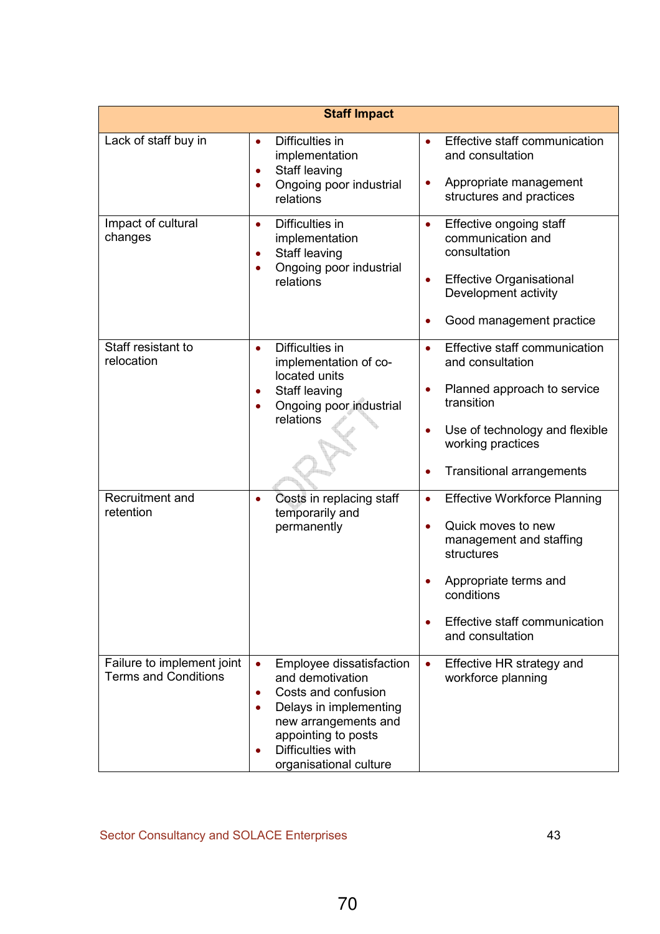|                                                           | <b>Staff Impact</b>                                                                                                                                                                                                                       |                                                                                                                                                                                                                     |
|-----------------------------------------------------------|-------------------------------------------------------------------------------------------------------------------------------------------------------------------------------------------------------------------------------------------|---------------------------------------------------------------------------------------------------------------------------------------------------------------------------------------------------------------------|
| Lack of staff buy in                                      | Difficulties in<br>$\bullet$<br>implementation<br>Staff leaving<br>$\bullet$<br>Ongoing poor industrial<br>$\bullet$<br>relations                                                                                                         | Effective staff communication<br>and consultation<br>Appropriate management<br>structures and practices                                                                                                             |
| Impact of cultural<br>changes                             | Difficulties in<br>$\bullet$<br>implementation<br>Staff leaving<br>$\bullet$<br>Ongoing poor industrial<br>$\bullet$<br>relations                                                                                                         | Effective ongoing staff<br>$\bullet$<br>communication and<br>consultation<br><b>Effective Organisational</b><br>$\bullet$<br>Development activity<br>Good management practice                                       |
| Staff resistant to<br>relocation                          | Difficulties in<br>$\bullet$<br>implementation of co-<br>located units<br>Staff leaving<br>$\bullet$<br>Ongoing poor industrial<br>$\bullet$<br>relations                                                                                 | Effective staff communication<br>$\bullet$<br>and consultation<br>Planned approach to service<br>transition<br>Use of technology and flexible<br>$\bullet$<br>working practices<br><b>Transitional arrangements</b> |
| Recruitment and<br>retention                              | Costs in replacing staff<br>$\bullet$<br>temporarily and<br>permanently                                                                                                                                                                   | <b>Effective Workforce Planning</b><br>Quick moves to new<br>$\bullet$<br>management and staffing<br>structures<br>Appropriate terms and<br>conditions<br>Effective staff communication<br>and consultation         |
| Failure to implement joint<br><b>Terms and Conditions</b> | Employee dissatisfaction<br>$\bullet$<br>and demotivation<br>Costs and confusion<br>$\bullet$<br>Delays in implementing<br>new arrangements and<br>appointing to posts<br><b>Difficulties with</b><br>$\bullet$<br>organisational culture | Effective HR strategy and<br>$\bullet$<br>workforce planning                                                                                                                                                        |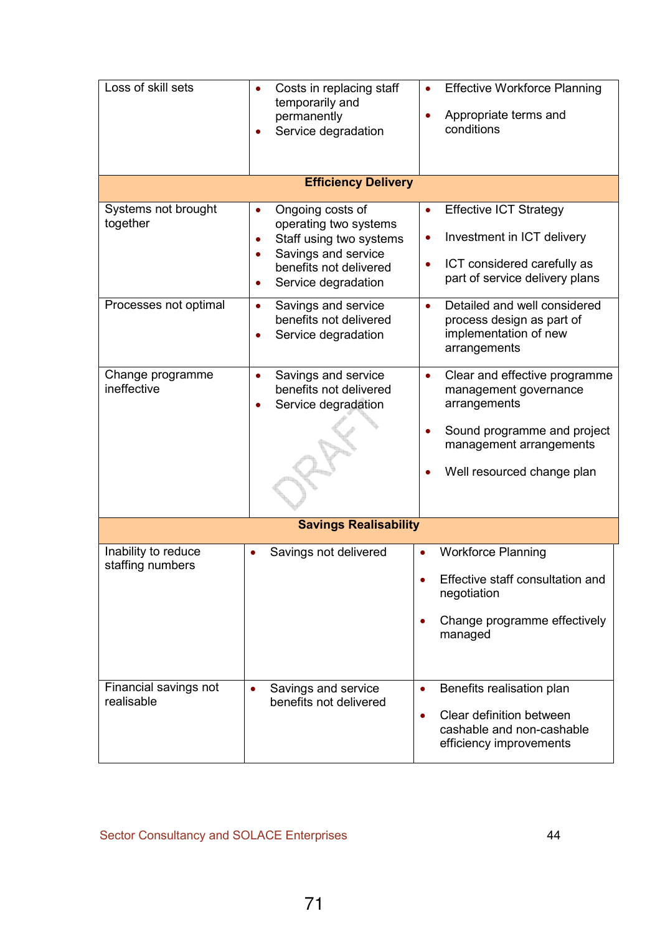| Loss of skill sets                                       | Costs in replacing staff<br>temporarily and<br>permanently<br>Service degradation                                                                                                                                       | <b>Effective Workforce Planning</b><br>Appropriate terms and<br>conditions                                                                                                             |
|----------------------------------------------------------|-------------------------------------------------------------------------------------------------------------------------------------------------------------------------------------------------------------------------|----------------------------------------------------------------------------------------------------------------------------------------------------------------------------------------|
|                                                          | <b>Efficiency Delivery</b>                                                                                                                                                                                              |                                                                                                                                                                                        |
| Systems not brought<br>together<br>Processes not optimal | Ongoing costs of<br>$\bullet$<br>operating two systems<br>Staff using two systems<br>$\bullet$<br>Savings and service<br>$\bullet$<br>benefits not delivered<br>Service degradation<br>Savings and service<br>$\bullet$ | <b>Effective ICT Strategy</b><br>Investment in ICT delivery<br>ICT considered carefully as<br>$\bullet$<br>part of service delivery plans<br>Detailed and well considered<br>$\bullet$ |
|                                                          | benefits not delivered<br>Service degradation<br>$\bullet$                                                                                                                                                              | process design as part of<br>implementation of new<br>arrangements                                                                                                                     |
| Change programme<br>ineffective                          | Savings and service<br>$\bullet$<br>benefits not delivered<br>Service degradation                                                                                                                                       | Clear and effective programme<br>$\bullet$<br>management governance<br>arrangements<br>Sound programme and project<br>management arrangements<br>Well resourced change plan            |
|                                                          | <b>Savings Realisability</b>                                                                                                                                                                                            |                                                                                                                                                                                        |
|                                                          |                                                                                                                                                                                                                         |                                                                                                                                                                                        |
| Inability to reduce<br>staffing numbers                  | Savings not delivered                                                                                                                                                                                                   | <b>Workforce Planning</b><br>$\bullet$<br>Effective staff consultation and<br>negotiation<br>Change programme effectively<br>$\bullet$<br>managed                                      |
| Financial savings not<br>realisable                      | Savings and service<br>$\bullet$<br>benefits not delivered                                                                                                                                                              | Benefits realisation plan<br>$\bullet$<br>Clear definition between<br>$\bullet$<br>cashable and non-cashable<br>efficiency improvements                                                |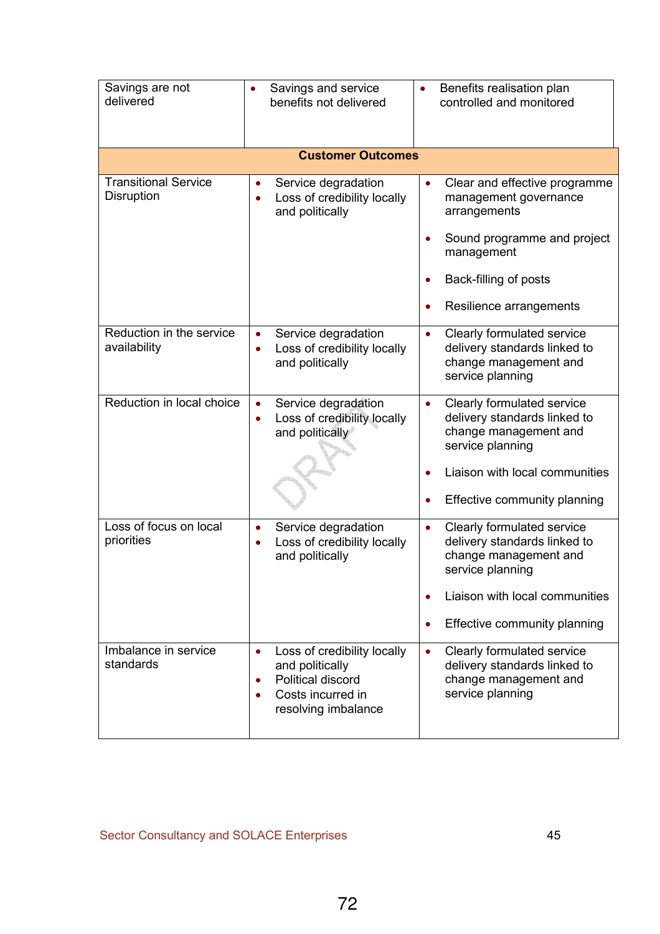| Savings are not<br>delivered              | Savings and service<br>٠<br>benefits not delivered                                                                                                     | Benefits realisation plan<br>$\bullet$<br>controlled and monitored                                                                                                                     |
|-------------------------------------------|--------------------------------------------------------------------------------------------------------------------------------------------------------|----------------------------------------------------------------------------------------------------------------------------------------------------------------------------------------|
|                                           | <b>Customer Outcomes</b>                                                                                                                               |                                                                                                                                                                                        |
| <b>Transitional Service</b><br>Disruption | Service degradation<br>$\bullet$<br>Loss of credibility locally<br>$\bullet$<br>and politically                                                        | Clear and effective programme<br>$\bullet$<br>management governance<br>arrangements<br>Sound programme and project<br>management<br>Back-filling of posts<br>Resilience arrangements   |
| Reduction in the service<br>availability  | Service degradation<br>$\bullet$<br>Loss of credibility locally<br>and politically                                                                     | Clearly formulated service<br>$\bullet$<br>delivery standards linked to<br>change management and<br>service planning                                                                   |
| Reduction in local choice                 | Service degradation<br>Loss of credibility locally<br>$\bullet$<br>and politically                                                                     | Clearly formulated service<br>$\bullet$<br>delivery standards linked to<br>change management and<br>service planning<br>Liaison with local communities<br>Effective community planning |
| Loss of focus on local<br>priorities      | Service degradation<br>$\bullet$<br>Loss of credibility locally<br>$\bullet$<br>and politically                                                        | Clearly formulated service<br>$\bullet$<br>delivery standards linked to<br>change management and<br>service planning<br>Liaison with local communities<br>Effective community planning |
| Imbalance in service<br>standards         | Loss of credibility locally<br>$\bullet$<br>and politically<br>Political discord<br>$\bullet$<br>Costs incurred in<br>$\bullet$<br>resolving imbalance | Clearly formulated service<br>$\bullet$<br>delivery standards linked to<br>change management and<br>service planning                                                                   |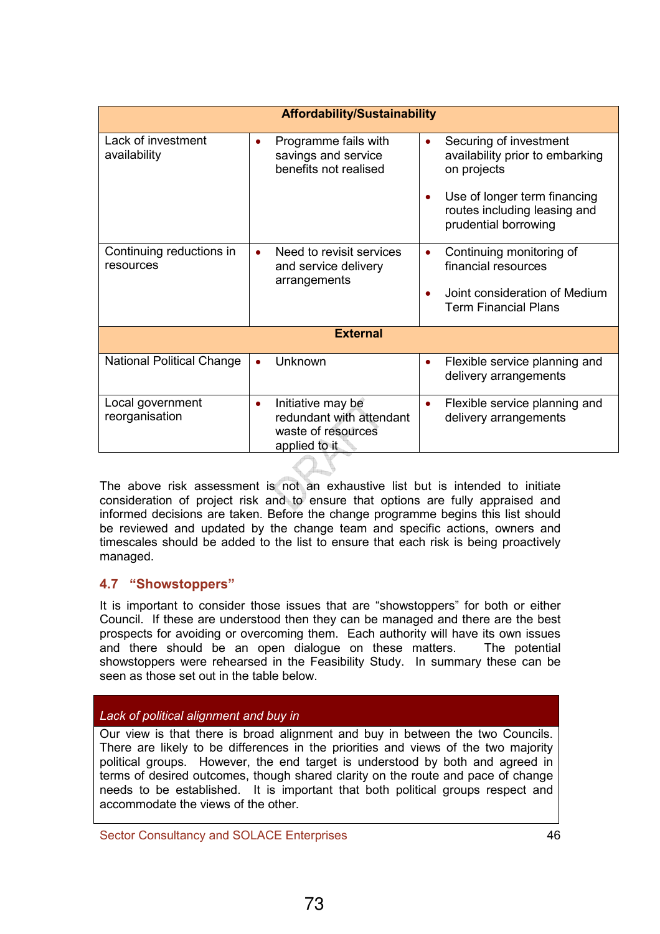|                                       | <b>Affordability/Sustainability</b> |                                                                                      |           |                                                                                                                 |  |  |  |
|---------------------------------------|-------------------------------------|--------------------------------------------------------------------------------------|-----------|-----------------------------------------------------------------------------------------------------------------|--|--|--|
| Lack of investment<br>availability    |                                     | Programme fails with<br>savings and service<br>benefits not realised                 |           | Securing of investment<br>availability prior to embarking<br>on projects                                        |  |  |  |
|                                       |                                     |                                                                                      |           | Use of longer term financing<br>routes including leasing and<br>prudential borrowing                            |  |  |  |
| Continuing reductions in<br>resources |                                     | Need to revisit services<br>and service delivery<br>arrangements                     | $\bullet$ | Continuing monitoring of<br>financial resources<br>Joint consideration of Medium<br><b>Term Financial Plans</b> |  |  |  |
|                                       |                                     | <b>External</b>                                                                      |           |                                                                                                                 |  |  |  |
| <b>National Political Change</b>      |                                     | Unknown                                                                              | $\bullet$ | Flexible service planning and<br>delivery arrangements                                                          |  |  |  |
| Local government<br>reorganisation    | $\bullet$                           | Initiative may be<br>redundant with attendant<br>waste of resources<br>applied to it | $\bullet$ | Flexible service planning and<br>delivery arrangements                                                          |  |  |  |

The above risk assessment is not an exhaustive list but is intended to initiate consideration of project risk and to ensure that options are fully appraised and informed decisions are taken. Before the change programme begins this list should be reviewed and updated by the change team and specific actions, owners and timescales should be added to the list to ensure that each risk is being proactively managed.

# 4.7 "Showstoppers"

It is important to consider those issues that are "showstoppers" for both or either Council. If these are understood then they can be managed and there are the best prospects for avoiding or overcoming them. Each authority will have its own issues and there should be an open dialogue on these matters. The potential showstoppers were rehearsed in the Feasibility Study. In summary these can be seen as those set out in the table below.

# Lack of political alignment and buy in

Our view is that there is broad alignment and buy in between the two Councils. There are likely to be differences in the priorities and views of the two majority political groups. However, the end target is understood by both and agreed in terms of desired outcomes, though shared clarity on the route and pace of change needs to be established. It is important that both political groups respect and accommodate the views of the other.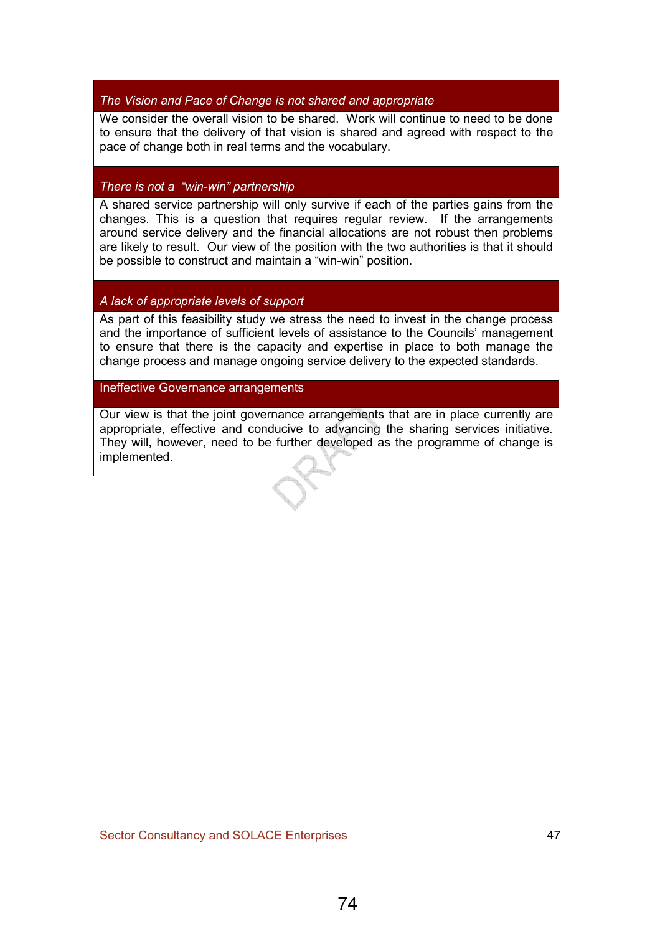# The Vision and Pace of Change is not shared and appropriate

We consider the overall vision to be shared. Work will continue to need to be done to ensure that the delivery of that vision is shared and agreed with respect to the pace of change both in real terms and the vocabulary.

# There is not a "win-win" partnership

A shared service partnership will only survive if each of the parties gains from the changes. This is a question that requires regular review. If the arrangements around service delivery and the financial allocations are not robust then problems are likely to result. Our view of the position with the two authorities is that it should be possible to construct and maintain a "win-win" position.

## A lack of appropriate levels of support

As part of this feasibility study we stress the need to invest in the change process and the importance of sufficient levels of assistance to the Councils' management to ensure that there is the capacity and expertise in place to both manage the change process and manage ongoing service delivery to the expected standards.

### Ineffective Governance arrangements

Our view is that the joint governance arrangements that are in place currently are appropriate, effective and conducive to advancing the sharing services initiative. They will, however, need to be further developed as the programme of change is implemented.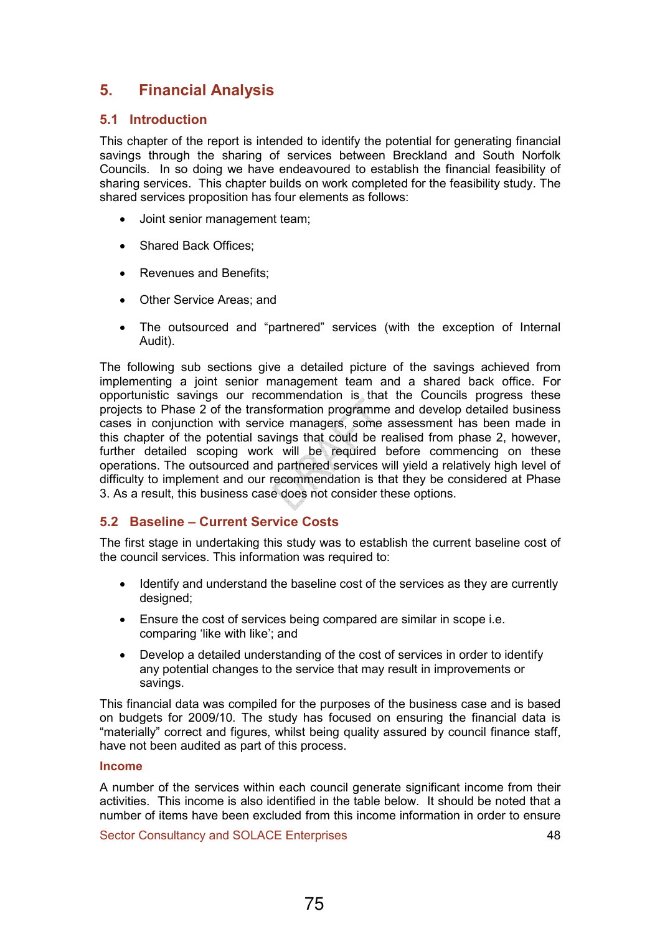# 5. Financial Analysis

# 5.1 Introduction

This chapter of the report is intended to identify the potential for generating financial savings through the sharing of services between Breckland and South Norfolk Councils. In so doing we have endeavoured to establish the financial feasibility of sharing services. This chapter builds on work completed for the feasibility study. The shared services proposition has four elements as follows:

- Joint senior management team;
- Shared Back Offices:
- Revenues and Benefits;
- Other Service Areas; and
- The outsourced and "partnered" services (with the exception of Internal Audit).

The following sub sections give a detailed picture of the savings achieved from implementing a joint senior management team and a shared back office. For opportunistic savings our recommendation is that the Councils progress these projects to Phase 2 of the transformation programme and develop detailed business cases in conjunction with service managers, some assessment has been made in this chapter of the potential savings that could be realised from phase 2, however, further detailed scoping work will be required before commencing on these operations. The outsourced and partnered services will yield a relatively high level of difficulty to implement and our recommendation is that they be considered at Phase 3. As a result, this business case does not consider these options.

# 5.2 Baseline – Current Service Costs

The first stage in undertaking this study was to establish the current baseline cost of the council services. This information was required to:

- Identify and understand the baseline cost of the services as they are currently designed;
- Ensure the cost of services being compared are similar in scope i.e. comparing 'like with like'; and
- Develop a detailed understanding of the cost of services in order to identify any potential changes to the service that may result in improvements or savings.

This financial data was compiled for the purposes of the business case and is based on budgets for 2009/10. The study has focused on ensuring the financial data is "materially" correct and figures, whilst being quality assured by council finance staff, have not been audited as part of this process.

### Income

A number of the services within each council generate significant income from their activities. This income is also identified in the table below. It should be noted that a number of items have been excluded from this income information in order to ensure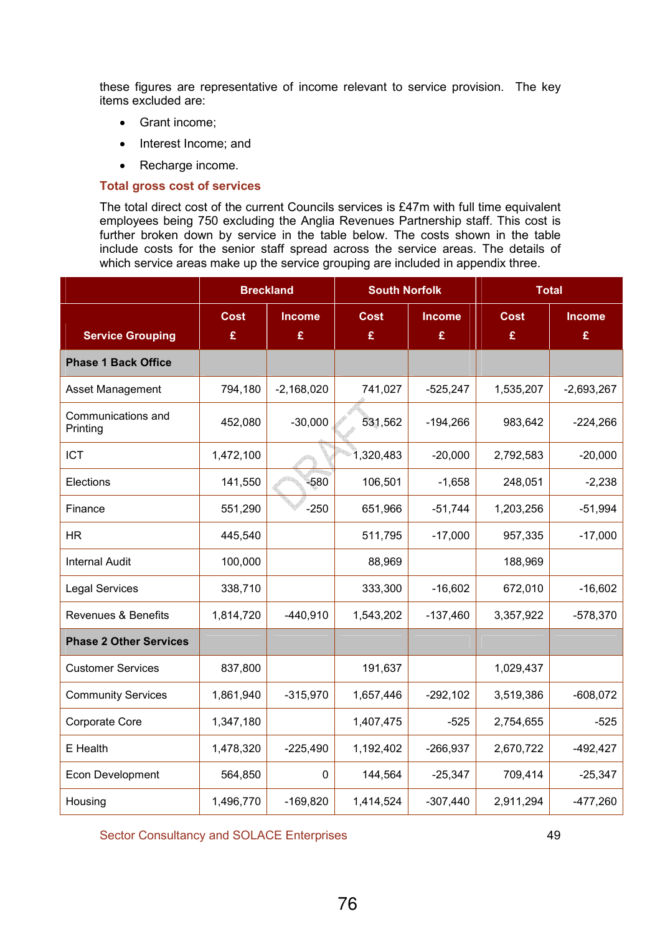these figures are representative of income relevant to service provision. The key items excluded are:

- Grant income;
- Interest Income; and
- Recharge income.

### Total gross cost of services

The total direct cost of the current Councils services is £47m with full time equivalent employees being 750 excluding the Anglia Revenues Partnership staff. This cost is further broken down by service in the table below. The costs shown in the table include costs for the senior staff spread across the service areas. The details of which service areas make up the service grouping are included in appendix three.

|                                |             | <b>Breckland</b> | <b>South Norfolk</b> |            | <b>Total</b> |               |
|--------------------------------|-------------|------------------|----------------------|------------|--------------|---------------|
|                                | <b>Cost</b> | <b>Income</b>    | <b>Cost</b>          | Income     | <b>Cost</b>  | <b>Income</b> |
| <b>Service Grouping</b>        | £           | £                | £                    | £          | £            | £             |
| <b>Phase 1 Back Office</b>     |             |                  |                      |            |              |               |
| Asset Management               | 794,180     | $-2,168,020$     | 741,027              | $-525,247$ | 1,535,207    | $-2,693,267$  |
| Communications and<br>Printing | 452,080     | $-30,000$        | 531,562              | $-194,266$ | 983,642      | $-224,266$    |
| <b>ICT</b>                     | 1,472,100   |                  | 1,320,483            | $-20,000$  | 2,792,583    | $-20,000$     |
| Elections                      | 141,550     | $-580$           | 106,501              | $-1,658$   | 248,051      | $-2,238$      |
| Finance                        | 551,290     | $-250$           | 651,966              | $-51,744$  | 1,203,256    | $-51,994$     |
| <b>HR</b>                      | 445,540     |                  | 511,795              | $-17,000$  | 957,335      | $-17,000$     |
| <b>Internal Audit</b>          | 100,000     |                  | 88,969               |            | 188,969      |               |
| <b>Legal Services</b>          | 338,710     |                  | 333,300              | $-16,602$  | 672,010      | $-16,602$     |
| <b>Revenues &amp; Benefits</b> | 1,814,720   | $-440,910$       | 1,543,202            | $-137,460$ | 3,357,922    | $-578,370$    |
| <b>Phase 2 Other Services</b>  |             |                  |                      |            |              |               |
| <b>Customer Services</b>       | 837,800     |                  | 191,637              |            | 1,029,437    |               |
| <b>Community Services</b>      | 1,861,940   | $-315,970$       | 1,657,446            | $-292,102$ | 3,519,386    | $-608,072$    |
| Corporate Core                 | 1,347,180   |                  | 1,407,475            | $-525$     | 2,754,655    | $-525$        |
| E Health                       | 1,478,320   | $-225,490$       | 1,192,402            | $-266,937$ | 2,670,722    | $-492,427$    |
| Econ Development               | 564,850     | 0                | 144,564              | $-25,347$  | 709,414      | $-25,347$     |
| Housing                        | 1,496,770   | $-169,820$       | 1,414,524            | $-307,440$ | 2,911,294    | $-477,260$    |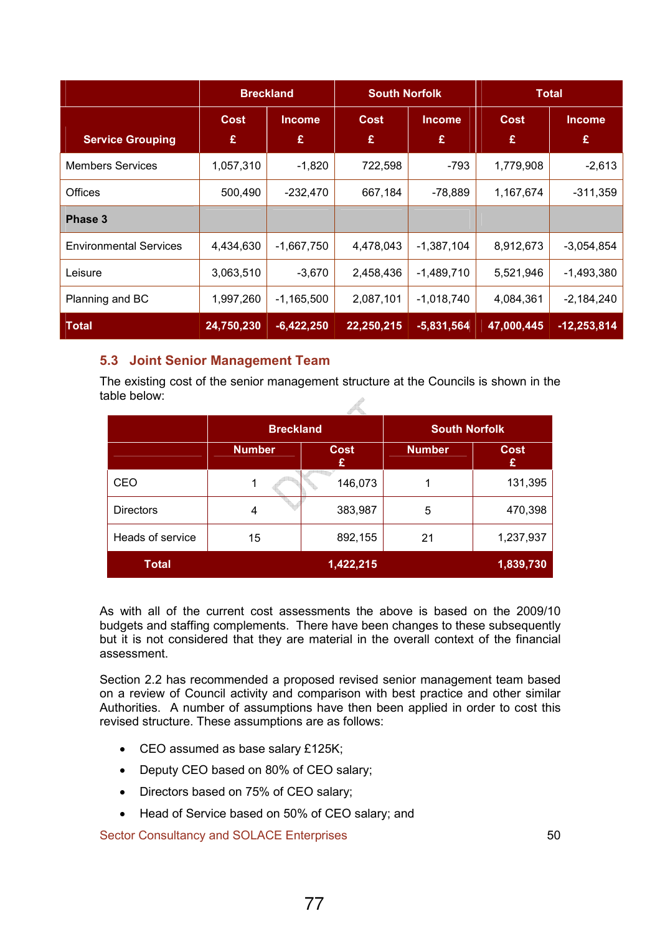|                               | <b>Breckland</b> |                    | <b>South Norfolk</b> |                    | <b>Total</b>     |                    |
|-------------------------------|------------------|--------------------|----------------------|--------------------|------------------|--------------------|
| <b>Service Grouping</b>       | <b>Cost</b><br>£ | <b>Income</b><br>£ | Cost<br>£            | <b>Income</b><br>£ | <b>Cost</b><br>£ | <b>Income</b><br>£ |
| <b>Members Services</b>       | 1,057,310        | $-1,820$           | 722,598              | -793               | 1,779,908        | $-2,613$           |
| <b>Offices</b>                | 500,490          | $-232,470$         | 667,184              | $-78,889$          | 1,167,674        | $-311,359$         |
| Phase 3                       |                  |                    |                      |                    |                  |                    |
| <b>Environmental Services</b> | 4,434,630        | $-1,667,750$       | 4,478,043            | $-1,387,104$       | 8,912,673        | $-3,054,854$       |
| Leisure                       | 3,063,510        | $-3,670$           | 2,458,436            | $-1,489,710$       | 5,521,946        | $-1,493,380$       |
| Planning and BC               | 1,997,260        | $-1,165,500$       | 2,087,101            | $-1,018,740$       | 4,084,361        | $-2,184,240$       |
| <b>Total</b>                  | 24,750,230       | $-6,422,250$       | 22,250,215           | $-5,831,564$       | 47,000,445       | $-12,253,814$      |

# 5.3 Joint Senior Management Team

The existing cost of the senior management structure at the Councils is shown in the table below:  $\mathcal{L}$ 

|                  | <b>Breckland</b> |                  | <b>South Norfolk</b> |                  |
|------------------|------------------|------------------|----------------------|------------------|
|                  | <b>Number</b>    | <b>Cost</b><br>£ | <b>Number</b>        | <b>Cost</b><br>£ |
| <b>CEO</b>       | 1                | 146,073          |                      | 131,395          |
| <b>Directors</b> | 4                | 383,987          | 5                    | 470,398          |
| Heads of service | 15               | 892,155          | 21                   | 1,237,937        |
| <b>Total</b>     |                  | 1,422,215        |                      | 1,839,730        |

As with all of the current cost assessments the above is based on the 2009/10 budgets and staffing complements. There have been changes to these subsequently but it is not considered that they are material in the overall context of the financial assessment.

Section 2.2 has recommended a proposed revised senior management team based on a review of Council activity and comparison with best practice and other similar Authorities. A number of assumptions have then been applied in order to cost this revised structure. These assumptions are as follows:

- CEO assumed as base salary £125K;
- Deputy CEO based on 80% of CEO salary;
- Directors based on 75% of CEO salary;
- Head of Service based on 50% of CEO salary; and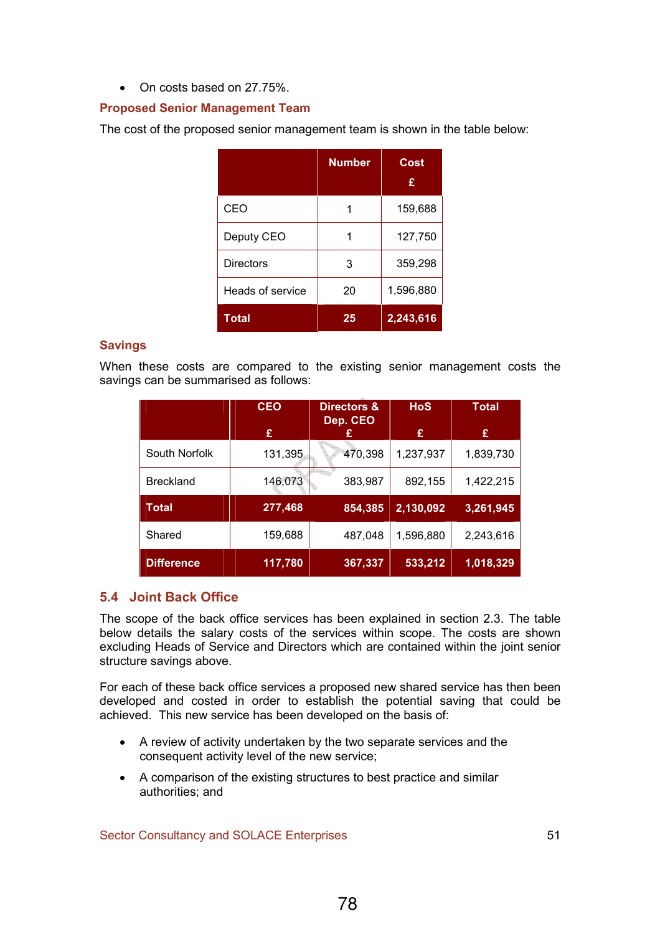# • On costs based on 27.75%.

# Proposed Senior Management Team

The cost of the proposed senior management team is shown in the table below:

|                  | <b>Number</b> | Cost<br>£ |
|------------------|---------------|-----------|
| CEO              |               | 159,688   |
| Deputy CEO       |               | 127,750   |
| Directors        | 3             | 359,298   |
| Heads of service | 20            | 1,596,880 |
| <b>Total</b>     | 25            | 2,243,616 |

## **Savings**

When these costs are compared to the existing senior management costs the savings can be summarised as follows:

|                   | <b>CEO</b> | <b>Directors &amp;</b><br>Dep. CEO | <b>HoS</b> | <b>Total</b> |
|-------------------|------------|------------------------------------|------------|--------------|
|                   | £          | £                                  | £          | £            |
| South Norfolk     | 131,395    | 470,398                            | 1,237,937  | 1,839,730    |
| <b>Breckland</b>  | 146,073    | 383,987                            | 892,155    | 1,422,215    |
| Total             | 277,468    | 854,385                            | 2,130,092  | 3,261,945    |
| Shared            | 159,688    | 487,048                            | 1,596,880  | 2,243,616    |
| <b>Difference</b> | 117,780    | 367,337                            | 533,212    | 1,018,329    |

# 5.4 Joint Back Office

The scope of the back office services has been explained in section 2.3. The table below details the salary costs of the services within scope. The costs are shown excluding Heads of Service and Directors which are contained within the joint senior structure savings above.

For each of these back office services a proposed new shared service has then been developed and costed in order to establish the potential saving that could be achieved. This new service has been developed on the basis of:

- A review of activity undertaken by the two separate services and the consequent activity level of the new service;
- A comparison of the existing structures to best practice and similar authorities; and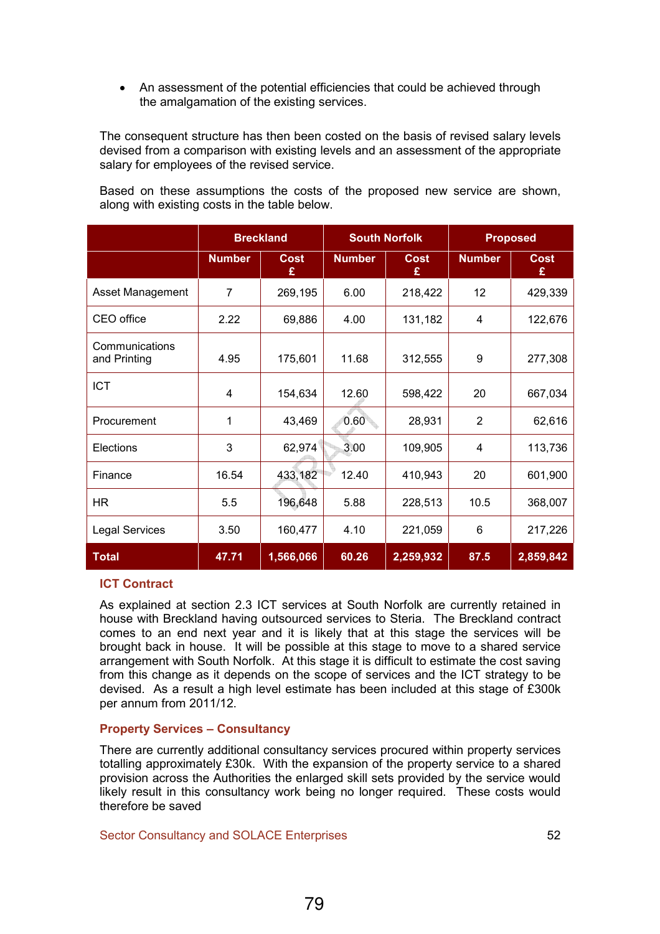• An assessment of the potential efficiencies that could be achieved through the amalgamation of the existing services.

The consequent structure has then been costed on the basis of revised salary levels devised from a comparison with existing levels and an assessment of the appropriate salary for employees of the revised service.

Based on these assumptions the costs of the proposed new service are shown, along with existing costs in the table below.

|                                | <b>Breckland</b> |                  |               | <b>South Norfolk</b> | <b>Proposed</b> |                  |
|--------------------------------|------------------|------------------|---------------|----------------------|-----------------|------------------|
|                                | <b>Number</b>    | <b>Cost</b><br>£ | <b>Number</b> | <b>Cost</b><br>£     | <b>Number</b>   | <b>Cost</b><br>£ |
| Asset Management               | $\overline{7}$   | 269,195          | 6.00          | 218,422              | 12              | 429,339          |
| CEO office                     | 2.22             | 69,886           | 4.00          | 131,182              | 4               | 122,676          |
| Communications<br>and Printing | 4.95             | 175,601          | 11.68         | 312,555              | 9               | 277,308          |
| <b>ICT</b>                     | 4                | 154,634          | 12.60         | 598,422              | 20              | 667,034          |
| Procurement                    | 1                | 43,469           | 0.60          | 28,931               | $\overline{2}$  | 62,616           |
| Elections                      | 3                | 62,974           | 3.00          | 109,905              | 4               | 113,736          |
| Finance                        | 16.54            | 433,182          | 12.40         | 410,943              | 20              | 601,900          |
| HR.                            | 5.5              | 196,648          | 5.88          | 228,513              | 10.5            | 368,007          |
| <b>Legal Services</b>          | 3.50             | 160,477          | 4.10          | 221,059              | 6               | 217,226          |
| <b>Total</b>                   | 47.71            | 1,566,066        | 60.26         | 2,259,932            | 87.5            | 2,859,842        |

## ICT Contract

As explained at section 2.3 ICT services at South Norfolk are currently retained in house with Breckland having outsourced services to Steria. The Breckland contract comes to an end next year and it is likely that at this stage the services will be brought back in house. It will be possible at this stage to move to a shared service arrangement with South Norfolk. At this stage it is difficult to estimate the cost saving from this change as it depends on the scope of services and the ICT strategy to be devised. As a result a high level estimate has been included at this stage of £300k per annum from 2011/12.

### Property Services – Consultancy

There are currently additional consultancy services procured within property services totalling approximately £30k. With the expansion of the property service to a shared provision across the Authorities the enlarged skill sets provided by the service would likely result in this consultancy work being no longer required. These costs would therefore be saved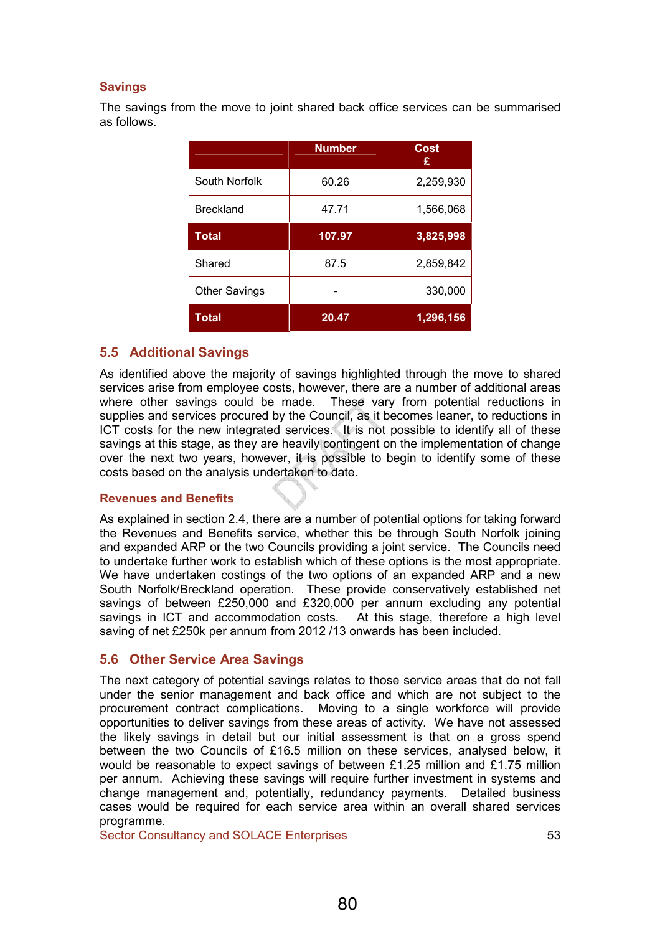## Savings

The savings from the move to joint shared back office services can be summarised as follows.

|                      | <b>Number</b> | Cost<br>£ |
|----------------------|---------------|-----------|
| South Norfolk        | 60.26         | 2,259,930 |
| <b>Breckland</b>     | 47.71         | 1,566,068 |
| Total                | 107.97        | 3,825,998 |
| Shared               | 87.5          | 2,859,842 |
| <b>Other Savings</b> |               | 330,000   |
| Total                | 20.47         | 1,296,156 |

### 5.5 Additional Savings

As identified above the majority of savings highlighted through the move to shared services arise from employee costs, however, there are a number of additional areas where other savings could be made. These vary from potential reductions in supplies and services procured by the Council, as it becomes leaner, to reductions in ICT costs for the new integrated services. It is not possible to identify all of these savings at this stage, as they are heavily contingent on the implementation of change over the next two years, however, it is possible to begin to identify some of these costs based on the analysis undertaken to date.

### Revenues and Benefits

As explained in section 2.4, there are a number of potential options for taking forward the Revenues and Benefits service, whether this be through South Norfolk joining and expanded ARP or the two Councils providing a joint service. The Councils need to undertake further work to establish which of these options is the most appropriate. We have undertaken costings of the two options of an expanded ARP and a new South Norfolk/Breckland operation. These provide conservatively established net savings of between £250,000 and £320,000 per annum excluding any potential savings in ICT and accommodation costs. At this stage, therefore a high level saving of net £250k per annum from 2012 /13 onwards has been included.

## 5.6 Other Service Area Savings

The next category of potential savings relates to those service areas that do not fall under the senior management and back office and which are not subject to the procurement contract complications. Moving to a single workforce will provide opportunities to deliver savings from these areas of activity. We have not assessed the likely savings in detail but our initial assessment is that on a gross spend between the two Councils of £16.5 million on these services, analysed below, it would be reasonable to expect savings of between £1.25 million and £1.75 million per annum. Achieving these savings will require further investment in systems and change management and, potentially, redundancy payments. Detailed business cases would be required for each service area within an overall shared services programme.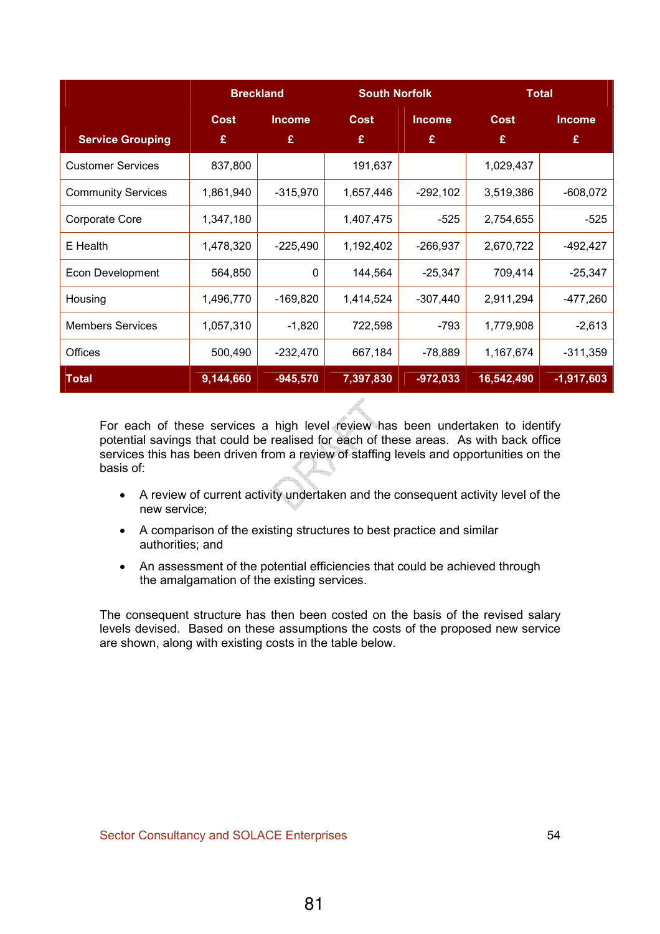|                           | <b>Breckland</b> |               | <b>South Norfolk</b> |               | <b>Total</b> |               |
|---------------------------|------------------|---------------|----------------------|---------------|--------------|---------------|
|                           | <b>Cost</b>      | <b>Income</b> | <b>Cost</b>          | <b>Income</b> | <b>Cost</b>  | <b>Income</b> |
| <b>Service Grouping</b>   | £                | £             | £                    | £             | £            | £             |
| <b>Customer Services</b>  | 837,800          |               | 191,637              |               | 1,029,437    |               |
| <b>Community Services</b> | 1,861,940        | $-315,970$    | 1,657,446            | $-292,102$    | 3,519,386    | $-608,072$    |
| Corporate Core            | 1,347,180        |               | 1,407,475            | $-525$        | 2,754,655    | $-525$        |
| E Health                  | 1,478,320        | $-225,490$    | 1,192,402            | $-266,937$    | 2,670,722    | $-492,427$    |
| Econ Development          | 564,850          | 0             | 144,564              | $-25,347$     | 709,414      | $-25,347$     |
| Housing                   | 1,496,770        | $-169,820$    | 1,414,524            | $-307,440$    | 2,911,294    | $-477,260$    |
| <b>Members Services</b>   | 1,057,310        | $-1,820$      | 722,598              | $-793$        | 1,779,908    | $-2,613$      |
| <b>Offices</b>            | 500,490          | $-232,470$    | 667,184              | $-78,889$     | 1,167,674    | $-311,359$    |
| <b>Total</b>              | 9,144,660        | $-945,570$    | 7,397,830            | $-972,033$    | 16,542,490   | $-1,917,603$  |

For each of these services a high level review has been undertaken to identify potential savings that could be realised for each of these areas. As with back office services this has been driven from a review of staffing levels and opportunities on the basis of:

- A review of current activity undertaken and the consequent activity level of the new service;
- A comparison of the existing structures to best practice and similar authorities; and
- An assessment of the potential efficiencies that could be achieved through the amalgamation of the existing services.

The consequent structure has then been costed on the basis of the revised salary levels devised. Based on these assumptions the costs of the proposed new service are shown, along with existing costs in the table below.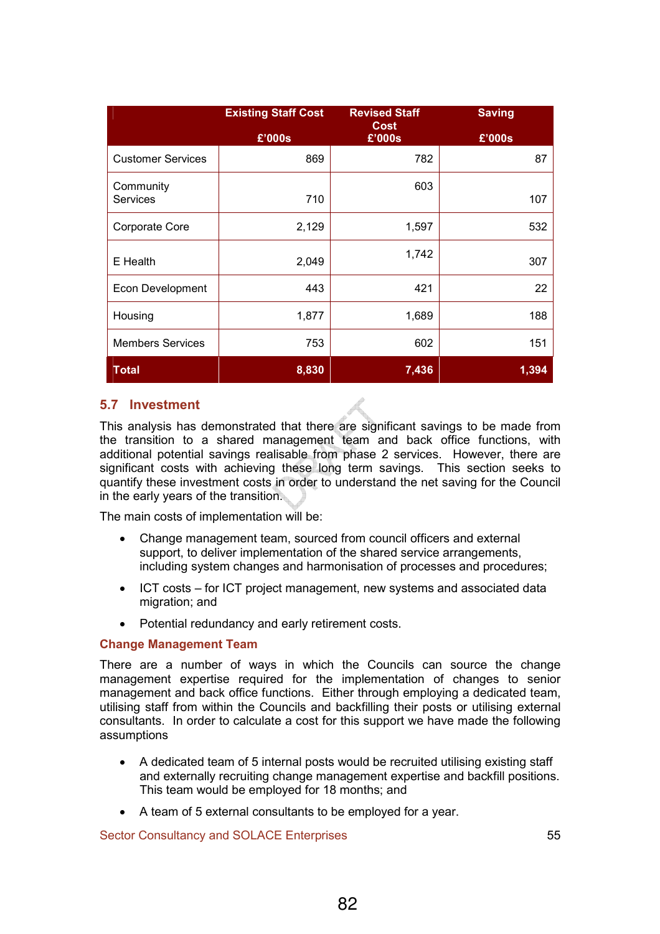|                              | <b>Existing Staff Cost</b> | <b>Revised Staff</b><br><b>Cost</b> | <b>Saving</b> |
|------------------------------|----------------------------|-------------------------------------|---------------|
|                              | £'000s                     | £'000s                              | £'000s        |
| <b>Customer Services</b>     | 869                        | 782                                 | 87            |
| Community<br><b>Services</b> | 710                        | 603                                 | 107           |
| Corporate Core               | 2,129                      | 1,597                               | 532           |
| E Health                     | 2,049                      | 1,742                               | 307           |
| <b>Econ Development</b>      | 443                        | 421                                 | 22            |
| Housing                      | 1,877                      | 1,689                               | 188           |
| <b>Members Services</b>      | 753                        | 602                                 | 151           |
| <b>Total</b>                 | 8,830                      | 7,436                               | 1,394         |

# 5.7 Investment

This analysis has demonstrated that there are significant savings to be made from the transition to a shared management team and back office functions, with additional potential savings realisable from phase 2 services. However, there are significant costs with achieving these long term savings. This section seeks to quantify these investment costs in order to understand the net saving for the Council in the early years of the transition.

The main costs of implementation will be:

- Change management team, sourced from council officers and external support, to deliver implementation of the shared service arrangements, including system changes and harmonisation of processes and procedures;
- ICT costs for ICT project management, new systems and associated data migration; and
- Potential redundancy and early retirement costs.

## Change Management Team

There are a number of ways in which the Councils can source the change management expertise required for the implementation of changes to senior management and back office functions. Either through employing a dedicated team, utilising staff from within the Councils and backfilling their posts or utilising external consultants. In order to calculate a cost for this support we have made the following assumptions

- A dedicated team of 5 internal posts would be recruited utilising existing staff and externally recruiting change management expertise and backfill positions. This team would be employed for 18 months; and
- A team of 5 external consultants to be employed for a year.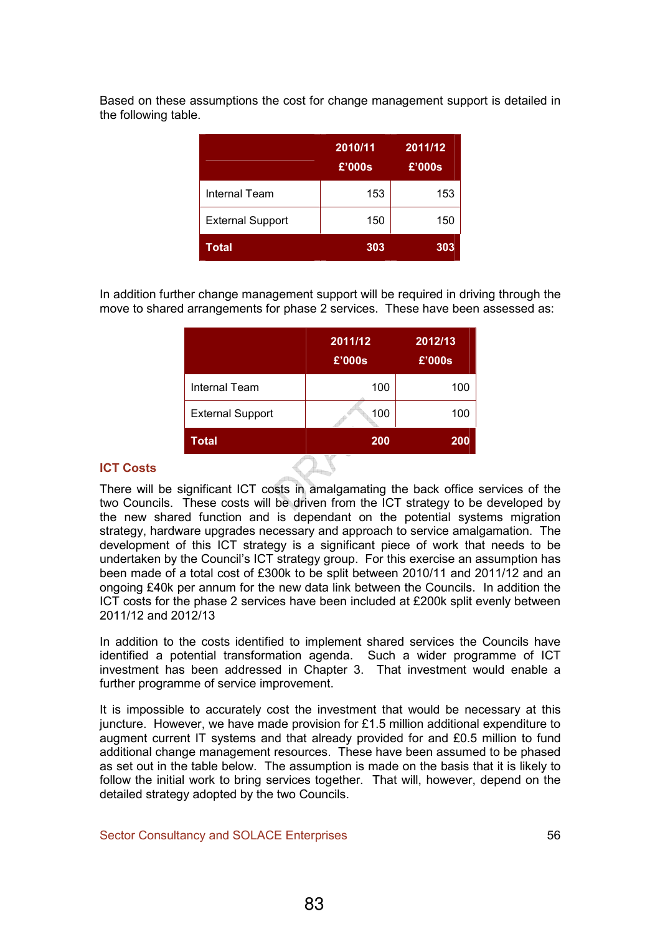Based on these assumptions the cost for change management support is detailed in the following table.

|                         | 2010/11<br>£'000s | 2011/12<br>£'000s |
|-------------------------|-------------------|-------------------|
| <b>Internal Team</b>    | 153               | 153               |
| <b>External Support</b> | 150               | 150               |
| Total                   | 303               | 303               |

In addition further change management support will be required in driving through the move to shared arrangements for phase 2 services. These have been assessed as:

|                         | 2011/12<br>£'000s | 2012/13<br>£'000s |
|-------------------------|-------------------|-------------------|
| <b>Internal Team</b>    | 100               | 100               |
| <b>External Support</b> | 100               | 100               |
| Total                   | 200<br>192        | 200               |

### ICT Costs

There will be significant ICT costs in amalgamating the back office services of the two Councils. These costs will be driven from the ICT strategy to be developed by the new shared function and is dependant on the potential systems migration strategy, hardware upgrades necessary and approach to service amalgamation. The development of this ICT strategy is a significant piece of work that needs to be undertaken by the Council's ICT strategy group. For this exercise an assumption has been made of a total cost of £300k to be split between 2010/11 and 2011/12 and an ongoing £40k per annum for the new data link between the Councils. In addition the ICT costs for the phase 2 services have been included at £200k split evenly between 2011/12 and 2012/13

In addition to the costs identified to implement shared services the Councils have identified a potential transformation agenda. Such a wider programme of ICT investment has been addressed in Chapter 3. That investment would enable a further programme of service improvement.

It is impossible to accurately cost the investment that would be necessary at this juncture. However, we have made provision for £1.5 million additional expenditure to augment current IT systems and that already provided for and £0.5 million to fund additional change management resources. These have been assumed to be phased as set out in the table below. The assumption is made on the basis that it is likely to follow the initial work to bring services together. That will, however, depend on the detailed strategy adopted by the two Councils.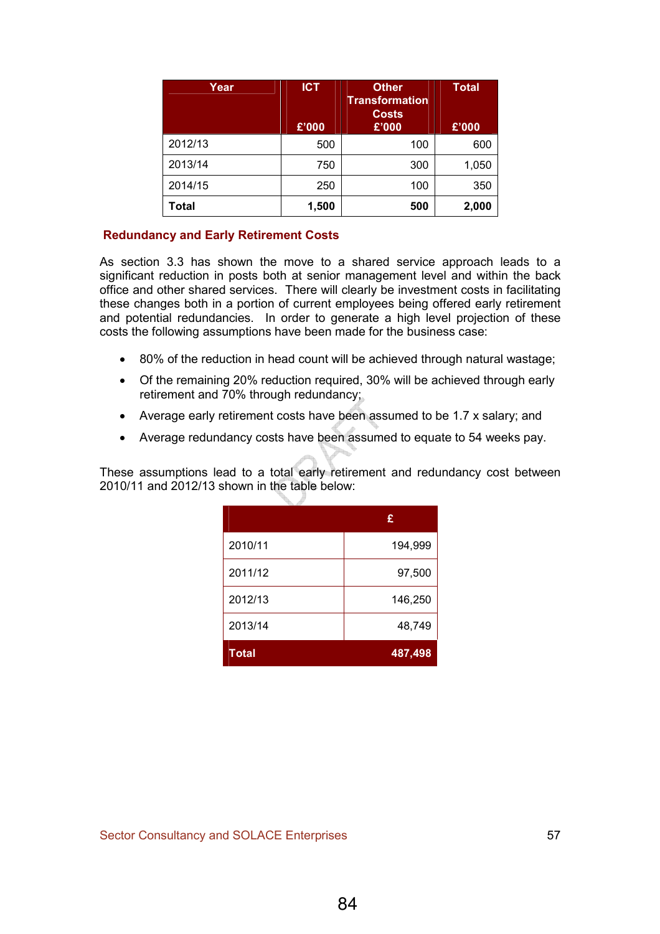| Year    | <b>ICT</b><br>£'000 | <b>Other</b><br><b>Transformation</b><br><b>Costs</b><br>£'000 | <b>Total</b><br>£'000 |
|---------|---------------------|----------------------------------------------------------------|-----------------------|
| 2012/13 | 500                 | 100                                                            | 600                   |
| 2013/14 | 750                 | 300                                                            | 1,050                 |
| 2014/15 | 250                 | 100                                                            | 350                   |
| Total   | 1,500               | 500                                                            | 2,000                 |

### Redundancy and Early Retirement Costs

As section 3.3 has shown the move to a shared service approach leads to a significant reduction in posts both at senior management level and within the back office and other shared services. There will clearly be investment costs in facilitating these changes both in a portion of current employees being offered early retirement and potential redundancies. In order to generate a high level projection of these costs the following assumptions have been made for the business case:

- 80% of the reduction in head count will be achieved through natural wastage;
- Of the remaining 20% reduction required, 30% will be achieved through early retirement and 70% through redundancy;
- Average early retirement costs have been assumed to be 1.7 x salary; and
- Average redundancy costs have been assumed to equate to 54 weeks pay.

These assumptions lead to a total early retirement and redundancy cost between 2010/11 and 2012/13 shown in the table below:

|              | £       |
|--------------|---------|
| 2010/11      | 194,999 |
| 2011/12      | 97,500  |
| 2012/13      | 146,250 |
| 2013/14      | 48,749  |
| <b>Total</b> | 487,498 |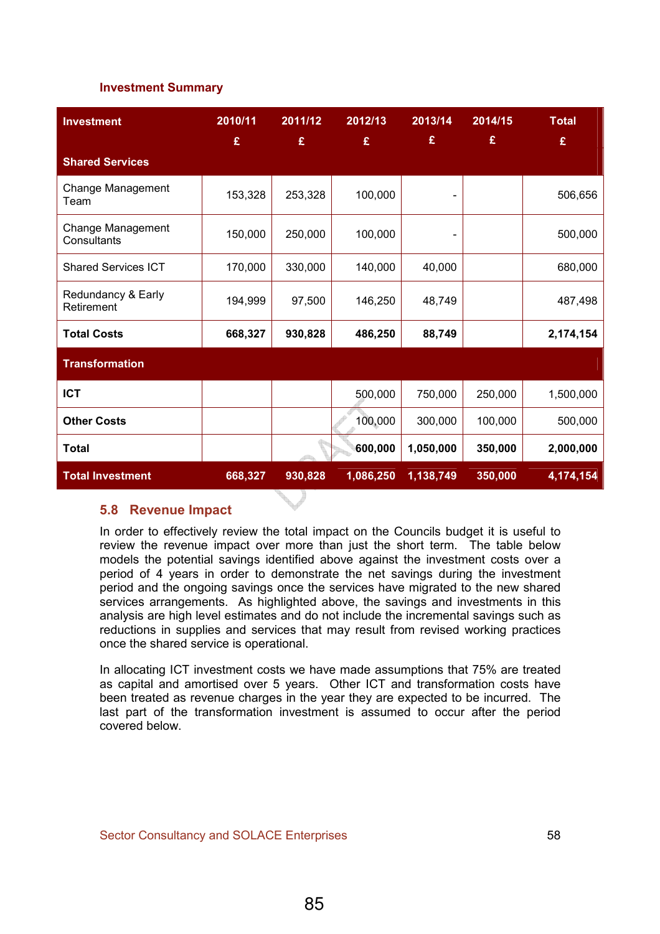## Investment Summary

| <b>Investment</b>                | 2010/11<br>£ | 2011/12<br>£ | 2012/13<br>£ | 2013/14<br>£ | 2014/15<br>£ | <b>Total</b><br>£ |
|----------------------------------|--------------|--------------|--------------|--------------|--------------|-------------------|
| <b>Shared Services</b>           |              |              |              |              |              |                   |
| Change Management<br>Team        | 153,328      | 253,328      | 100,000      |              |              | 506,656           |
| Change Management<br>Consultants | 150,000      | 250,000      | 100,000      |              |              | 500,000           |
| <b>Shared Services ICT</b>       | 170,000      | 330,000      | 140,000      | 40,000       |              | 680,000           |
| Redundancy & Early<br>Retirement | 194,999      | 97,500       | 146,250      | 48,749       |              | 487,498           |
| <b>Total Costs</b>               | 668,327      | 930,828      | 486,250      | 88,749       |              | 2,174,154         |
| <b>Transformation</b>            |              |              |              |              |              |                   |
| <b>ICT</b>                       |              |              | 500,000      | 750,000      | 250,000      | 1,500,000         |
| <b>Other Costs</b>               |              |              | 100,000      | 300,000      | 100,000      | 500,000           |
| <b>Total</b>                     |              |              | 600,000      | 1,050,000    | 350,000      | 2,000,000         |
| <b>Total Investment</b>          | 668,327      | 930,828      | 1,086,250    | 1,138,749    | 350,000      | 4,174,154         |

## 5.8 Revenue Impact

In order to effectively review the total impact on the Councils budget it is useful to review the revenue impact over more than just the short term. The table below models the potential savings identified above against the investment costs over a period of 4 years in order to demonstrate the net savings during the investment period and the ongoing savings once the services have migrated to the new shared services arrangements. As highlighted above, the savings and investments in this analysis are high level estimates and do not include the incremental savings such as reductions in supplies and services that may result from revised working practices once the shared service is operational.

In allocating ICT investment costs we have made assumptions that 75% are treated as capital and amortised over 5 years. Other ICT and transformation costs have been treated as revenue charges in the year they are expected to be incurred. The last part of the transformation investment is assumed to occur after the period covered below.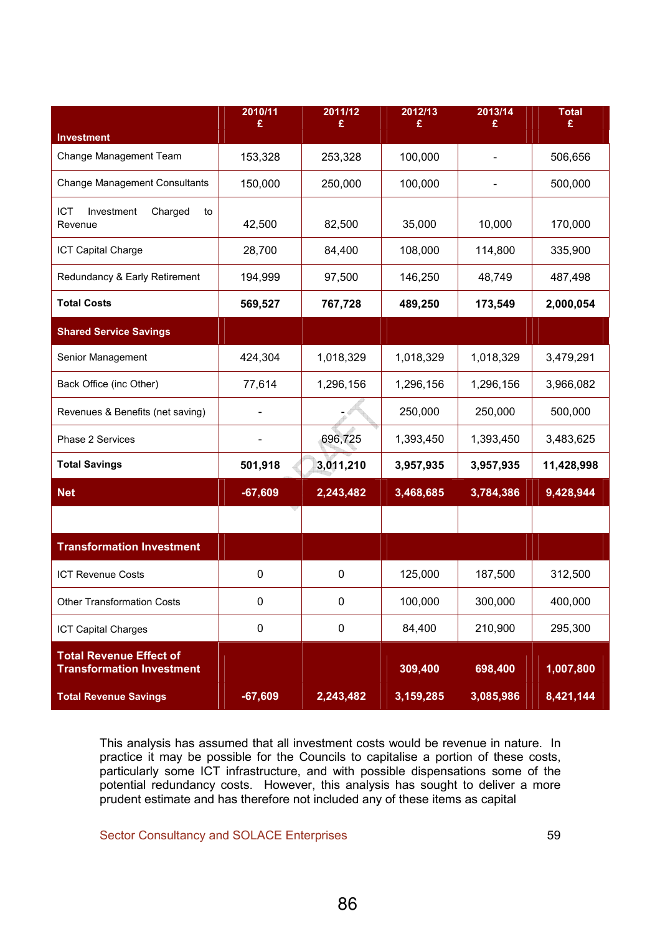|                                               | 2010/11<br>£ | 2011/12<br>£ | 2012/13<br>£ | 2013/14<br>£ | <b>Total</b><br>£ |
|-----------------------------------------------|--------------|--------------|--------------|--------------|-------------------|
| <b>Investment</b>                             |              |              |              |              |                   |
| Change Management Team                        | 153,328      | 253,328      | 100,000      |              | 506,656           |
| <b>Change Management Consultants</b>          | 150,000      | 250,000      | 100,000      |              | 500,000           |
| ICT<br>Investment<br>Charged<br>to<br>Revenue | 42,500       | 82,500       | 35,000       | 10,000       | 170,000           |
| ICT Capital Charge                            | 28,700       | 84,400       | 108,000      | 114,800      | 335,900           |
| Redundancy & Early Retirement                 | 194,999      | 97,500       | 146,250      | 48,749       | 487,498           |
| <b>Total Costs</b>                            | 569,527      | 767,728      | 489,250      | 173,549      | 2,000,054         |
| <b>Shared Service Savings</b>                 |              |              |              |              |                   |
| Senior Management                             | 424,304      | 1,018,329    | 1,018,329    | 1,018,329    | 3,479,291         |
| Back Office (inc Other)                       | 77,614       | 1,296,156    | 1,296,156    | 1,296,156    | 3,966,082         |
| Revenues & Benefits (net saving)              |              |              | 250,000      | 250,000      | 500,000           |
| Phase 2 Services                              |              | 696,725      | 1,393,450    | 1,393,450    | 3,483,625         |
| <b>Total Savings</b>                          | 501,918      | 3,011,210    | 3,957,935    | 3,957,935    | 11,428,998        |
| <b>Net</b>                                    | $-67,609$    | 2,243,482    | 3,468,685    | 3,784,386    | 9,428,944         |
|                                               |              |              |              |              |                   |
| <b>Transformation Investment</b>              |              |              |              |              |                   |
| <b>ICT Revenue Costs</b>                      | $\mathbf 0$  | 0            | 125,000      | 187,500      | 312,500           |
| <b>Other Transformation Costs</b>             | 0            | 0            | 100,000      | 300,000      | 400,000           |
| <b>ICT Capital Charges</b>                    | $\pmb{0}$    | $\pmb{0}$    | 84,400       | 210,900      | 295,300           |
| <b>Total Revenue Effect of</b>                |              |              |              |              |                   |
| <b>Transformation Investment</b>              |              |              | 309,400      | 698,400      | 1,007,800         |
| <b>Total Revenue Savings</b>                  | $-67,609$    | 2,243,482    | 3,159,285    | 3,085,986    | 8,421,144         |

This analysis has assumed that all investment costs would be revenue in nature. In practice it may be possible for the Councils to capitalise a portion of these costs, particularly some ICT infrastructure, and with possible dispensations some of the potential redundancy costs. However, this analysis has sought to deliver a more prudent estimate and has therefore not included any of these items as capital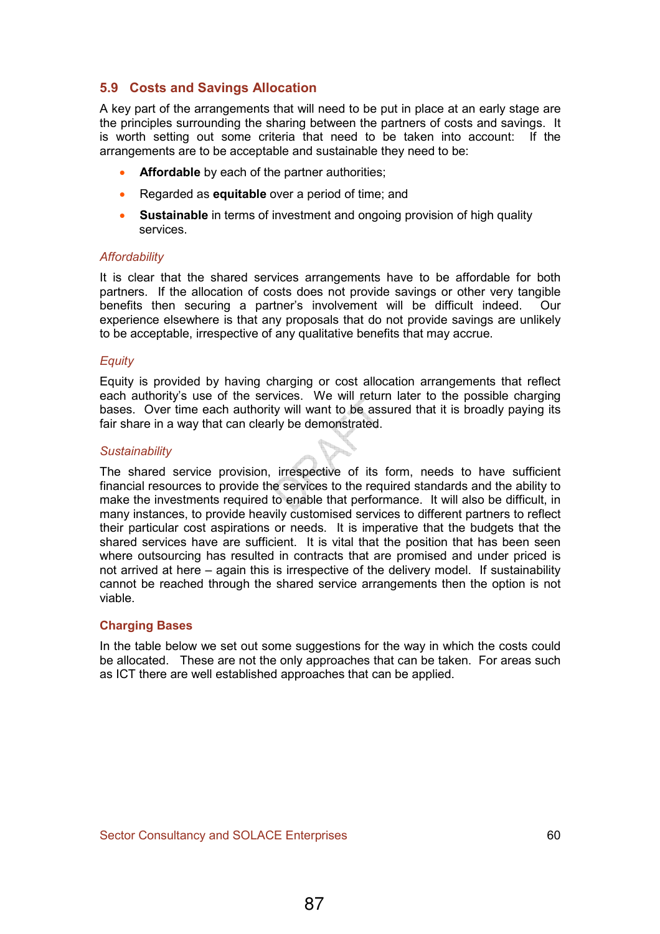## 5.9 Costs and Savings Allocation

A key part of the arrangements that will need to be put in place at an early stage are the principles surrounding the sharing between the partners of costs and savings. It is worth setting out some criteria that need to be taken into account: If the arrangements are to be acceptable and sustainable they need to be:

- Affordable by each of the partner authorities:
- Regarded as **equitable** over a period of time; and
- Sustainable in terms of investment and ongoing provision of high quality services.

#### **Affordability**

It is clear that the shared services arrangements have to be affordable for both partners. If the allocation of costs does not provide savings or other very tangible benefits then securing a partner's involvement will be difficult indeed. Our experience elsewhere is that any proposals that do not provide savings are unlikely to be acceptable, irrespective of any qualitative benefits that may accrue.

#### **Equity**

Equity is provided by having charging or cost allocation arrangements that reflect each authority's use of the services. We will return later to the possible charging bases. Over time each authority will want to be assured that it is broadly paying its fair share in a way that can clearly be demonstrated.

#### **Sustainability**

The shared service provision, irrespective of its form, needs to have sufficient financial resources to provide the services to the required standards and the ability to make the investments required to enable that performance. It will also be difficult, in many instances, to provide heavily customised services to different partners to reflect their particular cost aspirations or needs. It is imperative that the budgets that the shared services have are sufficient. It is vital that the position that has been seen where outsourcing has resulted in contracts that are promised and under priced is not arrived at here – again this is irrespective of the delivery model. If sustainability cannot be reached through the shared service arrangements then the option is not viable.

#### Charging Bases

In the table below we set out some suggestions for the way in which the costs could be allocated. These are not the only approaches that can be taken. For areas such as ICT there are well established approaches that can be applied.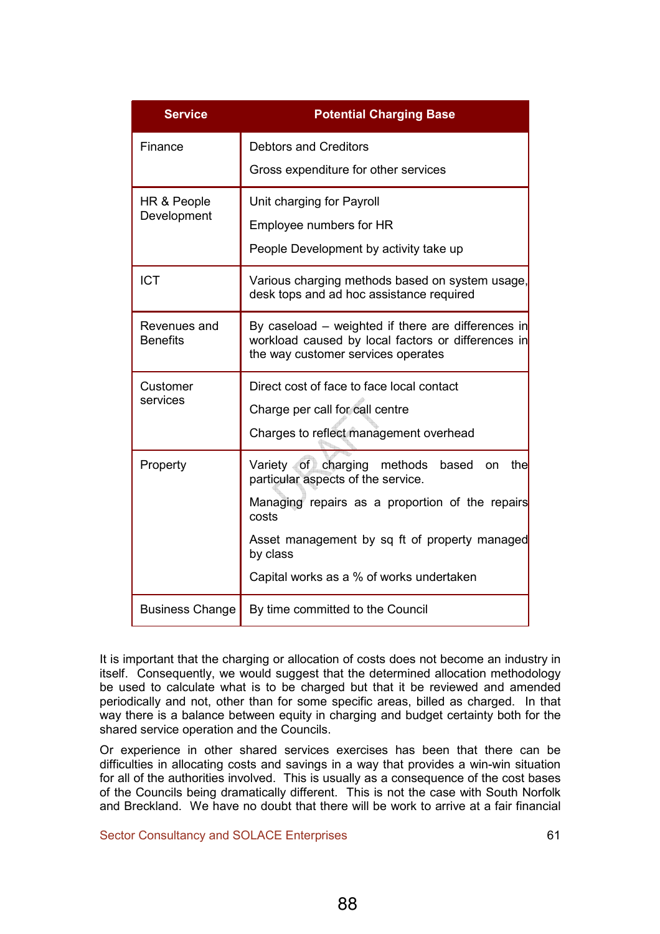| <b>Service</b>                  | <b>Potential Charging Base</b>                                                                                                                                                                                                                                |
|---------------------------------|---------------------------------------------------------------------------------------------------------------------------------------------------------------------------------------------------------------------------------------------------------------|
| Finance                         | <b>Debtors and Creditors</b><br>Gross expenditure for other services                                                                                                                                                                                          |
| HR & People<br>Development      | Unit charging for Payroll<br>Employee numbers for HR                                                                                                                                                                                                          |
| <b>ICT</b>                      | People Development by activity take up<br>Various charging methods based on system usage,<br>desk tops and ad hoc assistance required                                                                                                                         |
| Revenues and<br><b>Benefits</b> | By caseload – weighted if there are differences in<br>workload caused by local factors or differences in<br>the way customer services operates                                                                                                                |
| Customer<br>services            | Direct cost of face to face local contact<br>Charge per call for call centre<br>Charges to reflect management overhead                                                                                                                                        |
| Property                        | Variety of charging methods<br>based<br>thel<br>on<br>particular aspects of the service.<br>Managing repairs as a proportion of the repairs<br>costs<br>Asset management by sq ft of property managed<br>by class<br>Capital works as a % of works undertaken |
| <b>Business Change</b>          | By time committed to the Council                                                                                                                                                                                                                              |

It is important that the charging or allocation of costs does not become an industry in itself. Consequently, we would suggest that the determined allocation methodology be used to calculate what is to be charged but that it be reviewed and amended periodically and not, other than for some specific areas, billed as charged. In that way there is a balance between equity in charging and budget certainty both for the shared service operation and the Councils.

Or experience in other shared services exercises has been that there can be difficulties in allocating costs and savings in a way that provides a win-win situation for all of the authorities involved. This is usually as a consequence of the cost bases of the Councils being dramatically different. This is not the case with South Norfolk and Breckland. We have no doubt that there will be work to arrive at a fair financial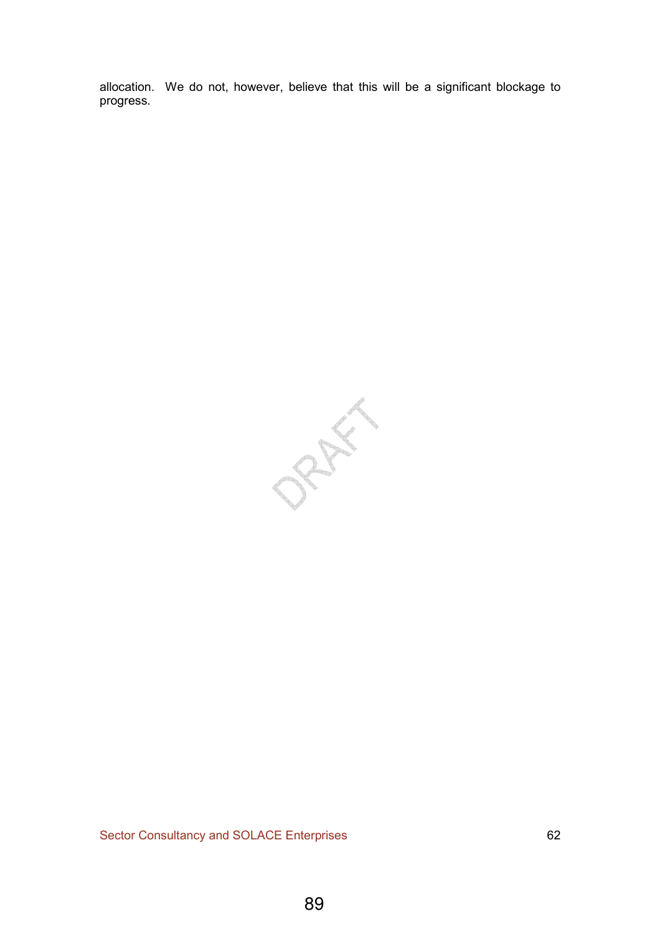allocation. We do not, however, believe that this will be a significant blockage to progress.

PRAIL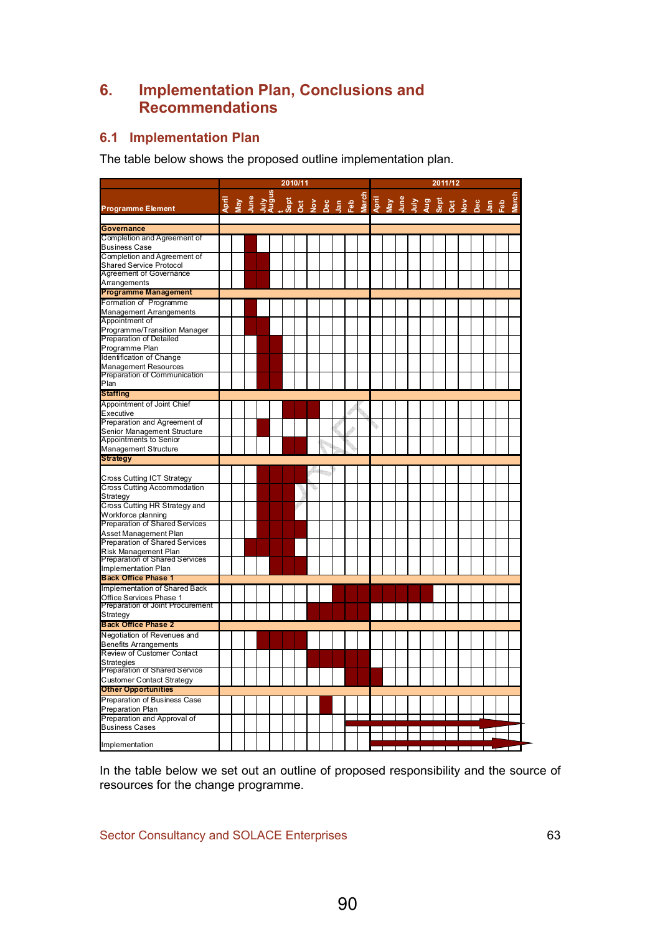# 6. Implementation Plan, Conclusions and Recommendations

# 6.1 Implementation Plan

The table below shows the proposed outline implementation plan.

|                                                             | 2010/11 |  |  |  |  | 2011/12 |                                                                                                                                                                                                                                      |  |  |  |  |  |  |  |  |  |  |  |  |  |  |
|-------------------------------------------------------------|---------|--|--|--|--|---------|--------------------------------------------------------------------------------------------------------------------------------------------------------------------------------------------------------------------------------------|--|--|--|--|--|--|--|--|--|--|--|--|--|--|
| <b>Programme Element</b>                                    |         |  |  |  |  |         | a manusia de la construcción de la construcción de la construcción de la construcción de la construcción de la<br>Transmission de la construcción de la construcción de la construcción de la construcción de la construcción d<br>A |  |  |  |  |  |  |  |  |  |  |  |  |  |  |
| <b>Governance</b>                                           |         |  |  |  |  |         |                                                                                                                                                                                                                                      |  |  |  |  |  |  |  |  |  |  |  |  |  |  |
| Completion and Agreement of                                 |         |  |  |  |  |         |                                                                                                                                                                                                                                      |  |  |  |  |  |  |  |  |  |  |  |  |  |  |
| <b>Business Case</b>                                        |         |  |  |  |  |         |                                                                                                                                                                                                                                      |  |  |  |  |  |  |  |  |  |  |  |  |  |  |
| Completion and Agreement of                                 |         |  |  |  |  |         |                                                                                                                                                                                                                                      |  |  |  |  |  |  |  |  |  |  |  |  |  |  |
| <b>Shared Service Protocol</b>                              |         |  |  |  |  |         |                                                                                                                                                                                                                                      |  |  |  |  |  |  |  |  |  |  |  |  |  |  |
| Agreement of Governance                                     |         |  |  |  |  |         |                                                                                                                                                                                                                                      |  |  |  |  |  |  |  |  |  |  |  |  |  |  |
| Arrangements                                                |         |  |  |  |  |         |                                                                                                                                                                                                                                      |  |  |  |  |  |  |  |  |  |  |  |  |  |  |
| <b>Programme Management</b>                                 |         |  |  |  |  |         |                                                                                                                                                                                                                                      |  |  |  |  |  |  |  |  |  |  |  |  |  |  |
| Formation of Programme                                      |         |  |  |  |  |         |                                                                                                                                                                                                                                      |  |  |  |  |  |  |  |  |  |  |  |  |  |  |
| <b>Management Arrangements</b>                              |         |  |  |  |  |         |                                                                                                                                                                                                                                      |  |  |  |  |  |  |  |  |  |  |  |  |  |  |
| Appointment of                                              |         |  |  |  |  |         |                                                                                                                                                                                                                                      |  |  |  |  |  |  |  |  |  |  |  |  |  |  |
| Programme/Transition Manager                                |         |  |  |  |  |         |                                                                                                                                                                                                                                      |  |  |  |  |  |  |  |  |  |  |  |  |  |  |
| Preparation of Detailed                                     |         |  |  |  |  |         |                                                                                                                                                                                                                                      |  |  |  |  |  |  |  |  |  |  |  |  |  |  |
| Programme Plan                                              |         |  |  |  |  |         |                                                                                                                                                                                                                                      |  |  |  |  |  |  |  |  |  |  |  |  |  |  |
| Identification of Change                                    |         |  |  |  |  |         |                                                                                                                                                                                                                                      |  |  |  |  |  |  |  |  |  |  |  |  |  |  |
| <b>Management Resources</b>                                 |         |  |  |  |  |         |                                                                                                                                                                                                                                      |  |  |  |  |  |  |  |  |  |  |  |  |  |  |
| Preparation of Communication                                |         |  |  |  |  |         |                                                                                                                                                                                                                                      |  |  |  |  |  |  |  |  |  |  |  |  |  |  |
| Plan                                                        |         |  |  |  |  |         |                                                                                                                                                                                                                                      |  |  |  |  |  |  |  |  |  |  |  |  |  |  |
| <b>Staffing</b>                                             |         |  |  |  |  |         |                                                                                                                                                                                                                                      |  |  |  |  |  |  |  |  |  |  |  |  |  |  |
| Appointment of Joint Chief                                  |         |  |  |  |  |         |                                                                                                                                                                                                                                      |  |  |  |  |  |  |  |  |  |  |  |  |  |  |
| Executive                                                   |         |  |  |  |  |         |                                                                                                                                                                                                                                      |  |  |  |  |  |  |  |  |  |  |  |  |  |  |
| Preparation and Agreement of                                |         |  |  |  |  |         |                                                                                                                                                                                                                                      |  |  |  |  |  |  |  |  |  |  |  |  |  |  |
| Senior Management Structure                                 |         |  |  |  |  |         |                                                                                                                                                                                                                                      |  |  |  |  |  |  |  |  |  |  |  |  |  |  |
| Appointments to Senior                                      |         |  |  |  |  |         |                                                                                                                                                                                                                                      |  |  |  |  |  |  |  |  |  |  |  |  |  |  |
| Management Structure                                        |         |  |  |  |  |         |                                                                                                                                                                                                                                      |  |  |  |  |  |  |  |  |  |  |  |  |  |  |
| Strategy                                                    |         |  |  |  |  |         |                                                                                                                                                                                                                                      |  |  |  |  |  |  |  |  |  |  |  |  |  |  |
|                                                             |         |  |  |  |  |         |                                                                                                                                                                                                                                      |  |  |  |  |  |  |  |  |  |  |  |  |  |  |
| Cross Cutting ICT Strategy                                  |         |  |  |  |  |         |                                                                                                                                                                                                                                      |  |  |  |  |  |  |  |  |  |  |  |  |  |  |
| <b>Cross Cutting Accommodation</b>                          |         |  |  |  |  |         |                                                                                                                                                                                                                                      |  |  |  |  |  |  |  |  |  |  |  |  |  |  |
| Strategy                                                    |         |  |  |  |  |         |                                                                                                                                                                                                                                      |  |  |  |  |  |  |  |  |  |  |  |  |  |  |
| Cross Cutting HR Strategy and                               |         |  |  |  |  |         |                                                                                                                                                                                                                                      |  |  |  |  |  |  |  |  |  |  |  |  |  |  |
| Workforce planning                                          |         |  |  |  |  |         |                                                                                                                                                                                                                                      |  |  |  |  |  |  |  |  |  |  |  |  |  |  |
| Preparation of Shared Services                              |         |  |  |  |  |         |                                                                                                                                                                                                                                      |  |  |  |  |  |  |  |  |  |  |  |  |  |  |
| Asset Management Plan                                       |         |  |  |  |  |         |                                                                                                                                                                                                                                      |  |  |  |  |  |  |  |  |  |  |  |  |  |  |
| Preparation of Shared Services                              |         |  |  |  |  |         |                                                                                                                                                                                                                                      |  |  |  |  |  |  |  |  |  |  |  |  |  |  |
| Risk Management Plan                                        |         |  |  |  |  |         |                                                                                                                                                                                                                                      |  |  |  |  |  |  |  |  |  |  |  |  |  |  |
| Preparation of Shared Services<br>Implementation Plan       |         |  |  |  |  |         |                                                                                                                                                                                                                                      |  |  |  |  |  |  |  |  |  |  |  |  |  |  |
| <b>Back Office Phase 1</b>                                  |         |  |  |  |  |         |                                                                                                                                                                                                                                      |  |  |  |  |  |  |  |  |  |  |  |  |  |  |
|                                                             |         |  |  |  |  |         |                                                                                                                                                                                                                                      |  |  |  |  |  |  |  |  |  |  |  |  |  |  |
| Implementation of Shared Back                               |         |  |  |  |  |         |                                                                                                                                                                                                                                      |  |  |  |  |  |  |  |  |  |  |  |  |  |  |
| Office Services Phase 1<br>Preparation of Joint Procurement |         |  |  |  |  |         |                                                                                                                                                                                                                                      |  |  |  |  |  |  |  |  |  |  |  |  |  |  |
| Strategy                                                    |         |  |  |  |  |         |                                                                                                                                                                                                                                      |  |  |  |  |  |  |  |  |  |  |  |  |  |  |
| <b>Back Office Phase 2</b>                                  |         |  |  |  |  |         |                                                                                                                                                                                                                                      |  |  |  |  |  |  |  |  |  |  |  |  |  |  |
| Negotiation of Revenues and                                 |         |  |  |  |  |         |                                                                                                                                                                                                                                      |  |  |  |  |  |  |  |  |  |  |  |  |  |  |
| <b>Benefits Arrangements</b>                                |         |  |  |  |  |         |                                                                                                                                                                                                                                      |  |  |  |  |  |  |  |  |  |  |  |  |  |  |
| Review of Customer Contact                                  |         |  |  |  |  |         |                                                                                                                                                                                                                                      |  |  |  |  |  |  |  |  |  |  |  |  |  |  |
| Strategies                                                  |         |  |  |  |  |         |                                                                                                                                                                                                                                      |  |  |  |  |  |  |  |  |  |  |  |  |  |  |
| Preparation of Shared Service                               |         |  |  |  |  |         |                                                                                                                                                                                                                                      |  |  |  |  |  |  |  |  |  |  |  |  |  |  |
| <b>Customer Contact Strategy</b>                            |         |  |  |  |  |         |                                                                                                                                                                                                                                      |  |  |  |  |  |  |  |  |  |  |  |  |  |  |
| <b>Other Opportunities</b>                                  |         |  |  |  |  |         |                                                                                                                                                                                                                                      |  |  |  |  |  |  |  |  |  |  |  |  |  |  |
| Preparation of Business Case                                |         |  |  |  |  |         |                                                                                                                                                                                                                                      |  |  |  |  |  |  |  |  |  |  |  |  |  |  |
| Preparation Plan                                            |         |  |  |  |  |         |                                                                                                                                                                                                                                      |  |  |  |  |  |  |  |  |  |  |  |  |  |  |
| Preparation and Approval of                                 |         |  |  |  |  |         |                                                                                                                                                                                                                                      |  |  |  |  |  |  |  |  |  |  |  |  |  |  |
| <b>Business Cases</b>                                       |         |  |  |  |  |         |                                                                                                                                                                                                                                      |  |  |  |  |  |  |  |  |  |  |  |  |  |  |
|                                                             |         |  |  |  |  |         |                                                                                                                                                                                                                                      |  |  |  |  |  |  |  |  |  |  |  |  |  |  |
| Implementation                                              |         |  |  |  |  |         |                                                                                                                                                                                                                                      |  |  |  |  |  |  |  |  |  |  |  |  |  |  |

In the table below we set out an outline of proposed responsibility and the source of resources for the change programme.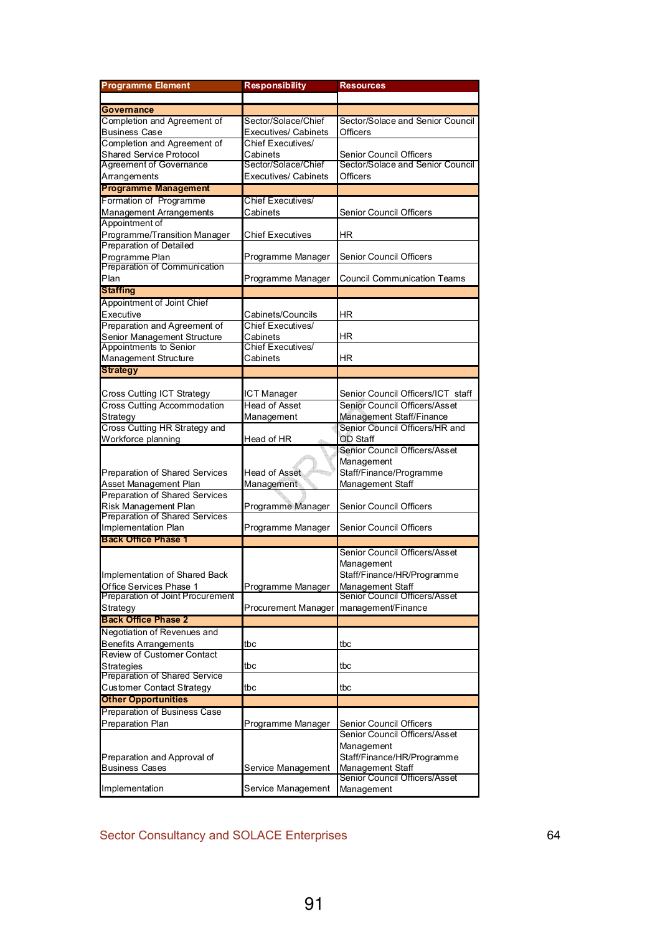| <b>Programme Element</b>                                    | <b>Responsibility</b>       | Resources                                         |  |  |  |  |  |  |  |
|-------------------------------------------------------------|-----------------------------|---------------------------------------------------|--|--|--|--|--|--|--|
|                                                             |                             |                                                   |  |  |  |  |  |  |  |
| <b>Governance</b>                                           |                             |                                                   |  |  |  |  |  |  |  |
| Completion and Agreement of                                 | Sector/Solace/Chief         | Sector/Solace and Senior Council                  |  |  |  |  |  |  |  |
| <b>Business Case</b>                                        | <b>Executives/ Cabinets</b> | Officers                                          |  |  |  |  |  |  |  |
| Completion and Agreement of                                 | <b>Chief Executives/</b>    |                                                   |  |  |  |  |  |  |  |
| <b>Shared Service Protocol</b>                              | Cabinets                    | Senior Council Officers                           |  |  |  |  |  |  |  |
| <b>Agreement of Governance</b>                              | Sector/Solace/Chief         | Sector/Solace and Senior Council                  |  |  |  |  |  |  |  |
| Arrangements                                                | <b>Executives/ Cabinets</b> | Officers                                          |  |  |  |  |  |  |  |
| <b>Programme Management</b>                                 |                             |                                                   |  |  |  |  |  |  |  |
| Formation of Programme                                      | <b>Chief Executives/</b>    |                                                   |  |  |  |  |  |  |  |
| <b>Management Arrangements</b><br>Appointment of            | Cabinets                    | Senior Council Officers                           |  |  |  |  |  |  |  |
| Programme/Transition Manager                                | Chief Executives            |                                                   |  |  |  |  |  |  |  |
| <b>Preparation of Detailed</b>                              |                             | ΗR                                                |  |  |  |  |  |  |  |
| Programme Plan                                              | Programme Manager           | Senior Council Officers                           |  |  |  |  |  |  |  |
| Preparation of Communication                                |                             |                                                   |  |  |  |  |  |  |  |
| Plan                                                        | Programme Manager           | Council Communication Teams                       |  |  |  |  |  |  |  |
| <b>Staffing</b>                                             |                             |                                                   |  |  |  |  |  |  |  |
| Appointment of Joint Chief                                  |                             |                                                   |  |  |  |  |  |  |  |
| Executive                                                   | Cabinets/Councils           | ΗR                                                |  |  |  |  |  |  |  |
| Preparation and Agreement of                                | Chief Executives/           |                                                   |  |  |  |  |  |  |  |
| Senior Management Structure                                 | Cabinets                    | ΗR                                                |  |  |  |  |  |  |  |
| Appointments to Senior                                      | <b>Chief Executives/</b>    |                                                   |  |  |  |  |  |  |  |
| Management Structure                                        | Cabinets                    | ΗR                                                |  |  |  |  |  |  |  |
| <b>Strategy</b>                                             |                             |                                                   |  |  |  |  |  |  |  |
|                                                             |                             |                                                   |  |  |  |  |  |  |  |
| <b>Cross Cutting ICT Strategy</b>                           | <b>ICT Manager</b>          | Senior Council Officers/ICT staff                 |  |  |  |  |  |  |  |
| <b>Cross Cutting Accommodation</b>                          | <b>Head of Asset</b>        | Senior Council Officers/Asset                     |  |  |  |  |  |  |  |
| Strategy                                                    | Management                  | Management Staff/Finance                          |  |  |  |  |  |  |  |
| Cross Cutting HR Strategy and                               |                             | Senior Council Officers/HR and                    |  |  |  |  |  |  |  |
| Workforce planning                                          | Head of HR                  | OD Staff<br>Senior Council Officers/Asset         |  |  |  |  |  |  |  |
|                                                             |                             | Management                                        |  |  |  |  |  |  |  |
| Preparation of Shared Services                              | Head of Asset               | Staff/Finance/Programme                           |  |  |  |  |  |  |  |
| Asset Management Plan                                       | Management                  | Management Staff                                  |  |  |  |  |  |  |  |
| <b>Preparation of Shared Services</b>                       |                             |                                                   |  |  |  |  |  |  |  |
| Risk Management Plan                                        | Programme Manager           | Senior Council Officers                           |  |  |  |  |  |  |  |
| Preparation of Shared Services                              |                             |                                                   |  |  |  |  |  |  |  |
| Implementation Plan                                         | Programme Manager           | Senior Council Officers                           |  |  |  |  |  |  |  |
| <b>Back Office Phase 1</b>                                  |                             |                                                   |  |  |  |  |  |  |  |
|                                                             |                             | Senior Council Officers/Asset                     |  |  |  |  |  |  |  |
|                                                             |                             | Management                                        |  |  |  |  |  |  |  |
| Implementation of Shared Back                               |                             | Staff/Finance/HR/Programme                        |  |  |  |  |  |  |  |
| Office Services Phase 1<br>Preparation of Joint Procurement | Programme Manager           | Management Staff<br>Senior Council Officers/Asset |  |  |  |  |  |  |  |
| Strategy                                                    | Procurement Manager         | management/Finance                                |  |  |  |  |  |  |  |
| <b>Back Office Phase 2</b>                                  |                             |                                                   |  |  |  |  |  |  |  |
| Negotiation of Revenues and                                 |                             |                                                   |  |  |  |  |  |  |  |
| <b>Benefits Arrangements</b>                                | tbc                         | tbc                                               |  |  |  |  |  |  |  |
| Review of Customer Contact                                  |                             |                                                   |  |  |  |  |  |  |  |
| <b>Strategies</b>                                           | tbc                         | tbc                                               |  |  |  |  |  |  |  |
| <b>Preparation of Shared Service</b>                        |                             |                                                   |  |  |  |  |  |  |  |
| <b>Customer Contact Strategy</b>                            | tbc                         | tbc                                               |  |  |  |  |  |  |  |
| <b>Other Opportunities</b>                                  |                             |                                                   |  |  |  |  |  |  |  |
| Preparation of Business Case                                |                             |                                                   |  |  |  |  |  |  |  |
| Preparation Plan                                            | Programme Manager           | Senior Council Officers                           |  |  |  |  |  |  |  |
|                                                             |                             | Senior Council Officers/Asset                     |  |  |  |  |  |  |  |
|                                                             |                             | Management                                        |  |  |  |  |  |  |  |
| Preparation and Approval of                                 |                             | Staff/Finance/HR/Programme                        |  |  |  |  |  |  |  |
| <b>Business Cases</b>                                       | Service Management          | Management Staff                                  |  |  |  |  |  |  |  |
|                                                             |                             | Senior Council Officers/Asset                     |  |  |  |  |  |  |  |
| Implementation                                              | Service Management          | Management                                        |  |  |  |  |  |  |  |